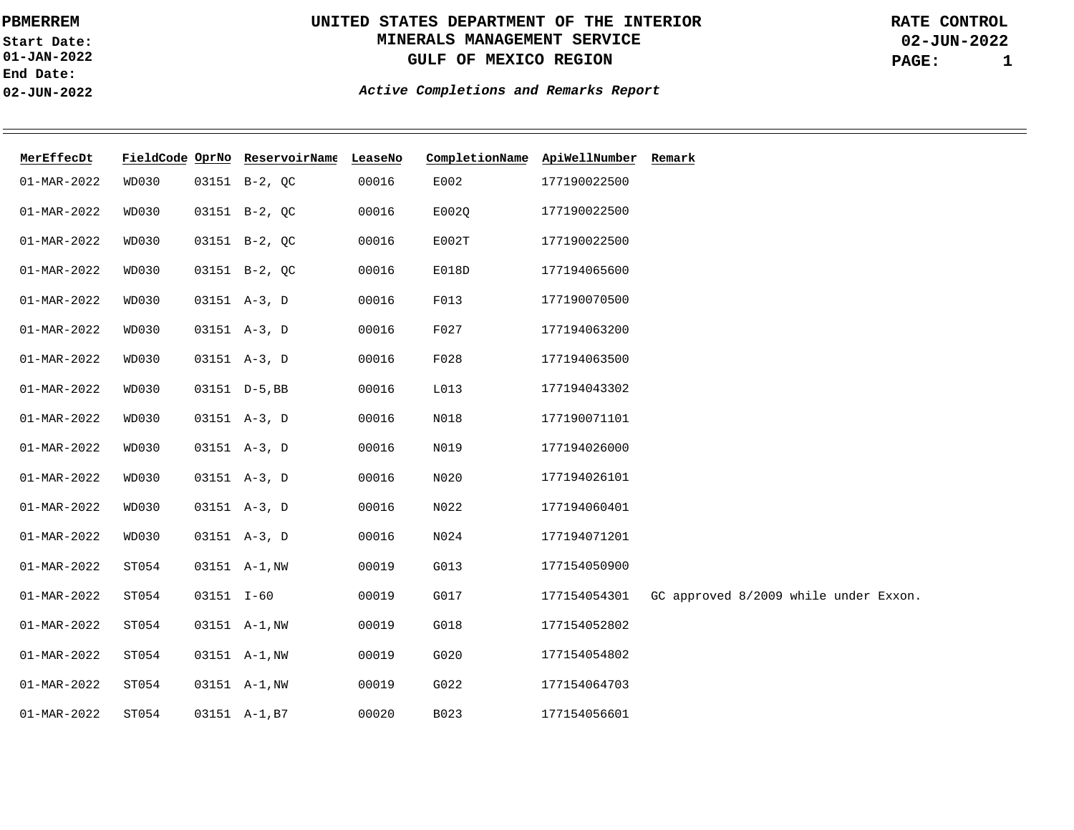**01-JAN-2022 Start Date: End Date: 02-JUN-2022**

# **UNITED STATES DEPARTMENT OF THE INTERIOR MINERALS MANAGEMENT SERVICE GULF OF MEXICO REGION**

**02-JUN-2022 PAGE: 1 RATE CONTROL**

| MerEffecDt        |              |            | FieldCode OprNo ReservoirName LeaseNo |       | CompletionName ApiWellNumber Remark |              |                                       |
|-------------------|--------------|------------|---------------------------------------|-------|-------------------------------------|--------------|---------------------------------------|
| 01-MAR-2022       | WD030        |            | 03151 B-2, QC                         | 00016 | E002                                | 177190022500 |                                       |
| $01 - MAR - 2022$ | WD030        |            | 03151 B-2, QC                         | 00016 | E002Q                               | 177190022500 |                                       |
| $01 - MAR - 2022$ | <b>WD030</b> |            | 03151 B-2, QC                         | 00016 | E002T                               | 177190022500 |                                       |
| $01 - MAR - 2022$ | <b>WD030</b> |            | 03151 B-2, QC                         | 00016 | E018D                               | 177194065600 |                                       |
| 01-MAR-2022       | WD030        |            | 03151 A-3, D                          | 00016 | F013                                | 177190070500 |                                       |
| 01-MAR-2022       | WD030        |            | 03151 A-3, D                          | 00016 | F027                                | 177194063200 |                                       |
| 01-MAR-2022       | WD030        |            | 03151 A-3, D                          | 00016 | F028                                | 177194063500 |                                       |
| $01 - MAR - 2022$ | WD030        |            | 03151 D-5, BB                         | 00016 | L013                                | 177194043302 |                                       |
| $01 - MAR - 2022$ | <b>WD030</b> |            | 03151 A-3, D                          | 00016 | N018                                | 177190071101 |                                       |
| 01-MAR-2022       | WD030        |            | 03151 A-3, D                          | 00016 | N019                                | 177194026000 |                                       |
| $01 - MAR - 2022$ | WD030        |            | $03151 A-3, D$                        | 00016 | N020                                | 177194026101 |                                       |
| $01 - MAR - 2022$ | <b>WD030</b> |            | 03151 A-3, D                          | 00016 | N022                                | 177194060401 |                                       |
| $01 - MAR - 2022$ | <b>WD030</b> |            | 03151 A-3, D                          | 00016 | N024                                | 177194071201 |                                       |
| $01 - MAR - 2022$ | ST054        |            | 03151 A-1, NW                         | 00019 | G013                                | 177154050900 |                                       |
| $01 - MAR - 2022$ | ST054        | 03151 I-60 |                                       | 00019 | G017                                | 177154054301 | GC approved 8/2009 while under Exxon. |
| $01 - MAR - 2022$ | ST054        |            | 03151 A-1, NW                         | 00019 | G018                                | 177154052802 |                                       |
| 01-MAR-2022       | ST054        |            | 03151 A-1, NW                         | 00019 | G020                                | 177154054802 |                                       |
| 01-MAR-2022       | ST054        |            | 03151 A-1, NW                         | 00019 | G022                                | 177154064703 |                                       |
| 01-MAR-2022       | ST054        |            | 03151 A-1, B7                         | 00020 | B023                                | 177154056601 |                                       |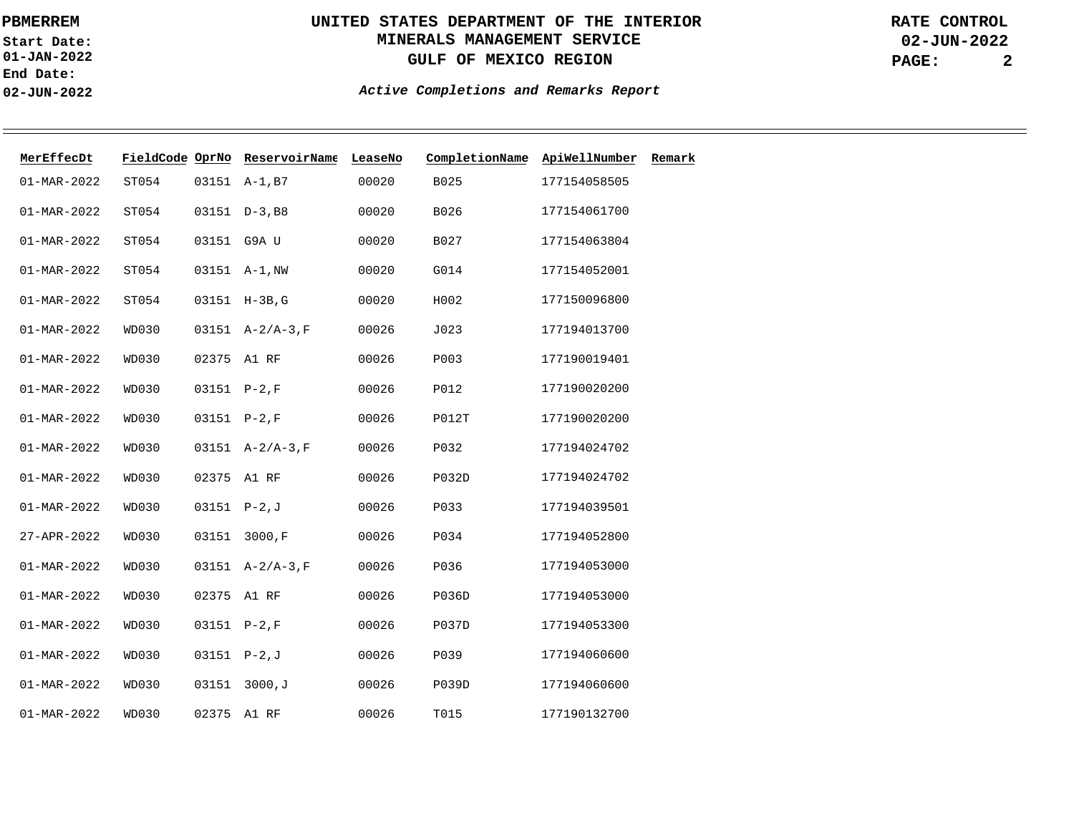**01-JAN-2022 Start Date: End Date: 02-JUN-2022**

# **UNITED STATES DEPARTMENT OF THE INTERIOR MINERALS MANAGEMENT SERVICE GULF OF MEXICO REGION**

**02-JUN-2022 PAGE: 2 RATE CONTROL**

| MerEffecDt        |              |                | FieldCode OprNo ReservoirName | LeaseNo | CompletionName | ApiWellNumber | Remark |
|-------------------|--------------|----------------|-------------------------------|---------|----------------|---------------|--------|
| $01 - MAR - 2022$ | ST054        |                | 03151 A-1, B7                 | 00020   | B025           | 177154058505  |        |
| $01 - MAR - 2022$ | ST054        |                | $03151$ $D-3$ , B8            | 00020   | B026           | 177154061700  |        |
| $01 - MAR - 2022$ | ST054        | 03151 G9A U    |                               | 00020   | B027           | 177154063804  |        |
| $01 - MAR - 2022$ | ST054        |                | 03151 A-1, NW                 | 00020   | G014           | 177154052001  |        |
| $01 - MAR - 2022$ | ST054        |                | 03151 H-3B, G                 | 00020   | H002           | 177150096800  |        |
| $01 - MAR - 2022$ | <b>WD030</b> |                | $03151$ $A-2/A-3$ , F         | 00026   | J023           | 177194013700  |        |
| $01 - MAR - 2022$ | <b>WD030</b> | 02375 A1 RF    |                               | 00026   | P003           | 177190019401  |        |
| $01 - MAR - 2022$ | WD030        | 03151 P-2, F   |                               | 00026   | P012           | 177190020200  |        |
| $01 - MAR - 2022$ | <b>WD030</b> | 03151 P-2, F   |                               | 00026   | P012T          | 177190020200  |        |
| $01 - MAR - 2022$ | <b>WD030</b> |                | $03151$ A-2/A-3, F            | 00026   | P032           | 177194024702  |        |
| $01 - MAR - 2022$ | <b>WD030</b> | 02375 A1 RF    |                               | 00026   | P032D          | 177194024702  |        |
| $01 - MAR - 2022$ | <b>WD030</b> | $03151 P-2, J$ |                               | 00026   | P033           | 177194039501  |        |
| 27-APR-2022       | <b>WD030</b> | 03151          | 3000, F                       | 00026   | P034           | 177194052800  |        |
| $01 - MAR - 2022$ | WD030        |                | $03151$ A-2/A-3, F            | 00026   | P036           | 177194053000  |        |
| $01 - MAR - 2022$ | <b>WD030</b> | 02375 A1 RF    |                               | 00026   | <b>P036D</b>   | 177194053000  |        |
| $01 - MAR - 2022$ | <b>WD030</b> | 03151 P-2, F   |                               | 00026   | <b>P037D</b>   | 177194053300  |        |
| $01 - MAR - 2022$ | <b>WD030</b> | $03151 P-2, J$ |                               | 00026   | P039           | 177194060600  |        |
| $01 - MAR - 2022$ | <b>WD030</b> | 03151          | 3000,J                        | 00026   | P039D          | 177194060600  |        |
| $01 - MAR - 2022$ | <b>WD030</b> | 02375 A1 RF    |                               | 00026   | T015           | 177190132700  |        |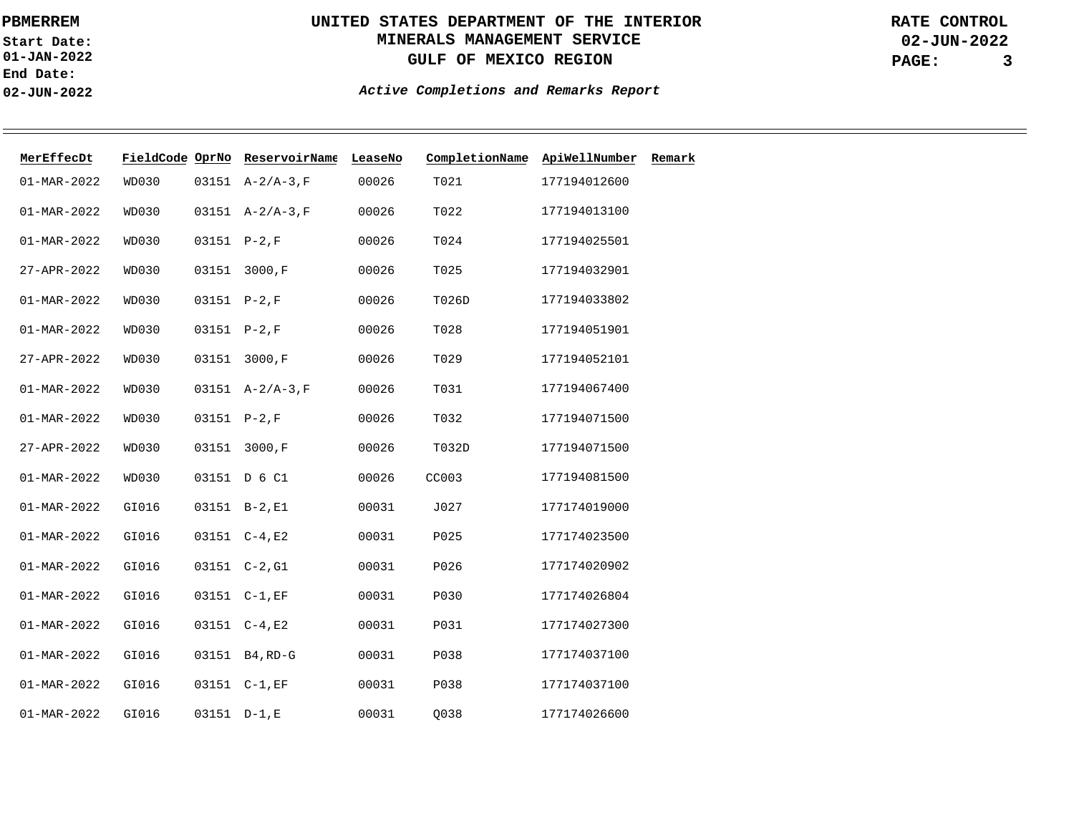**01-JAN-2022 Start Date: End Date: 02-JUN-2022**

# **UNITED STATES DEPARTMENT OF THE INTERIOR MINERALS MANAGEMENT SERVICE GULF OF MEXICO REGION**

**02-JUN-2022 PAGE: 3 RATE CONTROL**

| MerEffecDt        | FieldCode OprNo |               | ReservoirName      | LeaseNo | CompletionName | ApiWellNumber | Remark |
|-------------------|-----------------|---------------|--------------------|---------|----------------|---------------|--------|
| $01 - MAR - 2022$ | WD030           |               | $03151$ A-2/A-3, F | 00026   | T021           | 177194012600  |        |
| $01 - MAR - 2022$ | <b>WD030</b>    |               | $03151 A-2/A-3,F$  | 00026   | T022           | 177194013100  |        |
| $01 - MAR - 2022$ | <b>WD030</b>    | 03151 P-2, F  |                    | 00026   | T024           | 177194025501  |        |
| 27-APR-2022       | <b>WD030</b>    |               | 03151 3000, F      | 00026   | T025           | 177194032901  |        |
| $01 - MAR - 2022$ | <b>WD030</b>    | 03151 P-2, F  |                    | 00026   | T026D          | 177194033802  |        |
| $01 - MAR - 2022$ | <b>WD030</b>    | 03151 P-2, F  |                    | 00026   | T028           | 177194051901  |        |
| 27-APR-2022       | <b>WD030</b>    |               | 03151 3000, F      | 00026   | T029           | 177194052101  |        |
| $01 - MAR - 2022$ | <b>WD030</b>    |               | $03151 A-2/A-3,F$  | 00026   | T031           | 177194067400  |        |
| $01 - MAR - 2022$ | WD030           | $03151 P-2,F$ |                    | 00026   | T032           | 177194071500  |        |
| 27-APR-2022       | <b>WD030</b>    |               | 03151 3000, F      | 00026   | T032D          | 177194071500  |        |
| $01 - MAR - 2022$ | <b>WD030</b>    |               | 03151 D 6 C1       | 00026   | CC003          | 177194081500  |        |
| $01 - MAR - 2022$ | GI016           |               | 03151 B-2, E1      | 00031   | J027           | 177174019000  |        |
| $01 - MAR - 2022$ | GI016           |               | 03151 C-4,E2       | 00031   | P025           | 177174023500  |        |
| $01 - MAR - 2022$ | GI016           |               | 03151 C-2, G1      | 00031   | P026           | 177174020902  |        |
| $01 - MAR - 2022$ | GI016           |               | 03151 C-1, EF      | 00031   | P030           | 177174026804  |        |
| $01 - MAR - 2022$ | GI016           |               | 03151 C-4,E2       | 00031   | P031           | 177174027300  |        |
| $01 - MAR - 2022$ | GI016           |               | 03151 B4, RD-G     | 00031   | P038           | 177174037100  |        |
| $01 - MAR - 2022$ | GI016           |               | 03151 C-1, EF      | 00031   | P038           | 177174037100  |        |
| $01 - MAR - 2022$ | GI016           | 03151 D-1,E   |                    | 00031   | 0038           | 177174026600  |        |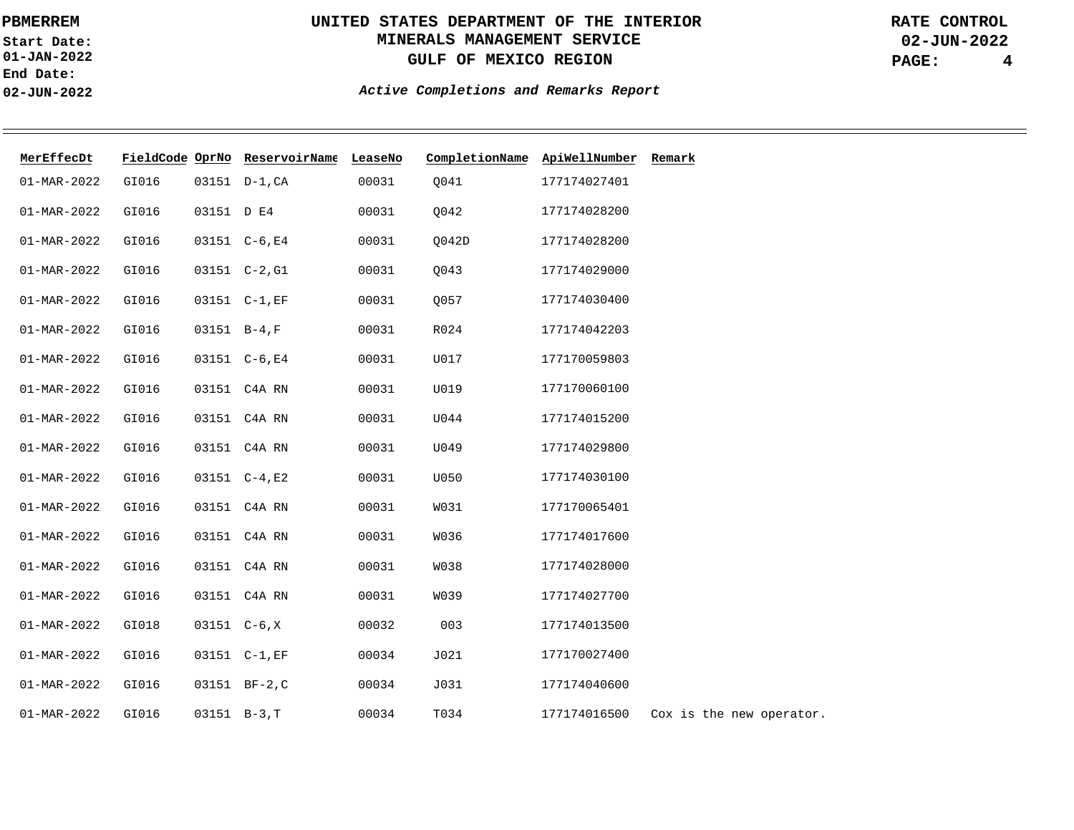**01-JAN-2022 Start Date: End Date: 02-JUN-2022**

# **UNITED STATES DEPARTMENT OF THE INTERIOR MINERALS MANAGEMENT SERVICE GULF OF MEXICO REGION**

**02-JUN-2022 PAGE: 4 RATE CONTROL**

| MerEffecDt        |       |            | FieldCode OprNo ReservoirName LeaseNo |       | CompletionName ApiWellNumber |              | Remark                   |
|-------------------|-------|------------|---------------------------------------|-------|------------------------------|--------------|--------------------------|
| $01 - MAR - 2022$ | GI016 |            | 03151 D-1, CA                         | 00031 | Q041                         | 177174027401 |                          |
| $01 - MAR - 2022$ | GI016 | 03151 D E4 |                                       | 00031 | Q042                         | 177174028200 |                          |
| $01 - MAR - 2022$ | GI016 |            | 03151 C-6, E4                         | 00031 | Q042D                        | 177174028200 |                          |
| $01 - MAR - 2022$ | GI016 |            | 03151 C-2, G1                         | 00031 | Q043                         | 177174029000 |                          |
| $01 - MAR - 2022$ | GI016 |            | 03151 C-1, EF                         | 00031 | 0057                         | 177174030400 |                          |
| $01 - MAR - 2022$ | GI016 |            | $03151 B-4, F$                        | 00031 | R024                         | 177174042203 |                          |
| $01 - MAR - 2022$ | GI016 |            | 03151 C-6, E4                         | 00031 | U017                         | 177170059803 |                          |
| $01 - MAR - 2022$ | GI016 |            | 03151 C4A RN                          | 00031 | U019                         | 177170060100 |                          |
| $01 - MAR - 2022$ | GI016 |            | 03151 C4A RN                          | 00031 | U044                         | 177174015200 |                          |
| $01 - MAR - 2022$ | GI016 |            | 03151 C4A RN                          | 00031 | U049                         | 177174029800 |                          |
| $01 - MAR - 2022$ | GI016 |            | 03151 C-4,E2                          | 00031 | U050                         | 177174030100 |                          |
| $01 - MAR - 2022$ | GI016 |            | 03151 C4A RN                          | 00031 | W031                         | 177170065401 |                          |
| $01 - MAR - 2022$ | GI016 |            | 03151 C4A RN                          | 00031 | <b>W036</b>                  | 177174017600 |                          |
| $01 - MAR - 2022$ | GI016 |            | 03151 C4A RN                          | 00031 | <b>W038</b>                  | 177174028000 |                          |
| $01 - MAR - 2022$ | GI016 |            | 03151 C4A RN                          | 00031 | W039                         | 177174027700 |                          |
| $01 - MAR - 2022$ | GI018 |            | $03151 \quad C-6, X$                  | 00032 | 003                          | 177174013500 |                          |
| $01 - MAR - 2022$ | GI016 |            | 03151 C-1, EF                         | 00034 | J021                         | 177170027400 |                          |
| $01 - MAR - 2022$ | GI016 |            | 03151 BF-2,C                          | 00034 | J031                         | 177174040600 |                          |
| $01 - MAR - 2022$ | GI016 |            | $03151 B-3, T$                        | 00034 | T034                         | 177174016500 | Cox is the new operator. |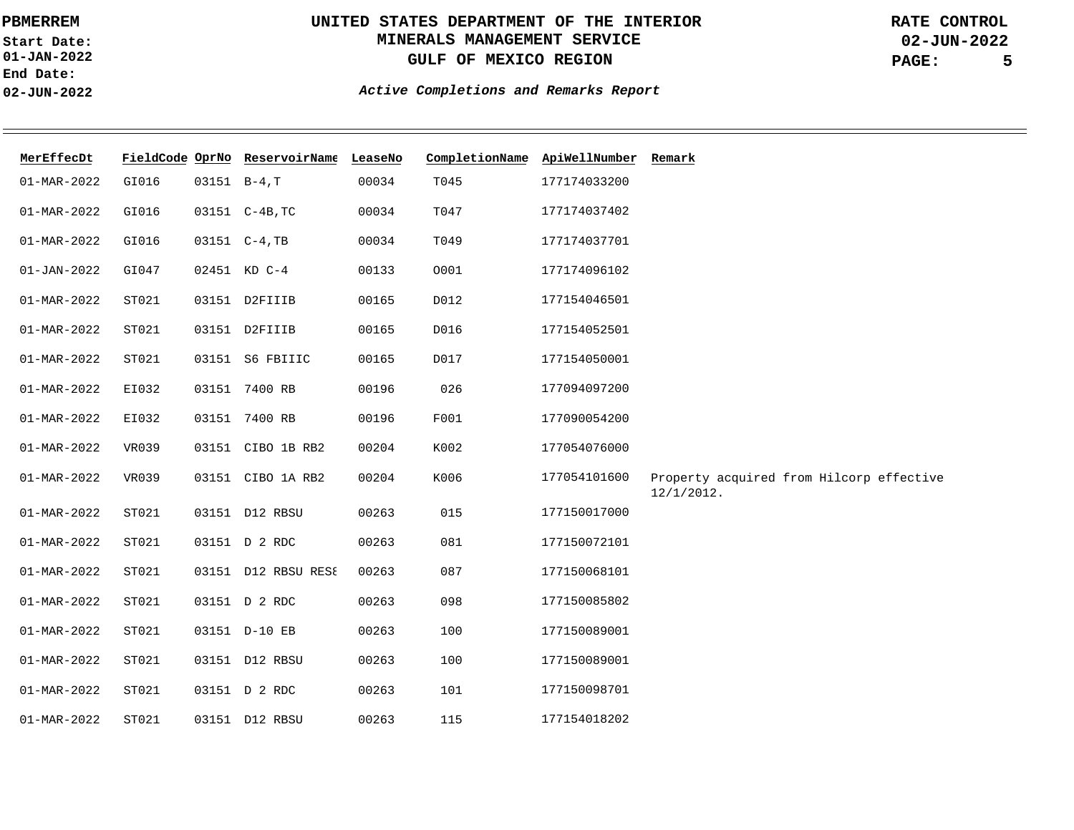**01-JAN-2022 Start Date: End Date: 02-JUN-2022**

# **UNITED STATES DEPARTMENT OF THE INTERIOR MINERALS MANAGEMENT SERVICE GULF OF MEXICO REGION**

**02-JUN-2022 PAGE: 5 RATE CONTROL**

| MerEffecDt               |       | FieldCode OprNo ReservoirName LeaseNo |       | CompletionName | ApiWellNumber Remark |                                          |
|--------------------------|-------|---------------------------------------|-------|----------------|----------------------|------------------------------------------|
| $01 - MAR - 2022$        | GI016 | $03151 B-4, T$                        | 00034 | T045           | 177174033200         |                                          |
| $01 - MAR - 2022$        | GI016 | 03151 C-4B, TC                        | 00034 | T047           | 177174037402         |                                          |
| $01 - MAR - 2022$        | GI016 | 03151 C-4, TB                         | 00034 | T049           | 177174037701         |                                          |
| $01 - JAN - 2022$        | GI047 | 02451 KD C-4                          | 00133 | 0001           | 177174096102         |                                          |
| $01 - MAR - 2022$        | ST021 | 03151 D2FIIIB                         | 00165 | D012           | 177154046501         |                                          |
| $01 - MAR - 2022$        | ST021 | 03151 D2FIIIB                         | 00165 | D016           | 177154052501         |                                          |
| $01 - MAR - 2022$        | ST021 | 03151 S6 FBIIIC                       | 00165 | D017           | 177154050001         |                                          |
| $01 - MAR - 2022$        | EI032 | 03151 7400 RB                         | 00196 | 026            | 177094097200         |                                          |
| $01 - MAR - 2022$        | EI032 | 03151 7400 RB                         | 00196 | F001           | 177090054200         |                                          |
| $01 - MAR - 2022$        | VR039 | 03151 CIBO 1B RB2                     | 00204 | K002           | 177054076000         |                                          |
| $01 - MAR - 2022$        | VR039 | 03151 CIBO 1A RB2                     | 00204 | K006           | 177054101600         | Property acquired from Hilcorp effective |
| $01 - MAR - 2022$        | ST021 | 03151 D12 RBSU                        | 00263 | 015            | 177150017000         | $12/1/2012$ .                            |
| $01 - MAR - 2022$        | ST021 | 03151 D 2 RDC                         | 00263 | 081            | 177150072101         |                                          |
| $01 - MAR - 2022$        | ST021 | 03151 D12 RBSU RES{                   | 00263 | 087            | 177150068101         |                                          |
|                          |       |                                       |       |                |                      |                                          |
| $01 - MAR - 2022$        | ST021 | 03151 D 2 RDC                         | 00263 | 098            | 177150085802         |                                          |
| $01 - MAR - 2022$        | ST021 | 03151 D-10 EB                         | 00263 | 100            | 177150089001         |                                          |
| $01 - MAR - 2022$        | ST021 | 03151 D12 RBSU                        | 00263 | 100            | 177150089001         |                                          |
| $01 - MAR - 2022$        | ST021 | 03151 D 2 RDC                         | 00263 | 101            | 177150098701         |                                          |
| $01 - \text{MAR} - 2022$ | ST021 | 03151 D12 RBSU                        | 00263 | 115            | 177154018202         |                                          |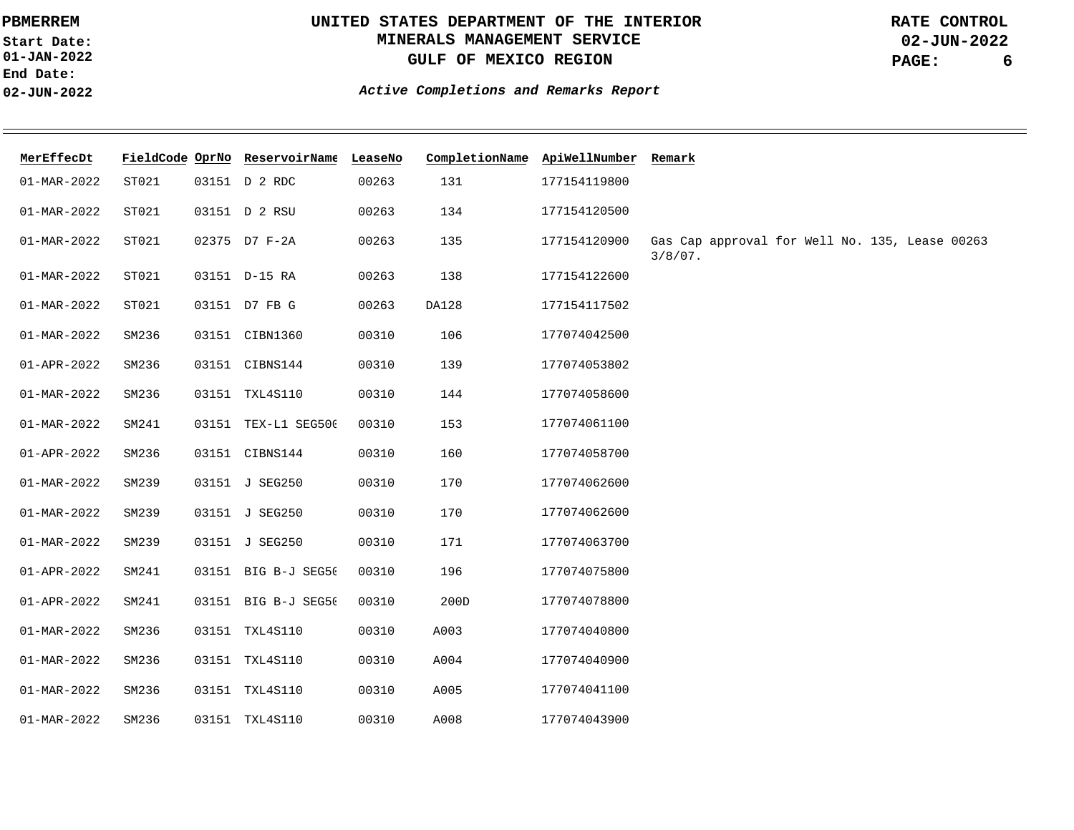**01-JAN-2022 Start Date: End Date: 02-JUN-2022**

# **UNITED STATES DEPARTMENT OF THE INTERIOR MINERALS MANAGEMENT SERVICE GULF OF MEXICO REGION**

**02-JUN-2022 PAGE: 6 RATE CONTROL**

| MerEffecDt        |       | FieldCode OprNo ReservoirName LeaseNo |       | CompletionName ApiWellNumber Remark |              |                                                              |
|-------------------|-------|---------------------------------------|-------|-------------------------------------|--------------|--------------------------------------------------------------|
| 01-MAR-2022       | ST021 | 03151 D 2 RDC                         | 00263 | 131                                 | 177154119800 |                                                              |
| 01-MAR-2022       | ST021 | 03151 D 2 RSU                         | 00263 | 134                                 | 177154120500 |                                                              |
| $01 - MAR - 2022$ | ST021 | 02375 D7 F-2A                         | 00263 | 135                                 | 177154120900 | Gas Cap approval for Well No. 135, Lease 00263<br>$3/8/07$ . |
| 01-MAR-2022       | ST021 | 03151 D-15 RA                         | 00263 | 138                                 | 177154122600 |                                                              |
| 01-MAR-2022       | ST021 | 03151 D7 FB G                         | 00263 | DA128                               | 177154117502 |                                                              |
| $01 - MAR - 2022$ | SM236 | 03151 CIBN1360                        | 00310 | 106                                 | 177074042500 |                                                              |
| $01 - APR - 2022$ | SM236 | 03151 CIBNS144                        | 00310 | 139                                 | 177074053802 |                                                              |
| 01-MAR-2022       | SM236 | 03151 TXL4S110                        | 00310 | 144                                 | 177074058600 |                                                              |
| 01-MAR-2022       | SM241 | 03151 TEX-L1 SEG500                   | 00310 | 153                                 | 177074061100 |                                                              |
| 01-APR-2022       | SM236 | 03151 CIBNS144                        | 00310 | 160                                 | 177074058700 |                                                              |
| $01 - MAR - 2022$ | SM239 | 03151 J SEG250                        | 00310 | 170                                 | 177074062600 |                                                              |
| $01 - MAR - 2022$ | SM239 | 03151 J SEG250                        | 00310 | 170                                 | 177074062600 |                                                              |
| 01-MAR-2022       | SM239 | 03151 J SEG250                        | 00310 | 171                                 | 177074063700 |                                                              |
| 01-APR-2022       | SM241 | 03151 BIG B-J SEG50                   | 00310 | 196                                 | 177074075800 |                                                              |
| $01 - APR - 2022$ | SM241 | 03151 BIG B-J SEG50                   | 00310 | 200D                                | 177074078800 |                                                              |
| $01 - MAR - 2022$ | SM236 | 03151 TXL4S110                        | 00310 | A003                                | 177074040800 |                                                              |
| 01-MAR-2022       | SM236 | 03151 TXL4S110                        | 00310 | A004                                | 177074040900 |                                                              |
| 01-MAR-2022       | SM236 | 03151 TXL4S110                        | 00310 | A005                                | 177074041100 |                                                              |
| 01-MAR-2022       | SM236 | 03151 TXL4S110                        | 00310 | A008                                | 177074043900 |                                                              |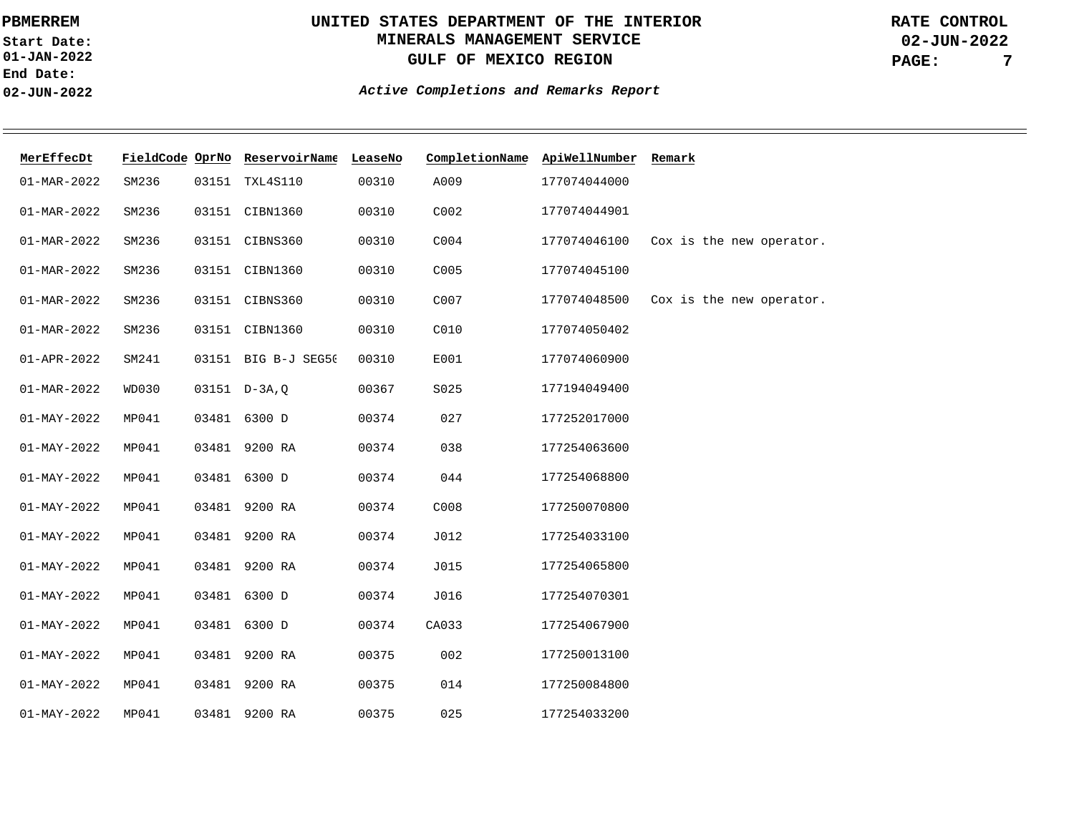**01-JAN-2022 Start Date: End Date: 02-JUN-2022**

# **UNITED STATES DEPARTMENT OF THE INTERIOR MINERALS MANAGEMENT SERVICE GULF OF MEXICO REGION**

**02-JUN-2022 PAGE: 7 RATE CONTROL**

| MerEffecDt        |       |       | FieldCode OprNo ReservoirName LeaseNo |       | CompletionName ApiWellNumber Remark |              |                          |
|-------------------|-------|-------|---------------------------------------|-------|-------------------------------------|--------------|--------------------------|
| $01 - MAR - 2022$ | SM236 |       | 03151 TXL4S110                        | 00310 | A009                                | 177074044000 |                          |
| $01 - MAR - 2022$ | SM236 |       | 03151 CIBN1360                        | 00310 | C002                                | 177074044901 |                          |
| $01 - MAR - 2022$ | SM236 |       | 03151 CIBNS360                        | 00310 | C004                                | 177074046100 | Cox is the new operator. |
| $01 - MAR - 2022$ | SM236 |       | 03151 CIBN1360                        | 00310 | C005                                | 177074045100 |                          |
| $01 - MAR - 2022$ | SM236 |       | 03151 CIBNS360                        | 00310 | C007                                | 177074048500 | Cox is the new operator. |
| $01 - MAR - 2022$ | SM236 |       | 03151 CIBN1360                        | 00310 | C010                                | 177074050402 |                          |
| 01-APR-2022       | SM241 |       | 03151 BIG B-J SEG5(                   | 00310 | E001                                | 177074060900 |                          |
| $01 - MAR - 2022$ | WD030 |       | $03151$ D-3A, Q                       | 00367 | S025                                | 177194049400 |                          |
| $01 - MAY - 2022$ | MP041 |       | 03481 6300 D                          | 00374 | 027                                 | 177252017000 |                          |
| $01 - MAY - 2022$ | MP041 |       | 03481 9200 RA                         | 00374 | 038                                 | 177254063600 |                          |
| $01 - MAY - 2022$ | MP041 |       | 03481 6300 D                          | 00374 | 044                                 | 177254068800 |                          |
| $01 - MAY - 2022$ | MP041 |       | 03481 9200 RA                         | 00374 | C008                                | 177250070800 |                          |
| $01 - MAY - 2022$ | MP041 |       | 03481 9200 RA                         | 00374 | J012                                | 177254033100 |                          |
| $01 - MAY - 2022$ | MP041 | 03481 | 9200 RA                               | 00374 | J015                                | 177254065800 |                          |
| $01 - MAY - 2022$ | MP041 | 03481 | 6300 D                                | 00374 | J016                                | 177254070301 |                          |
| $01 - MAY - 2022$ | MP041 |       | 03481 6300 D                          | 00374 | CA033                               | 177254067900 |                          |
| $01 - MAY - 2022$ | MP041 |       | 03481 9200 RA                         | 00375 | 002                                 | 177250013100 |                          |
| $01 - MAY - 2022$ | MP041 | 03481 | 9200 RA                               | 00375 | 014                                 | 177250084800 |                          |
| $01 - MAX - 2022$ | MP041 | 03481 | 9200 RA                               | 00375 | 025                                 | 177254033200 |                          |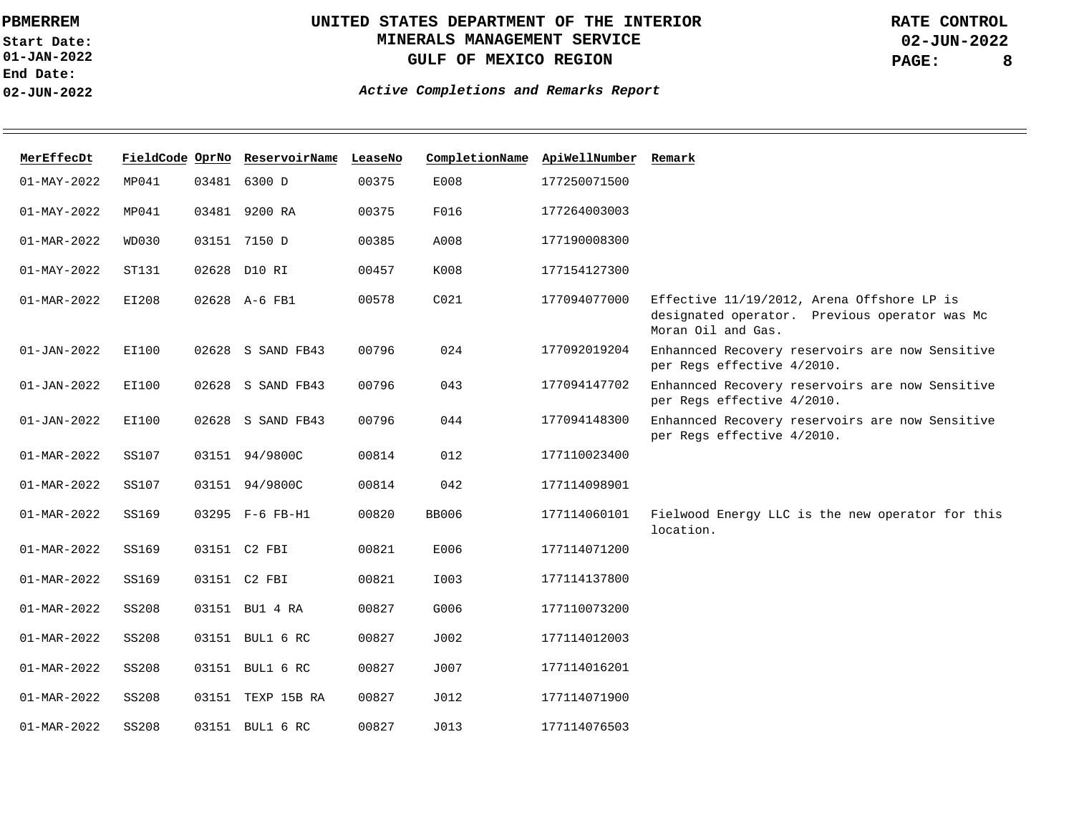**01-JAN-2022 Start Date: End Date: 02-JUN-2022**

# **UNITED STATES DEPARTMENT OF THE INTERIOR MINERALS MANAGEMENT SERVICE GULF OF MEXICO REGION**

**02-JUN-2022 PAGE: 8 RATE CONTROL**

| MerEffecDt               |              |       | FieldCode OprNo ReservoirName LeaseNo |       |                  | CompletionName ApiWellNumber Remark |                                                                                                                   |
|--------------------------|--------------|-------|---------------------------------------|-------|------------------|-------------------------------------|-------------------------------------------------------------------------------------------------------------------|
| $01 - MAY - 2022$        | MP041        |       | 03481 6300 D                          | 00375 | E008             | 177250071500                        |                                                                                                                   |
| $01 - MAX - 2022$        | MP041        |       | 03481 9200 RA                         | 00375 | F016             | 177264003003                        |                                                                                                                   |
| 01-MAR-2022              | WD030        |       | 03151 7150 D                          | 00385 | A008             | 177190008300                        |                                                                                                                   |
| $01 - MAX - 2022$        | ST131        |       | 02628 D10 RI                          | 00457 | K008             | 177154127300                        |                                                                                                                   |
| $01 - \text{MAR} - 2022$ | EI208        |       | 02628 A-6 FB1                         | 00578 | CO <sub>21</sub> | 177094077000                        | Effective 11/19/2012, Arena Offshore LP is<br>designated operator. Previous operator was Mc<br>Moran Oil and Gas. |
| $01 - JAN - 2022$        | EI100        |       | 02628 S SAND FB43                     | 00796 | 024              | 177092019204                        | Enhannced Recovery reservoirs are now Sensitive<br>per Regs effective 4/2010.                                     |
| $01 - JAN - 2022$        | EI100        |       | 02628 S SAND FB43                     | 00796 | 043              | 177094147702                        | Enhannced Recovery reservoirs are now Sensitive<br>per Regs effective 4/2010.                                     |
| $01 - JAN - 2022$        | EI100        | 02628 | S SAND FB43                           | 00796 | 044              | 177094148300                        | Enhannced Recovery reservoirs are now Sensitive<br>per Regs effective 4/2010.                                     |
| $01 - \text{MAR} - 2022$ | SS107        |       | 03151 94/9800C                        | 00814 | 012              | 177110023400                        |                                                                                                                   |
| 01-MAR-2022              | SS107        |       | 03151 94/9800C                        | 00814 | 042              | 177114098901                        |                                                                                                                   |
| 01-MAR-2022              | SS169        |       | 03295 F-6 FB-H1                       | 00820 | <b>BB006</b>     | 177114060101                        | Fielwood Energy LLC is the new operator for this<br>location.                                                     |
| 01-MAR-2022              | SS169        |       | 03151 C2 FBI                          | 00821 | E006             | 177114071200                        |                                                                                                                   |
| $01 - MAR - 2022$        | SS169        |       | 03151 C2 FBI                          | 00821 | I003             | 177114137800                        |                                                                                                                   |
| $01 - MAR - 2022$        | <b>SS208</b> |       | 03151 BU1 4 RA                        | 00827 | G006             | 177110073200                        |                                                                                                                   |
| 01-MAR-2022              | SS208        |       | 03151 BUL1 6 RC                       | 00827 | J002             | 177114012003                        |                                                                                                                   |
| 01-MAR-2022              | <b>SS208</b> |       | 03151 BUL1 6 RC                       | 00827 | J007             | 177114016201                        |                                                                                                                   |
| $01 - \text{MAR} - 2022$ | <b>SS208</b> |       | 03151 TEXP 15B RA                     | 00827 | J012             | 177114071900                        |                                                                                                                   |
| $01 - \text{MAR} - 2022$ | SS208        |       | 03151 BUL1 6 RC                       | 00827 | J013             | 177114076503                        |                                                                                                                   |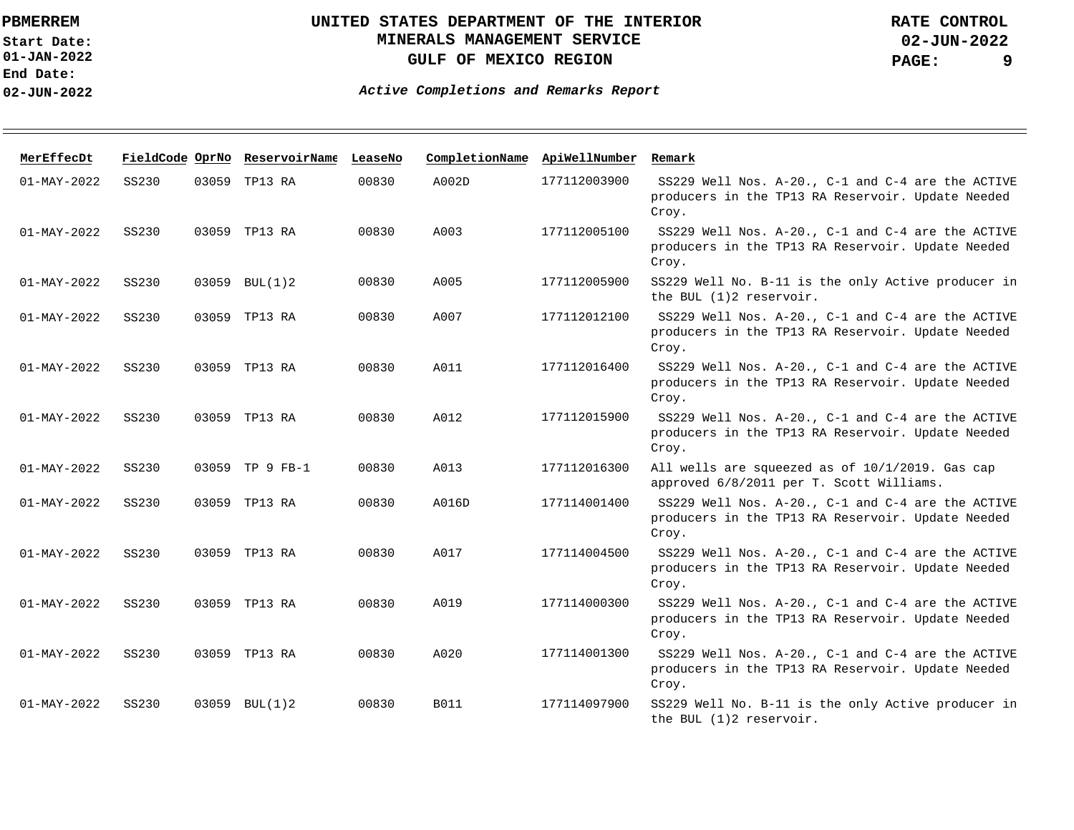**01-JAN-2022 Start Date: End Date: 02-JUN-2022**

# **UNITED STATES DEPARTMENT OF THE INTERIOR MINERALS MANAGEMENT SERVICE GULF OF MEXICO REGION**

**02-JUN-2022 PAGE: 9 RATE CONTROL**

| MerEffecDt        | FieldCode OprNo |       | ReservoirName   | LeaseNo | CompletionName | ApiWellNumber | Remark                                                                                                          |
|-------------------|-----------------|-------|-----------------|---------|----------------|---------------|-----------------------------------------------------------------------------------------------------------------|
| $01 - MAX - 2022$ | SS230           |       | 03059 TP13 RA   | 00830   | A002D          | 177112003900  | SS229 Well Nos. A-20., C-1 and C-4 are the ACTIVE<br>producers in the TP13 RA Reservoir. Update Needed<br>Croy. |
| $01 - MAX - 2022$ | SS230           |       | 03059 TP13 RA   | 00830   | A003           | 177112005100  | SS229 Well Nos. A-20., C-1 and C-4 are the ACTIVE<br>producers in the TP13 RA Reservoir. Update Needed<br>Croy. |
| $01 - MAY - 2022$ | SS230           |       | 03059 BUL(1)2   | 00830   | A005           | 177112005900  | SS229 Well No. B-11 is the only Active producer in<br>the BUL (1)2 reservoir.                                   |
| $01 - MAY - 2022$ | SS230           |       | 03059 TP13 RA   | 00830   | A007           | 177112012100  | SS229 Well Nos. A-20., C-1 and C-4 are the ACTIVE<br>producers in the TP13 RA Reservoir. Update Needed<br>Croy. |
| $01 - MAX - 2022$ | SS230           |       | 03059 TP13 RA   | 00830   | A011           | 177112016400  | SS229 Well Nos. A-20., C-1 and C-4 are the ACTIVE<br>producers in the TP13 RA Reservoir. Update Needed<br>Croy. |
| $01 - MAY - 2022$ | SS230           |       | 03059 TP13 RA   | 00830   | A012           | 177112015900  | SS229 Well Nos. A-20., C-1 and C-4 are the ACTIVE<br>producers in the TP13 RA Reservoir. Update Needed<br>Croy. |
| $01 - MAX - 2022$ | SS230           |       | 03059 TP 9 FB-1 | 00830   | A013           | 177112016300  | All wells are squeezed as of 10/1/2019. Gas cap<br>approved 6/8/2011 per T. Scott Williams.                     |
| $01 - MAX - 2022$ | SS230           | 03059 | TP13 RA         | 00830   | A016D          | 177114001400  | SS229 Well Nos. A-20., C-1 and C-4 are the ACTIVE<br>producers in the TP13 RA Reservoir. Update Needed<br>Croy. |
| $01 - MAX - 2022$ | SS230           |       | 03059 TP13 RA   | 00830   | A017           | 177114004500  | SS229 Well Nos. A-20., C-1 and C-4 are the ACTIVE<br>producers in the TP13 RA Reservoir. Update Needed<br>Croy. |
| $01 - MAY - 2022$ | SS230           |       | 03059 TP13 RA   | 00830   | A019           | 177114000300  | SS229 Well Nos. A-20., C-1 and C-4 are the ACTIVE<br>producers in the TP13 RA Reservoir. Update Needed<br>Croy. |
| $01 - MAX - 2022$ | SS230           |       | 03059 TP13 RA   | 00830   | A020           | 177114001300  | SS229 Well Nos. A-20., C-1 and C-4 are the ACTIVE<br>producers in the TP13 RA Reservoir. Update Needed<br>Croy. |
| $01 - MAX - 2022$ | SS230           | 03059 | BUL(1)2         | 00830   | <b>B011</b>    | 177114097900  | SS229 Well No. B-11 is the only Active producer in<br>the BUL (1)2 reservoir.                                   |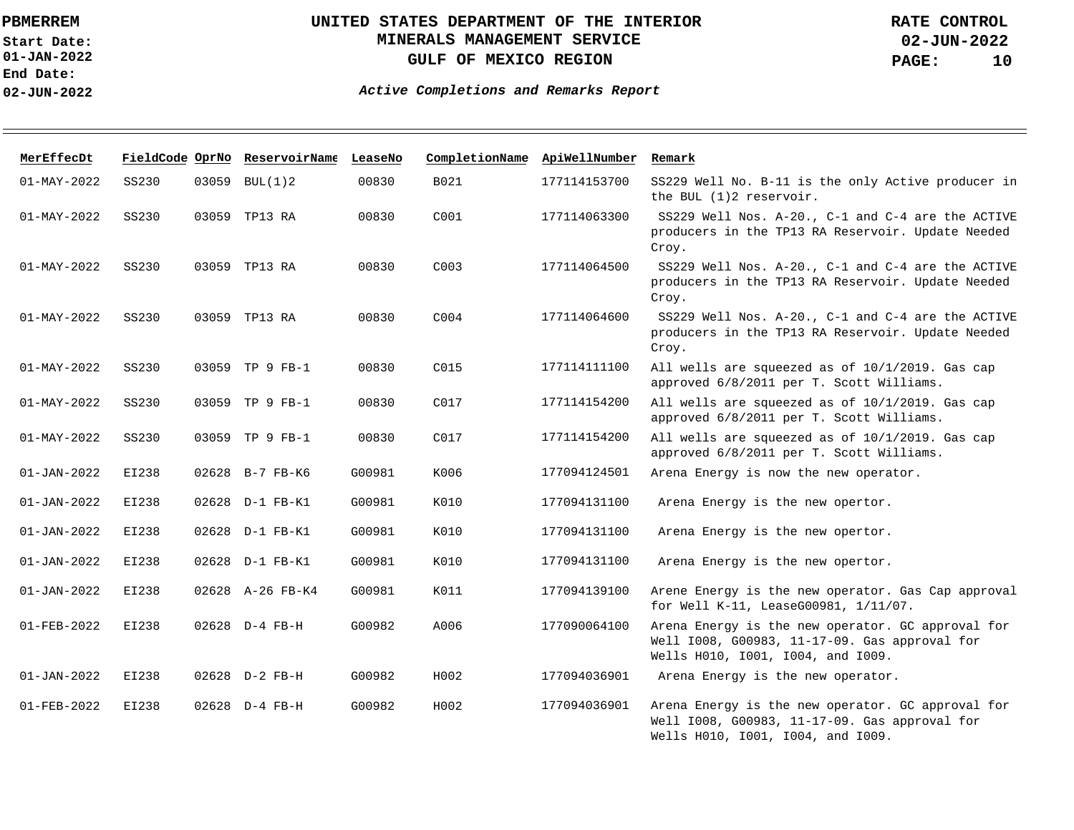**01-JAN-2022 Start Date: End Date: 02-JUN-2022**

## **UNITED STATES DEPARTMENT OF THE INTERIOR MINERALS MANAGEMENT SERVICE GULF OF MEXICO REGION**

| MerEffecDt        |       |       | FieldCode OprNo ReservoirName LeaseNo |        | CompletionName ApiWellNumber |              | Remark                                                                                                                                  |
|-------------------|-------|-------|---------------------------------------|--------|------------------------------|--------------|-----------------------------------------------------------------------------------------------------------------------------------------|
| $01 - MAX - 2022$ | SS230 |       | 03059 BUL(1)2                         | 00830  | B021                         | 177114153700 | SS229 Well No. B-11 is the only Active producer in<br>the BUL (1)2 reservoir.                                                           |
| $01 - MAX - 2022$ | SS230 |       | 03059 TP13 RA                         | 00830  | C001                         | 177114063300 | SS229 Well Nos. A-20., C-1 and C-4 are the ACTIVE<br>producers in the TP13 RA Reservoir. Update Needed<br>Croy.                         |
| $01 - MAX - 2022$ | SS230 |       | 03059 TP13 RA                         | 00830  | C <sub>003</sub>             | 177114064500 | SS229 Well Nos. A-20., C-1 and C-4 are the ACTIVE<br>producers in the TP13 RA Reservoir. Update Needed<br>Croy.                         |
| $01 - MAY - 2022$ | SS230 |       | 03059 TP13 RA                         | 00830  | C <sub>004</sub>             | 177114064600 | SS229 Well Nos. A-20., C-1 and C-4 are the ACTIVE<br>producers in the TP13 RA Reservoir. Update Needed<br>Croy.                         |
| $01 - MAY - 2022$ | SS230 |       | 03059 TP 9 FB-1                       | 00830  | C015                         | 177114111100 | All wells are squeezed as of 10/1/2019. Gas cap<br>approved 6/8/2011 per T. Scott Williams.                                             |
| $01 - MAY - 2022$ | SS230 |       | 03059 TP 9 FB-1                       | 00830  | C <sub>017</sub>             | 177114154200 | All wells are squeezed as of 10/1/2019. Gas cap<br>approved 6/8/2011 per T. Scott Williams.                                             |
| $01 - MAY - 2022$ | SS230 |       | 03059 TP 9 FB-1                       | 00830  | C017                         | 177114154200 | All wells are squeezed as of 10/1/2019. Gas cap<br>approved 6/8/2011 per T. Scott Williams.                                             |
| $01 - JAN - 2022$ | EI238 |       | 02628 B-7 FB-K6                       | G00981 | K006                         | 177094124501 | Arena Energy is now the new operator.                                                                                                   |
| $01 - JAN - 2022$ | EI238 |       | 02628 D-1 FB-K1                       | G00981 | K010                         | 177094131100 | Arena Energy is the new opertor.                                                                                                        |
| $01 - JAN - 2022$ | EI238 | 02628 | D-1 FB-K1                             | G00981 | K010                         | 177094131100 | Arena Energy is the new opertor.                                                                                                        |
| $01 - JAN - 2022$ | EI238 |       | 02628 D-1 FB-K1                       | G00981 | K010                         | 177094131100 | Arena Energy is the new opertor.                                                                                                        |
| $01 - JAN - 2022$ | EI238 |       | 02628 A-26 FB-K4                      | G00981 | K011                         | 177094139100 | Arene Energy is the new operator. Gas Cap approval<br>for Well K-11, LeaseG00981, 1/11/07.                                              |
| $01 - FEB - 2022$ | EI238 |       | 02628 D-4 FB-H                        | G00982 | A006                         | 177090064100 | Arena Energy is the new operator. GC approval for<br>Well 1008, G00983, 11-17-09. Gas approval for<br>Wells H010, 1001, 1004, and 1009. |
| $01 - JAN - 2022$ | EI238 |       | 02628 D-2 FB-H                        | G00982 | H002                         | 177094036901 | Arena Energy is the new operator.                                                                                                       |
| $01 - FEB - 2022$ | EI238 |       | 02628 D-4 FB-H                        | G00982 | H002                         | 177094036901 | Arena Energy is the new operator. GC approval for<br>Well 1008, G00983, 11-17-09. Gas approval for<br>Wells H010, I001, I004, and I009. |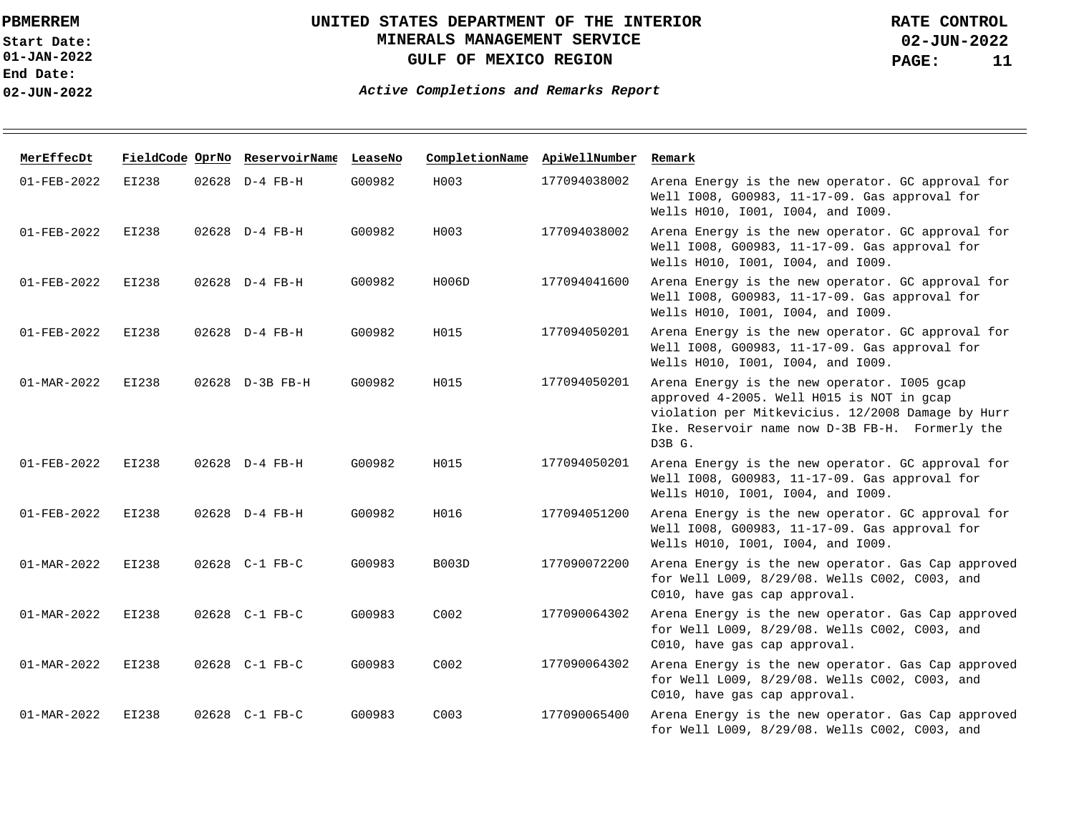**01-JAN-2022 Start Date: End Date: 02-JUN-2022**

# **UNITED STATES DEPARTMENT OF THE INTERIOR MINERALS MANAGEMENT SERVICE GULF OF MEXICO REGION**

**02-JUN-2022 PAGE: 11 RATE CONTROL**

| MerEffecDt               |       | FieldCode OprNo ReservoirName LeaseNo |        | CompletionName ApiWellNumber |              | Remark                                                                                                                                                                                                     |
|--------------------------|-------|---------------------------------------|--------|------------------------------|--------------|------------------------------------------------------------------------------------------------------------------------------------------------------------------------------------------------------------|
| $01 - FEB - 2022$        | EI238 | 02628 D-4 FB-H                        | G00982 | H003                         | 177094038002 | Arena Energy is the new operator. GC approval for<br>Well 1008, G00983, 11-17-09. Gas approval for<br>Wells H010, 1001, 1004, and 1009.                                                                    |
| $01 - FEB - 2022$        | EI238 | 02628 D-4 FB-H                        | G00982 | H003                         | 177094038002 | Arena Energy is the new operator. GC approval for<br>Well 1008, G00983, 11-17-09. Gas approval for<br>Wells H010, 1001, 1004, and 1009.                                                                    |
| 01-FEB-2022              | EI238 | 02628 D-4 FB-H                        | G00982 | H006D                        | 177094041600 | Arena Energy is the new operator. GC approval for<br>Well 1008, G00983, 11-17-09. Gas approval for<br>Wells H010, 1001, 1004, and 1009.                                                                    |
| $01 - FEB - 2022$        | EI238 | 02628 D-4 FB-H                        | G00982 | H015                         | 177094050201 | Arena Energy is the new operator. GC approval for<br>Well 1008, G00983, 11-17-09. Gas approval for<br>Wells H010, I001, I004, and I009.                                                                    |
| 01-MAR-2022              | EI238 | 02628 D-3B FB-H                       | G00982 | H015                         | 177094050201 | Arena Energy is the new operator. 1005 gcap<br>approved 4-2005. Well H015 is NOT in gcap<br>violation per Mitkevicius. 12/2008 Damage by Hurr<br>Ike. Reservoir name now D-3B FB-H. Formerly the<br>D3B G. |
| $01 - FEB - 2022$        | EI238 | 02628 D-4 FB-H                        | G00982 | H015                         | 177094050201 | Arena Energy is the new operator. GC approval for<br>Well 1008, G00983, 11-17-09. Gas approval for<br>Wells H010, 1001, 1004, and 1009.                                                                    |
| $01 - FEB - 2022$        | EI238 | 02628 D-4 FB-H                        | G00982 | H016                         | 177094051200 | Arena Energy is the new operator. GC approval for<br>Well 1008, G00983, 11-17-09. Gas approval for<br>Wells H010, 1001, 1004, and 1009.                                                                    |
| 01-MAR-2022              | EI238 | 02628 C-1 FB-C                        | G00983 | <b>B003D</b>                 | 177090072200 | Arena Energy is the new operator. Gas Cap approved<br>for Well L009, 8/29/08. Wells C002, C003, and<br>C010, have gas cap approval.                                                                        |
| 01-MAR-2022              | EI238 | 02628 C-1 FB-C                        | G00983 | C002                         | 177090064302 | Arena Energy is the new operator. Gas Cap approved<br>for Well L009, 8/29/08. Wells C002, C003, and<br>C010, have gas cap approval.                                                                        |
| $01 - \text{MAR} - 2022$ | EI238 | 02628 C-1 FB-C                        | G00983 | C <sub>002</sub>             | 177090064302 | Arena Energy is the new operator. Gas Cap approved<br>for Well L009, 8/29/08. Wells C002, C003, and<br>C010, have gas cap approval.                                                                        |
| $01 - \text{MAR} - 2022$ | EI238 | 02628 C-1 FB-C                        | G00983 | C <sub>003</sub>             | 177090065400 | Arena Energy is the new operator. Gas Cap approved<br>for Well L009, 8/29/08. Wells C002, C003, and                                                                                                        |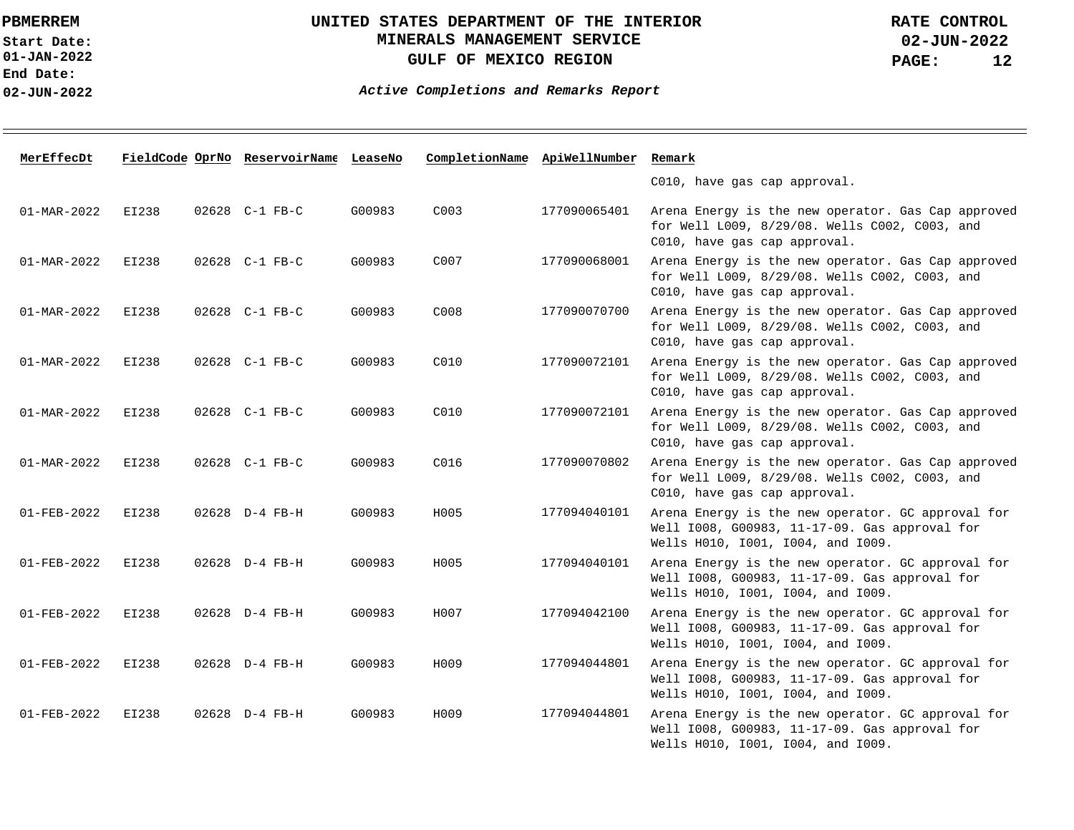**01-JAN-2022 Start Date: End Date: 02-JUN-2022**

## **UNITED STATES DEPARTMENT OF THE INTERIOR MINERALS MANAGEMENT SERVICE GULF OF MEXICO REGION**

| MerEffecDt        |       | FieldCode OprNo ReservoirName LeaseNo |        | CompletionName ApiWellNumber |              | Remark                                                                                                                                  |
|-------------------|-------|---------------------------------------|--------|------------------------------|--------------|-----------------------------------------------------------------------------------------------------------------------------------------|
|                   |       |                                       |        |                              |              | C010, have gas cap approval.                                                                                                            |
| 01-MAR-2022       | EI238 | 02628 C-1 FB-C                        | G00983 | C <sub>003</sub>             | 177090065401 | Arena Energy is the new operator. Gas Cap approved<br>for Well L009, 8/29/08. Wells C002, C003, and<br>C010, have gas cap approval.     |
| 01-MAR-2022       | EI238 | 02628 C-1 FB-C                        | G00983 | C007                         | 177090068001 | Arena Energy is the new operator. Gas Cap approved<br>for Well L009, 8/29/08. Wells C002, C003, and<br>C010, have gas cap approval.     |
| $01 - MAR - 2022$ | EI238 | 02628 C-1 FB-C                        | G00983 | C008                         | 177090070700 | Arena Energy is the new operator. Gas Cap approved<br>for Well L009, 8/29/08. Wells C002, C003, and<br>C010, have gas cap approval.     |
| 01-MAR-2022       | EI238 | 02628 C-1 FB-C                        | G00983 | C010                         | 177090072101 | Arena Energy is the new operator. Gas Cap approved<br>for Well L009, 8/29/08. Wells C002, C003, and<br>C010, have gas cap approval.     |
| 01-MAR-2022       | EI238 | 02628 C-1 FB-C                        | G00983 | C010                         | 177090072101 | Arena Energy is the new operator. Gas Cap approved<br>for Well L009, 8/29/08. Wells C002, C003, and<br>C010, have gas cap approval.     |
| 01-MAR-2022       | EI238 | 02628 C-1 FB-C                        | G00983 | C016                         | 177090070802 | Arena Energy is the new operator. Gas Cap approved<br>for Well L009, 8/29/08. Wells C002, C003, and<br>C010, have gas cap approval.     |
| $01 - FEB - 2022$ | EI238 | 02628 D-4 FB-H                        | G00983 | H005                         | 177094040101 | Arena Energy is the new operator. GC approval for<br>Well 1008, G00983, 11-17-09. Gas approval for<br>Wells H010, 1001, 1004, and 1009. |
| $01 - FEB - 2022$ | EI238 | 02628 D-4 FB-H                        | G00983 | H005                         | 177094040101 | Arena Energy is the new operator. GC approval for<br>Well 1008, G00983, 11-17-09. Gas approval for<br>Wells H010, 1001, 1004, and 1009. |
| $01 - FEB - 2022$ | EI238 | 02628 D-4 FB-H                        | G00983 | H007                         | 177094042100 | Arena Energy is the new operator. GC approval for<br>Well 1008, G00983, 11-17-09. Gas approval for<br>Wells H010, 1001, 1004, and 1009. |
| $01 - FEB - 2022$ | EI238 | 02628 D-4 FB-H                        | G00983 | H009                         | 177094044801 | Arena Energy is the new operator. GC approval for<br>Well 1008, G00983, 11-17-09. Gas approval for<br>Wells H010, 1001, 1004, and 1009. |
| 01-FEB-2022       | EI238 | 02628 D-4 FB-H                        | G00983 | H009                         | 177094044801 | Arena Energy is the new operator. GC approval for<br>Well 1008, G00983, 11-17-09. Gas approval for<br>Wells H010, 1001, 1004, and 1009. |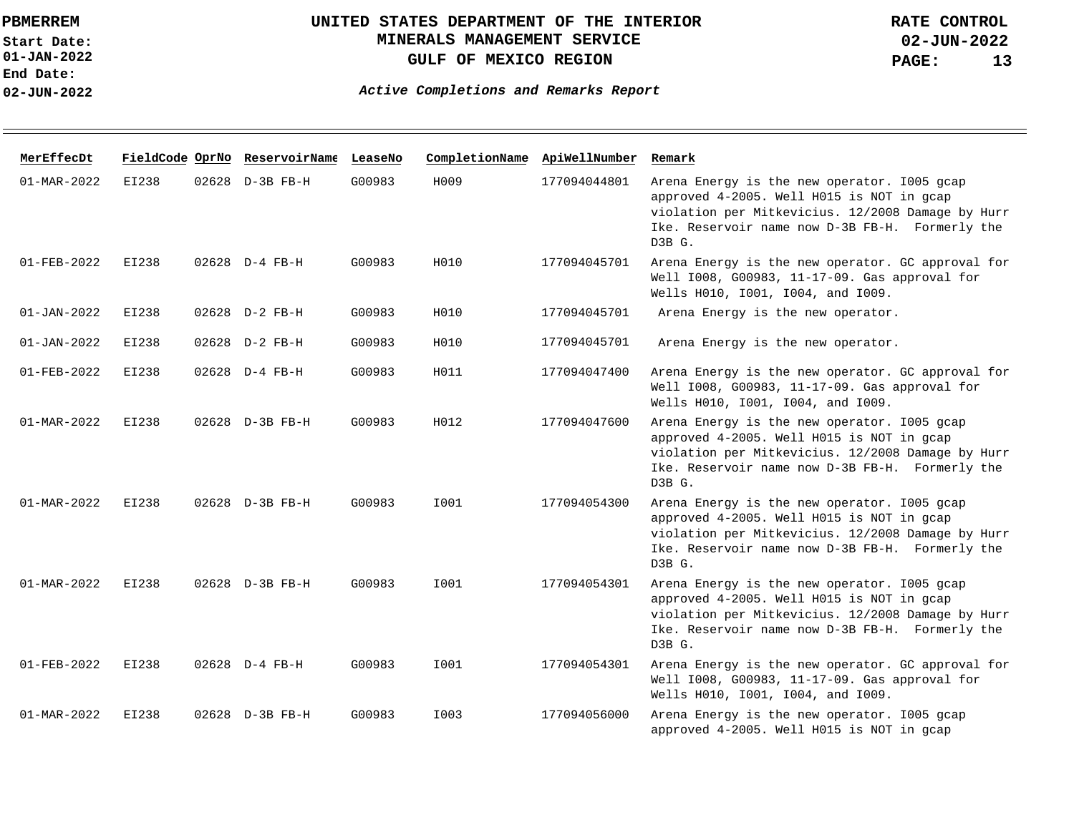**01-JAN-2022 Start Date: End Date: 02-JUN-2022**

# **UNITED STATES DEPARTMENT OF THE INTERIOR MINERALS MANAGEMENT SERVICE GULF OF MEXICO REGION**

| MerEffecDt               |              | FieldCode OprNo ReservoirName LeaseNo |        | CompletionName | ApiWellNumber | Remark                                                                                                                                                                                                     |
|--------------------------|--------------|---------------------------------------|--------|----------------|---------------|------------------------------------------------------------------------------------------------------------------------------------------------------------------------------------------------------------|
| $01 - \text{MAR} - 2022$ | EI238        | 02628 D-3B FB-H                       | G00983 | H009           | 177094044801  | Arena Energy is the new operator. 1005 gcap<br>approved 4-2005. Well H015 is NOT in gcap<br>violation per Mitkevicius. 12/2008 Damage by Hurr<br>Ike. Reservoir name now D-3B FB-H. Formerly the<br>D3B G. |
| $01 - FEB - 2022$        | <b>EI238</b> | 02628 D-4 FB-H                        | G00983 | H010           | 177094045701  | Arena Energy is the new operator. GC approval for<br>Well I008, G00983, 11-17-09. Gas approval for<br>Wells H010, 1001, 1004, and 1009.                                                                    |
| $01 - JAN - 2022$        | EI238        | 02628 D-2 FB-H                        | G00983 | H010           | 177094045701  | Arena Energy is the new operator.                                                                                                                                                                          |
| $01 - JAN - 2022$        | <b>EI238</b> | 02628 D-2 FB-H                        | G00983 | H010           | 177094045701  | Arena Energy is the new operator.                                                                                                                                                                          |
| $01 - FEB - 2022$        | EI238        | 02628 D-4 FB-H                        | G00983 | H011           | 177094047400  | Arena Energy is the new operator. GC approval for<br>Well 1008, G00983, 11-17-09. Gas approval for<br>Wells H010, 1001, 1004, and 1009.                                                                    |
| 01-MAR-2022              | EI238        | 02628 D-3B FB-H                       | G00983 | H012           | 177094047600  | Arena Energy is the new operator. 1005 gcap<br>approved 4-2005. Well H015 is NOT in gcap<br>violation per Mitkevicius. 12/2008 Damage by Hurr<br>Ike. Reservoir name now D-3B FB-H. Formerly the<br>D3B G. |
| $01 - MAR - 2022$        | EI238        | 02628 D-3B FB-H                       | G00983 | I001           | 177094054300  | Arena Energy is the new operator. 1005 gcap<br>approved 4-2005. Well H015 is NOT in gcap<br>violation per Mitkevicius. 12/2008 Damage by Hurr<br>Ike. Reservoir name now D-3B FB-H. Formerly the<br>D3B G. |
| $01 - \text{MAR} - 2022$ | EI238        | 02628 D-3B FB-H                       | G00983 | I001           | 177094054301  | Arena Energy is the new operator. 1005 gcap<br>approved 4-2005. Well H015 is NOT in gcap<br>violation per Mitkevicius. 12/2008 Damage by Hurr<br>Ike. Reservoir name now D-3B FB-H. Formerly the<br>D3B G. |
| $01 - FEB - 2022$        | EI238        | 02628 D-4 FB-H                        | G00983 | I001           | 177094054301  | Arena Energy is the new operator. GC approval for<br>Well 1008, G00983, 11-17-09. Gas approval for<br>Wells H010, 1001, 1004, and 1009.                                                                    |
| $01 - \text{MAR} - 2022$ | EI238        | 02628 D-3B FB-H                       | G00983 | I003           | 177094056000  | Arena Energy is the new operator. 1005 gcap<br>approved 4-2005. Well H015 is NOT in gcap                                                                                                                   |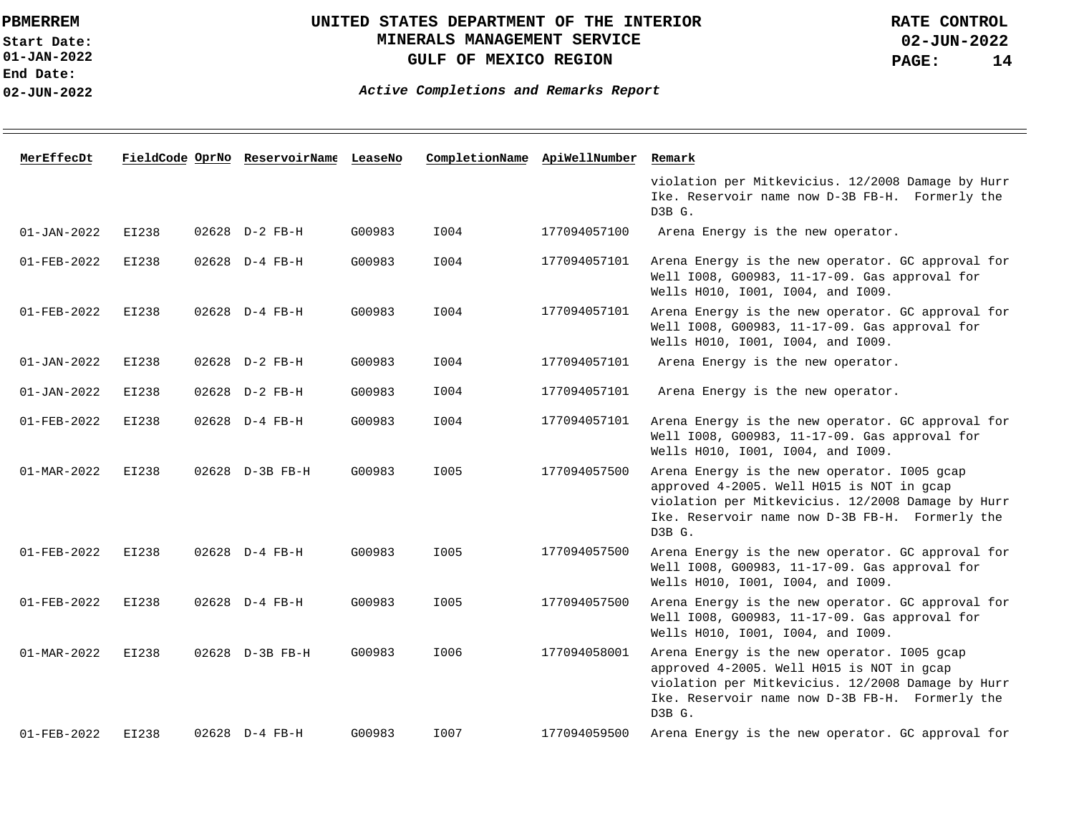**01-JAN-2022 Start Date: End Date: 02-JUN-2022**

## **UNITED STATES DEPARTMENT OF THE INTERIOR MINERALS MANAGEMENT SERVICE GULF OF MEXICO REGION**

| MerEffecDt               |       | FieldCode OprNo ReservoirName LeaseNo |        | CompletionName ApiWellNumber |              | Remark                                                                                                                                                                                                     |
|--------------------------|-------|---------------------------------------|--------|------------------------------|--------------|------------------------------------------------------------------------------------------------------------------------------------------------------------------------------------------------------------|
|                          |       |                                       |        |                              |              | violation per Mitkevicius. 12/2008 Damage by Hurr<br>Ike. Reservoir name now D-3B FB-H. Formerly the<br>D3B G.                                                                                             |
| $01 - JAN - 2022$        | EI238 | 02628 D-2 FB-H                        | G00983 | I004                         | 177094057100 | Arena Energy is the new operator.                                                                                                                                                                          |
| $01 - FEB - 2022$        | EI238 | 02628 D-4 FB-H                        | G00983 | I004                         | 177094057101 | Arena Energy is the new operator. GC approval for<br>Well 1008, G00983, 11-17-09. Gas approval for<br>Wells H010, I001, I004, and I009.                                                                    |
| $01 - FEB - 2022$        | EI238 | 02628 D-4 FB-H                        | G00983 | I004                         | 177094057101 | Arena Energy is the new operator. GC approval for<br>Well 1008, G00983, 11-17-09. Gas approval for<br>Wells H010, I001, I004, and I009.                                                                    |
| $01 - JAN - 2022$        | EI238 | 02628 D-2 FB-H                        | G00983 | I004                         | 177094057101 | Arena Energy is the new operator.                                                                                                                                                                          |
| $01 - JAN - 2022$        | EI238 | 02628 D-2 FB-H                        | G00983 | I004                         | 177094057101 | Arena Energy is the new operator.                                                                                                                                                                          |
| $01 - FEB - 2022$        | EI238 | 02628 D-4 FB-H                        | G00983 | I004                         | 177094057101 | Arena Energy is the new operator. GC approval for<br>Well 1008, G00983, 11-17-09. Gas approval for<br>Wells H010, 1001, 1004, and 1009.                                                                    |
| $01 - \text{MAR} - 2022$ | EI238 | 02628 D-3B FB-H                       | G00983 | I005                         | 177094057500 | Arena Energy is the new operator. 1005 gcap<br>approved 4-2005. Well H015 is NOT in gcap<br>violation per Mitkevicius. 12/2008 Damage by Hurr<br>Ike. Reservoir name now D-3B FB-H. Formerly the<br>D3B G. |
| $01 - FEB - 2022$        | EI238 | $02628$ D-4 FB-H                      | G00983 | I005                         | 177094057500 | Arena Energy is the new operator. GC approval for<br>Well 1008, G00983, 11-17-09. Gas approval for<br>Wells H010, 1001, 1004, and 1009.                                                                    |
| $01 - FEB - 2022$        | EI238 | 02628 D-4 FB-H                        | G00983 | I005                         | 177094057500 | Arena Energy is the new operator. GC approval for<br>Well 1008, G00983, 11-17-09. Gas approval for<br>Wells H010, 1001, 1004, and 1009.                                                                    |
| $01 - \text{MAR} - 2022$ | EI238 | 02628 D-3B FB-H                       | G00983 | I006                         | 177094058001 | Arena Energy is the new operator. 1005 gcap<br>approved 4-2005. Well H015 is NOT in gcap<br>violation per Mitkevicius. 12/2008 Damage by Hurr<br>Ike. Reservoir name now D-3B FB-H. Formerly the<br>D3B G. |
| $01 - FEB - 2022$        | EI238 | 02628 D-4 FB-H                        | G00983 | I007                         | 177094059500 | Arena Energy is the new operator. GC approval for                                                                                                                                                          |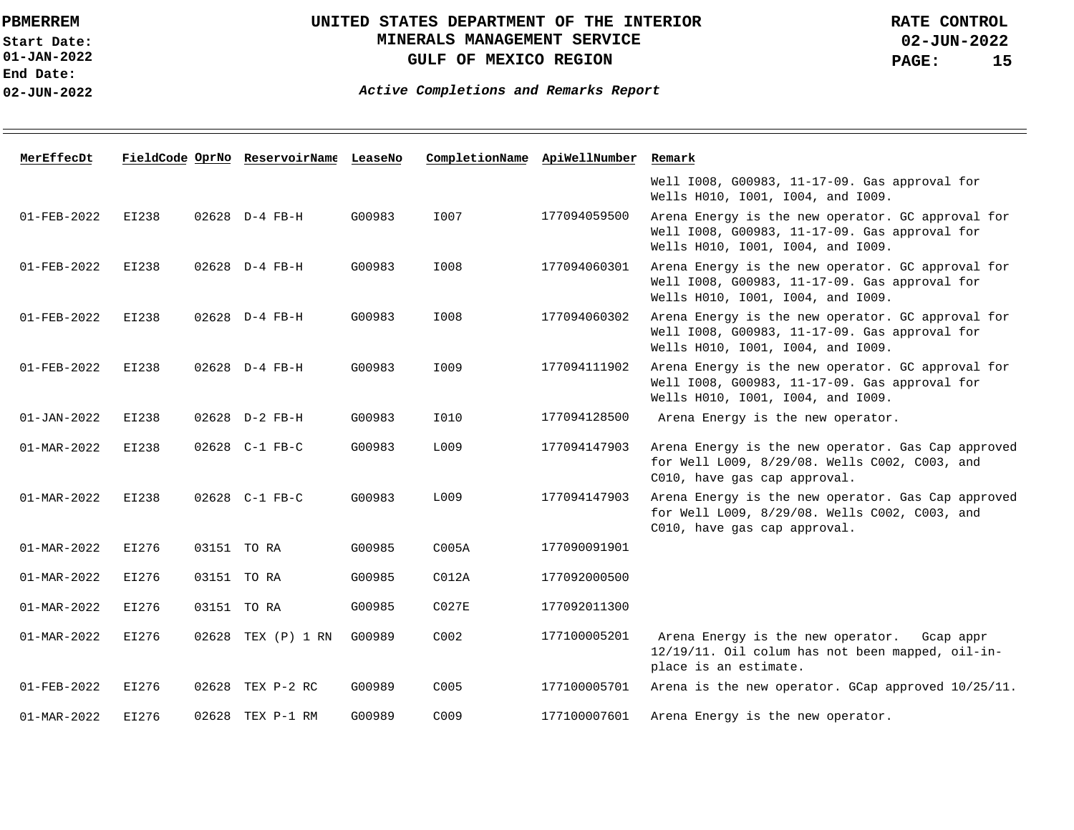**End Date:**

### **02-JUN-2022**

### **UNITED STATES DEPARTMENT OF THE INTERIOR MINERALS MANAGEMENT SERVICE GULF OF MEXICO REGION**

**02-JUN-2022 PAGE: 15 RATE CONTROL**

**Active Completions and Remarks Report** 

| MerEffecDt               |       |       | FieldCode OprNo ReservoirName LeaseNo |        | CompletionName ApiWellNumber |              | Remark                                                                                                                                  |
|--------------------------|-------|-------|---------------------------------------|--------|------------------------------|--------------|-----------------------------------------------------------------------------------------------------------------------------------------|
|                          |       |       |                                       |        |                              |              | Well 1008, G00983, 11-17-09. Gas approval for<br>Wells H010, I001, I004, and I009.                                                      |
| $01 - FEB - 2022$        | EI238 |       | 02628 D-4 FB-H                        | G00983 | I007                         | 177094059500 | Arena Energy is the new operator. GC approval for<br>Well 1008, G00983, 11-17-09. Gas approval for<br>Wells H010, 1001, 1004, and 1009. |
| 01-FEB-2022              | EI238 |       | 02628 D-4 FB-H                        | G00983 | I008                         | 177094060301 | Arena Energy is the new operator. GC approval for<br>Well 1008, G00983, 11-17-09. Gas approval for<br>Wells H010, I001, I004, and I009. |
| 01-FEB-2022              | EI238 |       | 02628 D-4 FB-H                        | G00983 | I008                         | 177094060302 | Arena Energy is the new operator. GC approval for<br>Well 1008, G00983, 11-17-09. Gas approval for<br>Wells H010, 1001, 1004, and 1009. |
| $01 - FEB - 2022$        | EI238 |       | 02628 D-4 FB-H                        | G00983 | I009                         | 177094111902 | Arena Energy is the new operator. GC approval for<br>Well 1008, G00983, 11-17-09. Gas approval for<br>Wells H010, 1001, 1004, and 1009. |
| $01 - JAN - 2022$        | EI238 |       | 02628 D-2 FB-H                        | G00983 | I010                         | 177094128500 | Arena Energy is the new operator.                                                                                                       |
| 01-MAR-2022              | EI238 |       | 02628 C-1 FB-C                        | G00983 | L009                         | 177094147903 | Arena Energy is the new operator. Gas Cap approved<br>for Well L009, 8/29/08. Wells C002, C003, and<br>C010, have gas cap approval.     |
| 01-MAR-2022              | EI238 |       | 02628 C-1 FB-C                        | G00983 | L009                         | 177094147903 | Arena Energy is the new operator. Gas Cap approved<br>for Well L009, 8/29/08. Wells C002, C003, and<br>C010, have gas cap approval.     |
| 01-MAR-2022              | EI276 |       | 03151 TO RA                           | G00985 | COO5A                        | 177090091901 |                                                                                                                                         |
| $01 - \text{MAR} - 2022$ | EI276 |       | 03151 TO RA                           | G00985 | CO12A                        | 177092000500 |                                                                                                                                         |
| $01 - \text{MAR} - 2022$ | EI276 | 03151 | TO RA                                 | G00985 | CO27E                        | 177092011300 |                                                                                                                                         |
| $01 - \text{MAR} - 2022$ | EI276 |       | 02628 TEX (P) 1 RN                    | G00989 | C <sub>002</sub>             | 177100005201 | Arena Energy is the new operator.<br>Gcap appr<br>12/19/11. Oil colum has not been mapped, oil-in-<br>place is an estimate.             |
| 01-FEB-2022              | EI276 |       | 02628 TEX P-2 RC                      | G00989 | C <sub>005</sub>             | 177100005701 | Arena is the new operator. GCap approved $10/25/11$ .                                                                                   |
| $01 - \text{MAR} - 2022$ | EI276 |       | 02628 TEX P-1 RM                      | G00989 | C <sub>009</sub>             | 177100007601 | Arena Energy is the new operator.                                                                                                       |

**01-JAN-2022 Start Date:**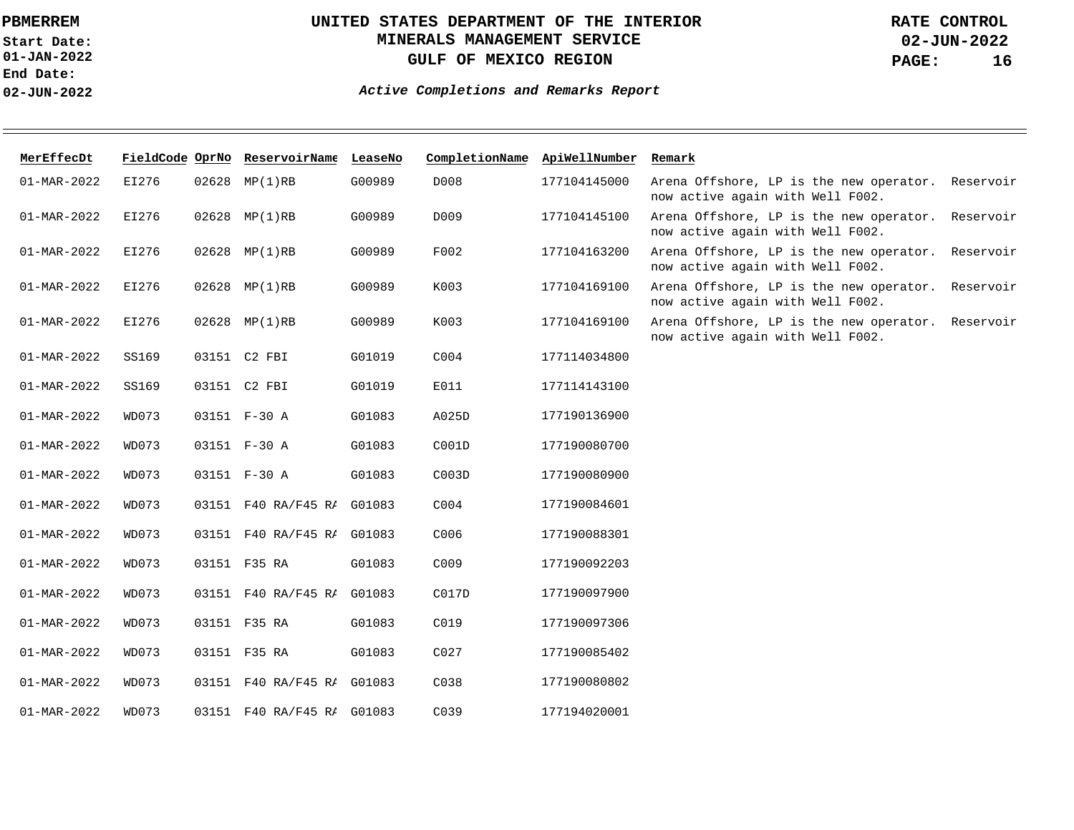**01-JAN-2022 Start Date: End Date: 02-JUN-2022**

## **UNITED STATES DEPARTMENT OF THE INTERIOR MINERALS MANAGEMENT SERVICE GULF OF MEXICO REGION**

**02-JUN-2022 PAGE: 16 RATE CONTROL**

| MerEffecDt        |       |       | FieldCode OprNo ReservoirName LeaseNo |        | CompletionName ApiWellNumber |              | Remark                                                                                   |
|-------------------|-------|-------|---------------------------------------|--------|------------------------------|--------------|------------------------------------------------------------------------------------------|
| $01 - MAR - 2022$ | EI276 |       | 02628 MP(1)RB                         | G00989 | D008                         | 177104145000 | Arena Offshore, LP is the new operator. Reservoir<br>now active again with Well F002.    |
| $01 - MAR - 2022$ | EI276 |       | 02628 MP(1)RB                         | G00989 | D009                         | 177104145100 | Arena Offshore, LP is the new operator.<br>Reservoir<br>now active again with Well F002. |
| 01-MAR-2022       | EI276 |       | 02628 MP(1)RB                         | G00989 | F002                         | 177104163200 | Arena Offshore, LP is the new operator.<br>Reservoir<br>now active again with Well F002. |
| 01-MAR-2022       | EI276 |       | 02628 MP(1)RB                         | G00989 | K003                         | 177104169100 | Arena Offshore, LP is the new operator.<br>Reservoir<br>now active again with Well F002. |
| 01-MAR-2022       | EI276 |       | 02628 MP(1)RB                         | G00989 | K003                         | 177104169100 | Arena Offshore, LP is the new operator.<br>Reservoir<br>now active again with Well F002. |
| 01-MAR-2022       | SS169 |       | 03151 C2 FBI                          | G01019 | C <sub>004</sub>             | 177114034800 |                                                                                          |
| 01-MAR-2022       | SS169 |       | 03151 C2 FBI                          | G01019 | E011                         | 177114143100 |                                                                                          |
| 01-MAR-2022       | WD073 |       | 03151 F-30 A                          | G01083 | A025D                        | 177190136900 |                                                                                          |
| 01-MAR-2022       | WD073 |       | 03151 F-30 A                          | G01083 | C001D                        | 177190080700 |                                                                                          |
| 01-MAR-2022       | WD073 |       | 03151 F-30 A                          | G01083 | C003D                        | 177190080900 |                                                                                          |
| 01-MAR-2022       | WD073 |       | 03151 F40 RA/F45 RI G01083            |        | C <sub>004</sub>             | 177190084601 |                                                                                          |
| $01 - MAR - 2022$ | WD073 |       | 03151 F40 RA/F45 RI G01083            |        | C006                         | 177190088301 |                                                                                          |
| 01-MAR-2022       | WD073 |       | 03151 F35 RA                          | G01083 | C009                         | 177190092203 |                                                                                          |
| 01-MAR-2022       | WD073 | 03151 | F40 RA/F45 RI G01083                  |        | C017D                        | 177190097900 |                                                                                          |
| $01 - MAR - 2022$ | WD073 |       | 03151 F35 RA                          | G01083 | C019                         | 177190097306 |                                                                                          |
| 01-MAR-2022       | WD073 |       | 03151 F35 RA                          | G01083 | CO <sub>27</sub>             | 177190085402 |                                                                                          |
| 01-MAR-2022       | WD073 |       | 03151 F40 RA/F45 RI G01083            |        | C038                         | 177190080802 |                                                                                          |
| 01-MAR-2022       | WD073 |       | 03151 F40 RA/F45 RI                   | G01083 | C <sub>0</sub> 39            | 177194020001 |                                                                                          |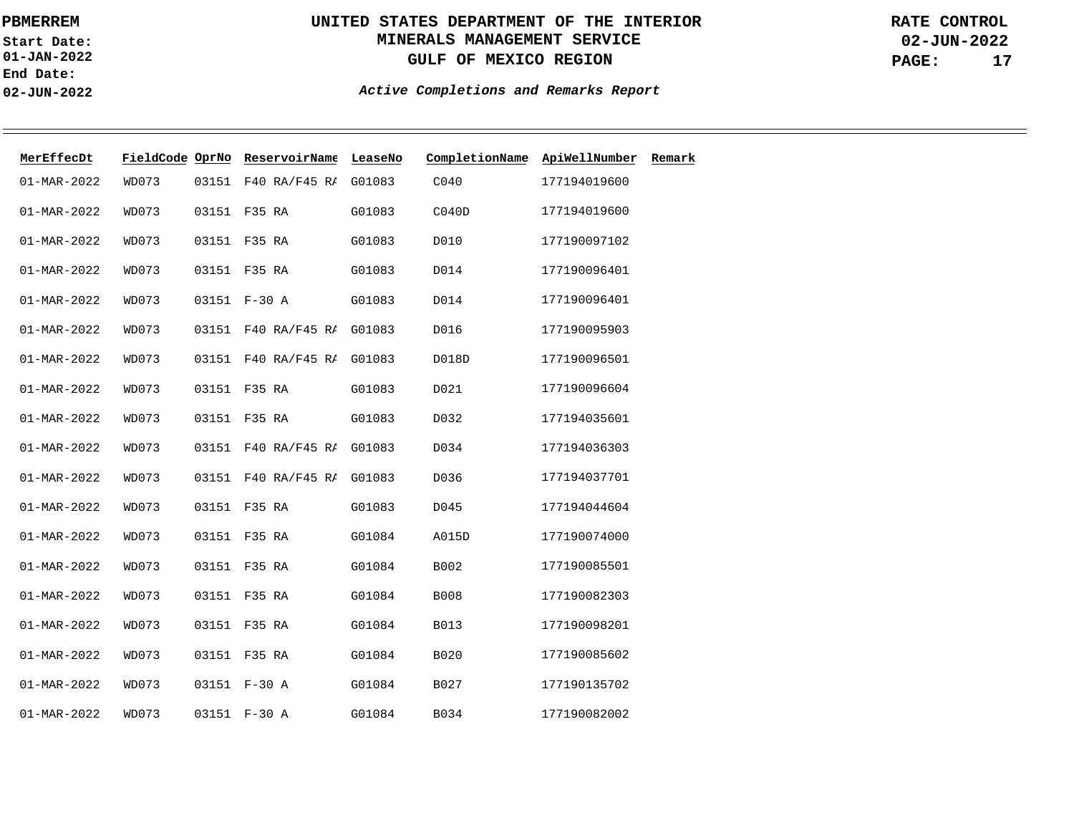**01-JAN-2022 Start Date: End Date: 02-JUN-2022**

# **UNITED STATES DEPARTMENT OF THE INTERIOR MINERALS MANAGEMENT SERVICE GULF OF MEXICO REGION**

**02-JUN-2022 PAGE: 17 RATE CONTROL**

| MerEffecDt               | FieldCode OprNo |       | ReservoirName       | LeaseNo | CompletionName | ApiWellNumber | Remark |
|--------------------------|-----------------|-------|---------------------|---------|----------------|---------------|--------|
| $01 - \text{MAR} - 2022$ | WD073           | 03151 | F40 RA/F45 RI       | G01083  | C040           | 177194019600  |        |
| $01 - MAR - 2022$        | WD073           |       | 03151 F35 RA        | G01083  | CO40D          | 177194019600  |        |
| $01 - MAR - 2022$        | WD073           |       | 03151 F35 RA        | G01083  | D010           | 177190097102  |        |
| $01 - MAR - 2022$        | WD073           |       | 03151 F35 RA        | G01083  | D014           | 177190096401  |        |
| 01-MAR-2022              | WD073           |       | 03151 F-30 A        | G01083  | D014           | 177190096401  |        |
| $01 - MAR - 2022$        | WD073           |       | 03151 F40 RA/F45 RI | G01083  | D016           | 177190095903  |        |
| $01 - MAR - 2022$        | WD073           |       | 03151 F40 RA/F45 RI | G01083  | D018D          | 177190096501  |        |
| $01 - MAR - 2022$        | WD073           |       | 03151 F35 RA        | G01083  | D021           | 177190096604  |        |
| $01 - MAR - 2022$        | WD073           |       | 03151 F35 RA        | G01083  | D032           | 177194035601  |        |
| $01 - MAR - 2022$        | WD073           |       | 03151 F40 RA/F45 RI | G01083  | D034           | 177194036303  |        |
| $01 - MAR - 2022$        | WD073           | 03151 | F40 RA/F45 RI       | G01083  | D036           | 177194037701  |        |
| $01 - \text{MAR} - 2022$ | WD073           | 03151 | F35 RA              | G01083  | D045           | 177194044604  |        |
| $01 - MAR - 2022$        | <b>WD073</b>    |       | 03151 F35 RA        | G01084  | A015D          | 177190074000  |        |
| $01 - MAR - 2022$        | WD073           | 03151 | F35 RA              | G01084  | B002           | 177190085501  |        |
| $01 - MAR - 2022$        | WD073           |       | 03151 F35 RA        | G01084  | B008           | 177190082303  |        |
| $01 - MAR - 2022$        | WD073           |       | 03151 F35 RA        | G01084  | B013           | 177190098201  |        |
| 01-MAR-2022              | WD073           |       | 03151 F35 RA        | G01084  | <b>B020</b>    | 177190085602  |        |
| $01 - MAR - 2022$        | WD073           |       | 03151 F-30 A        | G01084  | B027           | 177190135702  |        |
| $01 - MAR - 2022$        | WD073           |       | 03151 F-30 A        | G01084  | B034           | 177190082002  |        |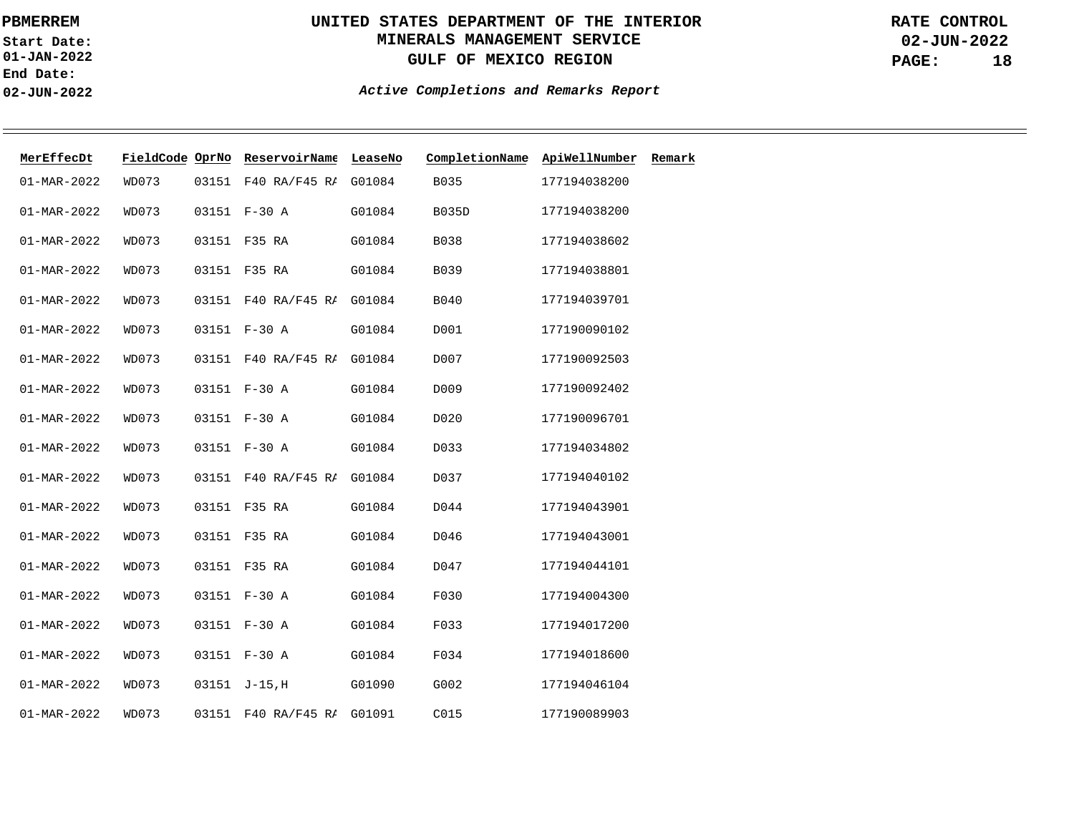**01-JAN-2022 Start Date: End Date: 02-JUN-2022**

# **UNITED STATES DEPARTMENT OF THE INTERIOR MINERALS MANAGEMENT SERVICE GULF OF MEXICO REGION**

**02-JUN-2022 PAGE: 18 RATE CONTROL**

| MerEffecDt        | FieldCode OprNo |       | ReservoirName              | LeaseNo | CompletionName | ApiWellNumber | Remark |
|-------------------|-----------------|-------|----------------------------|---------|----------------|---------------|--------|
| 01-MAR-2022       | WD073           | 03151 | F40 RA/F45 RI              | G01084  | B035           | 177194038200  |        |
| 01-MAR-2022       | WD073           |       | 03151 F-30 A               | G01084  | <b>B035D</b>   | 177194038200  |        |
| $01 - MAR - 2022$ | WD073           |       | 03151 F35 RA               | G01084  | B038           | 177194038602  |        |
| $01 - MAR - 2022$ | WD073           |       | 03151 F35 RA               | G01084  | B039           | 177194038801  |        |
| 01-MAR-2022       | WD073           |       | 03151 F40 RA/F45 RI G01084 |         | B040           | 177194039701  |        |
| $01 - MAR - 2022$ | WD073           |       | 03151 F-30 A               | G01084  | D001           | 177190090102  |        |
| $01 - MAR - 2022$ | WD073           |       | 03151 F40 RA/F45 RI G01084 |         | D007           | 177190092503  |        |
| $01 - MAR - 2022$ | WD073           |       | 03151 F-30 A               | G01084  | D009           | 177190092402  |        |
| $01 - MAR - 2022$ | WD073           |       | 03151 F-30 A               | G01084  | D020           | 177190096701  |        |
| $01 - MAR - 2022$ | WD073           |       | 03151 F-30 A               | G01084  | D033           | 177194034802  |        |
| 01-MAR-2022       | WD073           |       | 03151 F40 RA/F45 RI G01084 |         | D037           | 177194040102  |        |
| $01 - MAR - 2022$ | WD073           | 03151 | F35 RA                     | G01084  | D044           | 177194043901  |        |
| $01 - MAR - 2022$ | WD073           |       | 03151 F35 RA               | G01084  | D046           | 177194043001  |        |
| $01 - MAR - 2022$ | WD073           |       | 03151 F35 RA               | G01084  | D047           | 177194044101  |        |
| $01 - MAR - 2022$ | WD073           |       | 03151 F-30 A               | G01084  | F030           | 177194004300  |        |
| $01 - MAR - 2022$ | WD073           |       | 03151 F-30 A               | G01084  | F033           | 177194017200  |        |
| 01-MAR-2022       | WD073           |       | 03151 F-30 A               | G01084  | F034           | 177194018600  |        |
| $01 - MAR - 2022$ | WD073           |       | 03151 J-15, H              | G01090  | G002           | 177194046104  |        |
| $01 - MAR - 2022$ | WD073           |       | 03151 F40 RA/F45 RI G01091 |         | C015           | 177190089903  |        |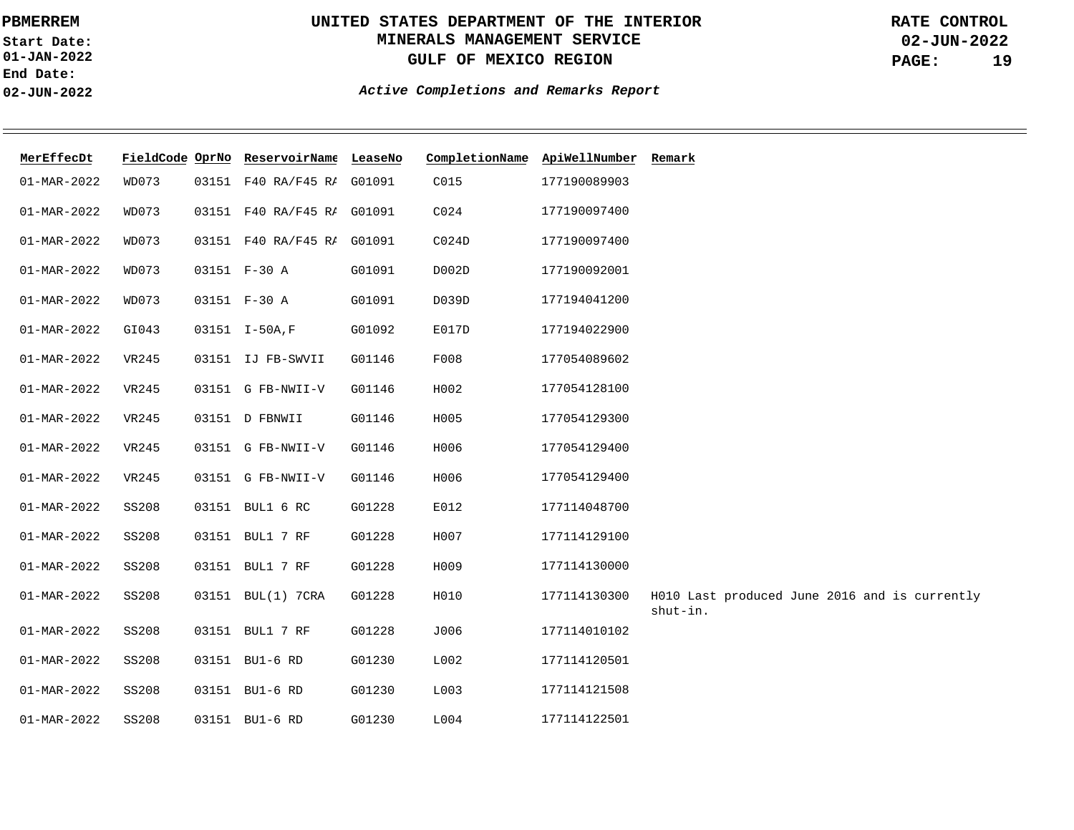**01-JAN-2022 Start Date: End Date: 02-JUN-2022**

# **UNITED STATES DEPARTMENT OF THE INTERIOR MINERALS MANAGEMENT SERVICE GULF OF MEXICO REGION**

**02-JUN-2022 PAGE: 19 RATE CONTROL**

| MerEffecDt        |              |       | FieldCode OprNo ReservoirName LeaseNo |        | CompletionName ApiWellNumber Remark |              |                                                           |
|-------------------|--------------|-------|---------------------------------------|--------|-------------------------------------|--------------|-----------------------------------------------------------|
| 01-MAR-2022       | WD073        | 03151 | F40 RA/F45 RI G01091                  |        | C015                                | 177190089903 |                                                           |
| $01 - MAR - 2022$ | WD073        |       | 03151 F40 RA/F45 RI G01091            |        | CO24                                | 177190097400 |                                                           |
| $01 - MAR - 2022$ | WD073        |       | 03151 F40 RA/F45 RI G01091            |        | CO24D                               | 177190097400 |                                                           |
| 01-MAR-2022       | WD073        |       | 03151 F-30 A                          | G01091 | D002D                               | 177190092001 |                                                           |
| $01 - MAR - 2022$ | WD073        |       | 03151 F-30 A                          | G01091 | D039D                               | 177194041200 |                                                           |
| $01 - MAR - 2022$ | GI043        |       | 03151 I-50A, F                        | G01092 | E017D                               | 177194022900 |                                                           |
| $01 - MAR - 2022$ | VR245        |       | 03151 IJ FB-SWVII                     | G01146 | F008                                | 177054089602 |                                                           |
| $01 - MAR - 2022$ | VR245        |       | 03151 G FB-NWII-V                     | G01146 | H002                                | 177054128100 |                                                           |
| $01 - MAR - 2022$ | VR245        |       | 03151 D FBNWII                        | G01146 | H005                                | 177054129300 |                                                           |
| $01 - MAR - 2022$ | <b>VR245</b> |       | 03151 G FB-NWII-V                     | G01146 | H006                                | 177054129400 |                                                           |
| $01 - MAR - 2022$ | <b>VR245</b> |       | 03151 G FB-NWII-V                     | G01146 | H006                                | 177054129400 |                                                           |
| $01 - MAR - 2022$ | SS208        |       | 03151 BUL1 6 RC                       | G01228 | E012                                | 177114048700 |                                                           |
| 01-MAR-2022       | <b>SS208</b> |       | 03151 BUL1 7 RF                       | G01228 | H007                                | 177114129100 |                                                           |
| $01 - MAR - 2022$ | <b>SS208</b> |       | 03151 BUL1 7 RF                       | G01228 | H009                                | 177114130000 |                                                           |
| $01 - MAR - 2022$ | <b>SS208</b> |       | 03151 BUL(1) 7CRA                     | G01228 | H010                                | 177114130300 | H010 Last produced June 2016 and is currently<br>shut-in. |
| $01 - MAR - 2022$ | <b>SS208</b> |       | 03151 BUL1 7 RF                       | G01228 | J006                                | 177114010102 |                                                           |
| $01 - MAR - 2022$ | SS208        | 03151 | BU1-6 RD                              | G01230 | L002                                | 177114120501 |                                                           |
| $01 - MAR - 2022$ | <b>SS208</b> |       | 03151 BU1-6 RD                        | G01230 | L003                                | 177114121508 |                                                           |
| $01 - MAR - 2022$ | <b>SS208</b> |       | 03151 BU1-6 RD                        | G01230 | L004                                | 177114122501 |                                                           |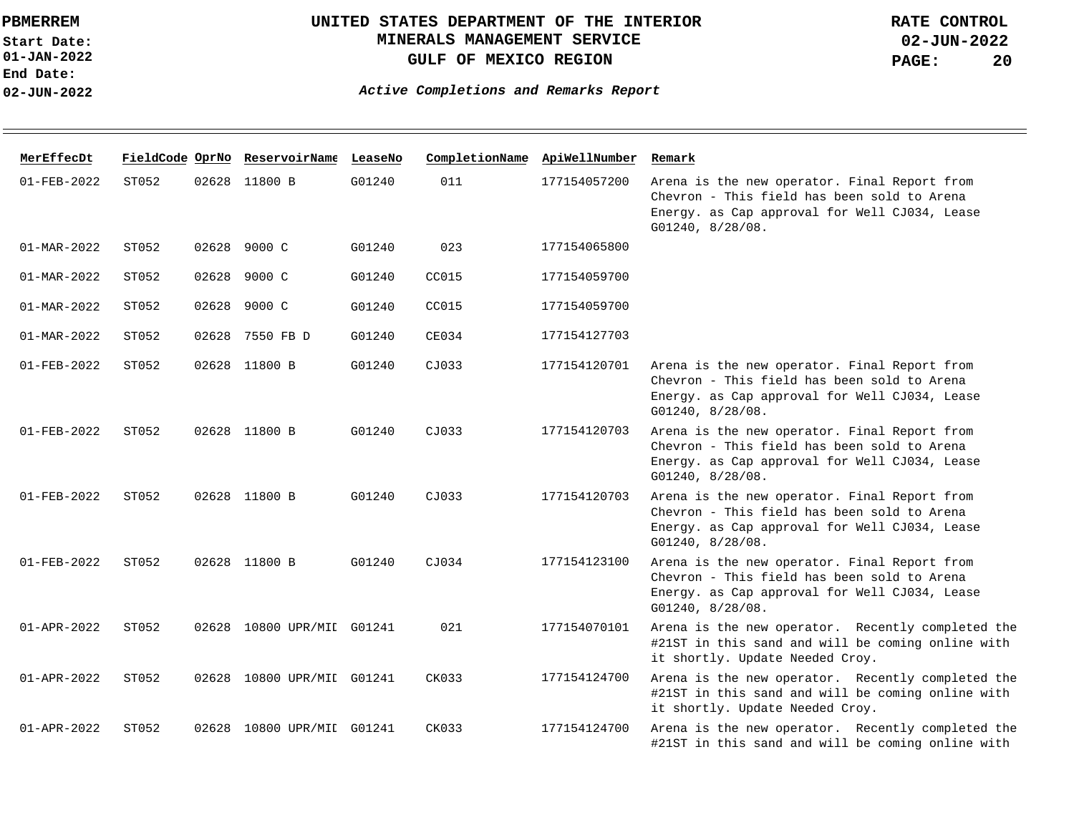**01-JAN-2022 Start Date: End Date: 02-JUN-2022**

## **UNITED STATES DEPARTMENT OF THE INTERIOR MINERALS MANAGEMENT SERVICE GULF OF MEXICO REGION**

**02-JUN-2022 PAGE: 20 RATE CONTROL**

| MerEffecDt               |       |       | FieldCode OprNo ReservoirName LeaseNo |        | CompletionName ApiWellNumber |              | Remark                                                                                                                                                           |
|--------------------------|-------|-------|---------------------------------------|--------|------------------------------|--------------|------------------------------------------------------------------------------------------------------------------------------------------------------------------|
| $01 - FEB - 2022$        | ST052 |       | 02628 11800 B                         | G01240 | 011                          | 177154057200 | Arena is the new operator. Final Report from<br>Chevron - This field has been sold to Arena<br>Energy. as Cap approval for Well CJ034, Lease<br>G01240, 8/28/08. |
| $01 - \text{MAR} - 2022$ | ST052 | 02628 | 9000 C                                | G01240 | 023                          | 177154065800 |                                                                                                                                                                  |
| $01 - \text{MAR} - 2022$ | ST052 | 02628 | 9000 C                                | G01240 | CC015                        | 177154059700 |                                                                                                                                                                  |
| 01-MAR-2022              | ST052 | 02628 | 9000 C                                | G01240 | CC015                        | 177154059700 |                                                                                                                                                                  |
| $01 - \text{MAR} - 2022$ | ST052 | 02628 | 7550 FB D                             | G01240 | CE034                        | 177154127703 |                                                                                                                                                                  |
| 01-FEB-2022              | ST052 |       | 02628 11800 B                         | G01240 | CJ033                        | 177154120701 | Arena is the new operator. Final Report from<br>Chevron - This field has been sold to Arena<br>Energy. as Cap approval for Well CJ034, Lease<br>G01240, 8/28/08. |
| $01 - FEB - 2022$        | ST052 |       | 02628 11800 B                         | G01240 | CJ033                        | 177154120703 | Arena is the new operator. Final Report from<br>Chevron - This field has been sold to Arena<br>Energy. as Cap approval for Well CJ034, Lease<br>G01240, 8/28/08. |
| $01 - FEB - 2022$        | ST052 |       | 02628 11800 B                         | G01240 | CJ033                        | 177154120703 | Arena is the new operator. Final Report from<br>Chevron - This field has been sold to Arena<br>Energy. as Cap approval for Well CJ034, Lease<br>G01240, 8/28/08. |
| $01 - FEB - 2022$        | ST052 |       | 02628 11800 B                         | G01240 | CJ034                        | 177154123100 | Arena is the new operator. Final Report from<br>Chevron - This field has been sold to Arena<br>Energy. as Cap approval for Well CJ034, Lease<br>G01240, 8/28/08. |
| $01 - APR - 2022$        | ST052 |       | 02628 10800 UPR/MII G01241            |        | 021                          | 177154070101 | Arena is the new operator. Recently completed the<br>#21ST in this sand and will be coming online with<br>it shortly. Update Needed Croy.                        |
| $01 - APR - 2022$        | ST052 |       | 02628 10800 UPR/MII G01241            |        | CK033                        | 177154124700 | Arena is the new operator. Recently completed the<br>#21ST in this sand and will be coming online with<br>it shortly. Update Needed Croy.                        |
| $01 - APR - 2022$        | ST052 | 02628 | 10800 UPR/MII G01241                  |        | CK033                        | 177154124700 | Arena is the new operator. Recently completed the<br>#21ST in this sand and will be coming online with                                                           |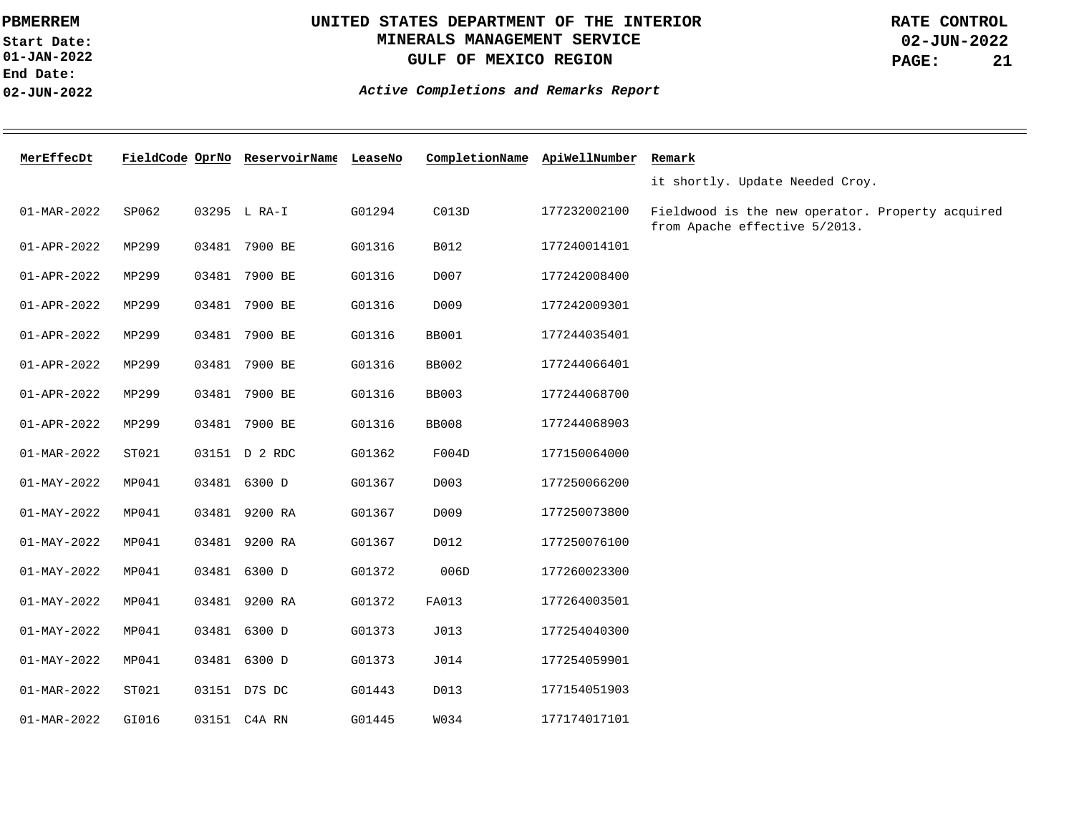**01-JAN-2022 Start Date: End Date: 02-JUN-2022**

### **UNITED STATES DEPARTMENT OF THE INTERIOR MINERALS MANAGEMENT SERVICE GULF OF MEXICO REGION**

**02-JUN-2022 PAGE: 21 RATE CONTROL**

| MerEffecDt        |       | FieldCode OprNo ReservoirName LeaseNo |        | CompletionName ApiWellNumber |              | Remark                                                                            |
|-------------------|-------|---------------------------------------|--------|------------------------------|--------------|-----------------------------------------------------------------------------------|
|                   |       |                                       |        |                              |              | it shortly. Update Needed Croy.                                                   |
| $01 - MAR - 2022$ | SP062 | 03295 L RA-I                          | G01294 | C013D                        | 177232002100 | Fieldwood is the new operator. Property acquired<br>from Apache effective 5/2013. |
| 01-APR-2022       | MP299 | 03481 7900 BE                         | G01316 | B012                         | 177240014101 |                                                                                   |
| 01-APR-2022       | MP299 | 03481 7900 BE                         | G01316 | D007                         | 177242008400 |                                                                                   |
| $01 - APR - 2022$ | MP299 | 03481 7900 BE                         | G01316 | D009                         | 177242009301 |                                                                                   |
| 01-APR-2022       | MP299 | 03481 7900 BE                         | G01316 | <b>BB001</b>                 | 177244035401 |                                                                                   |
| 01-APR-2022       | MP299 | 03481 7900 BE                         | G01316 | <b>BB002</b>                 | 177244066401 |                                                                                   |
| 01-APR-2022       | MP299 | 03481 7900 BE                         | G01316 | <b>BB003</b>                 | 177244068700 |                                                                                   |
| 01-APR-2022       | MP299 | 03481 7900 BE                         | G01316 | <b>BB008</b>                 | 177244068903 |                                                                                   |
| $01 - MAR - 2022$ | ST021 | 03151 D 2 RDC                         | G01362 | F004D                        | 177150064000 |                                                                                   |
| $01 - MAY - 2022$ | MP041 | 03481 6300 D                          | G01367 | D003                         | 177250066200 |                                                                                   |
| $01 - MAY - 2022$ | MP041 | 03481 9200 RA                         | G01367 | D009                         | 177250073800 |                                                                                   |
| $01 - MAY - 2022$ | MP041 | 03481 9200 RA                         | G01367 | D012                         | 177250076100 |                                                                                   |
| $01 - MAY - 2022$ | MP041 | 03481 6300 D                          | G01372 | 006D                         | 177260023300 |                                                                                   |
| $01 - MAY - 2022$ | MP041 | 03481 9200 RA                         | G01372 | FA013                        | 177264003501 |                                                                                   |
| $01 - MAY - 2022$ | MP041 | 03481 6300 D                          | G01373 | J013                         | 177254040300 |                                                                                   |
| $01 - MAY - 2022$ | MP041 | 03481 6300 D                          | G01373 | J014                         | 177254059901 |                                                                                   |
| 01-MAR-2022       | ST021 | 03151 D7S DC                          | G01443 | D013                         | 177154051903 |                                                                                   |
| 01-MAR-2022       | GI016 | 03151 C4A RN                          | G01445 | W034                         | 177174017101 |                                                                                   |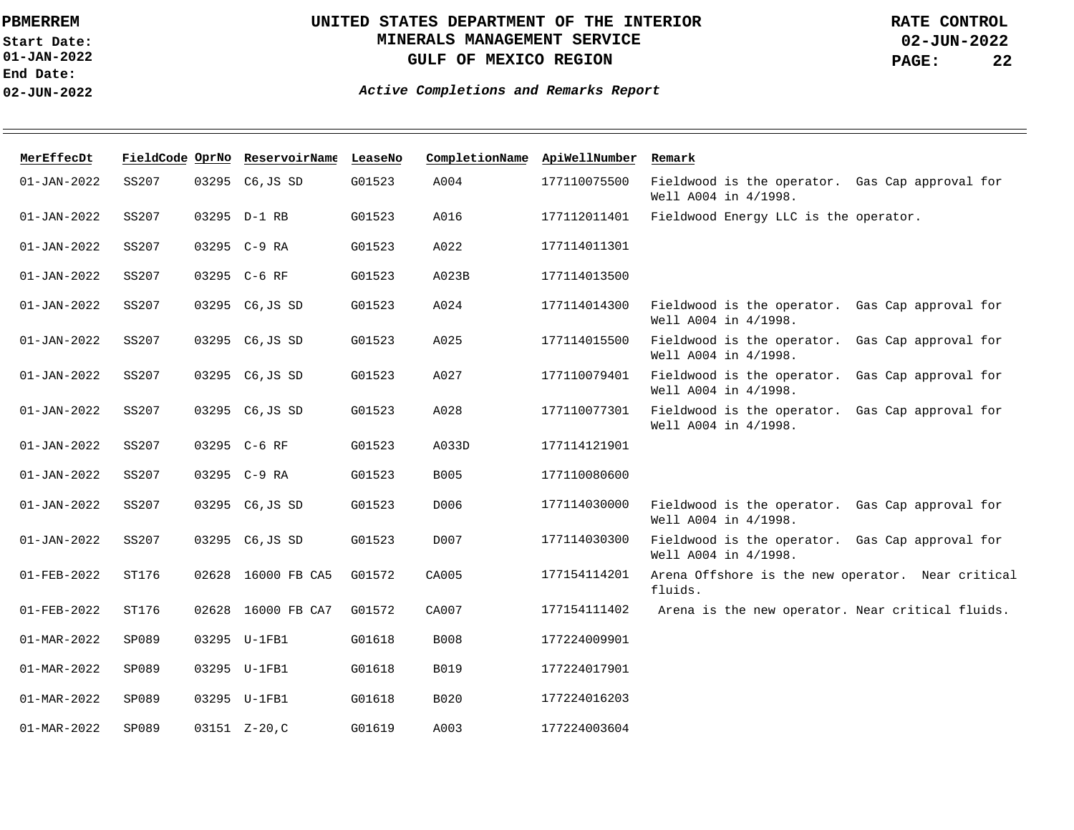**01-JAN-2022 Start Date: End Date: 02-JUN-2022**

## **UNITED STATES DEPARTMENT OF THE INTERIOR MINERALS MANAGEMENT SERVICE GULF OF MEXICO REGION**

| MerEffecDt        |       | FieldCode OprNo ReservoirName LeaseNo |        | CompletionName | ApiWellNumber | Remark                                                                     |
|-------------------|-------|---------------------------------------|--------|----------------|---------------|----------------------------------------------------------------------------|
| $01 - JAN - 2022$ | SS207 | 03295 C6, JS SD                       | G01523 | A004           | 177110075500  | Fieldwood is the operator. Gas Cap approval for<br>Well A004 in 4/1998.    |
| $01 - JAN - 2022$ | SS207 | 03295 D-1 RB                          | G01523 | A016           | 177112011401  | Fieldwood Energy LLC is the operator.                                      |
| $01 - JAN - 2022$ | SS207 | 03295 C-9 RA                          | G01523 | A022           | 177114011301  |                                                                            |
| $01 - JAN - 2022$ | SS207 | 03295 C-6 RF                          | G01523 | A023B          | 177114013500  |                                                                            |
| $01 - JAN - 2022$ | SS207 | 03295 C6, JS SD                       | G01523 | A024           | 177114014300  | Fieldwood is the operator. Gas Cap approval for<br>Well A004 in 4/1998.    |
| $01 - JAN - 2022$ | SS207 | 03295 C6, JS SD                       | G01523 | A025           | 177114015500  | Fieldwood is the operator.<br>Gas Cap approval for<br>Well A004 in 4/1998. |
| $01 - JAN - 2022$ | SS207 | 03295 C6, JS SD                       | G01523 | A027           | 177110079401  | Fieldwood is the operator.<br>Gas Cap approval for<br>Well A004 in 4/1998. |
| $01 - JAN - 2022$ | SS207 | 03295 C6, JS SD                       | G01523 | A028           | 177110077301  | Fieldwood is the operator.<br>Gas Cap approval for<br>Well A004 in 4/1998. |
| $01 - JAN - 2022$ | SS207 | 03295 C-6 RF                          | G01523 | A033D          | 177114121901  |                                                                            |
| $01 - JAN - 2022$ | SS207 | 03295 C-9 RA                          | G01523 | <b>B005</b>    | 177110080600  |                                                                            |
| $01 - JAN - 2022$ | SS207 | 03295 C6, JS SD                       | G01523 | D006           | 177114030000  | Fieldwood is the operator. Gas Cap approval for<br>Well A004 in 4/1998.    |
| $01 - JAN - 2022$ | SS207 | 03295 C6, JS SD                       | G01523 | D007           | 177114030300  | Fieldwood is the operator. Gas Cap approval for<br>Well A004 in 4/1998.    |
| 01-FEB-2022       | ST176 | 02628 16000 FB CA5                    | G01572 | CA005          | 177154114201  | Arena Offshore is the new operator. Near critical<br>fluids.               |
| 01-FEB-2022       | ST176 | 02628 16000 FB CA7                    | G01572 | CA007          | 177154111402  | Arena is the new operator. Near critical fluids.                           |
| $01 - MAR - 2022$ | SP089 | 03295 U-1FB1                          | G01618 | <b>B008</b>    | 177224009901  |                                                                            |
| 01-MAR-2022       | SP089 | 03295 U-1FB1                          | G01618 | <b>B019</b>    | 177224017901  |                                                                            |
| $01 - MAR - 2022$ | SP089 | 03295 U-1FB1                          | G01618 | B020           | 177224016203  |                                                                            |
| 01-MAR-2022       | SP089 | 03151 Z-20, C                         | G01619 | A003           | 177224003604  |                                                                            |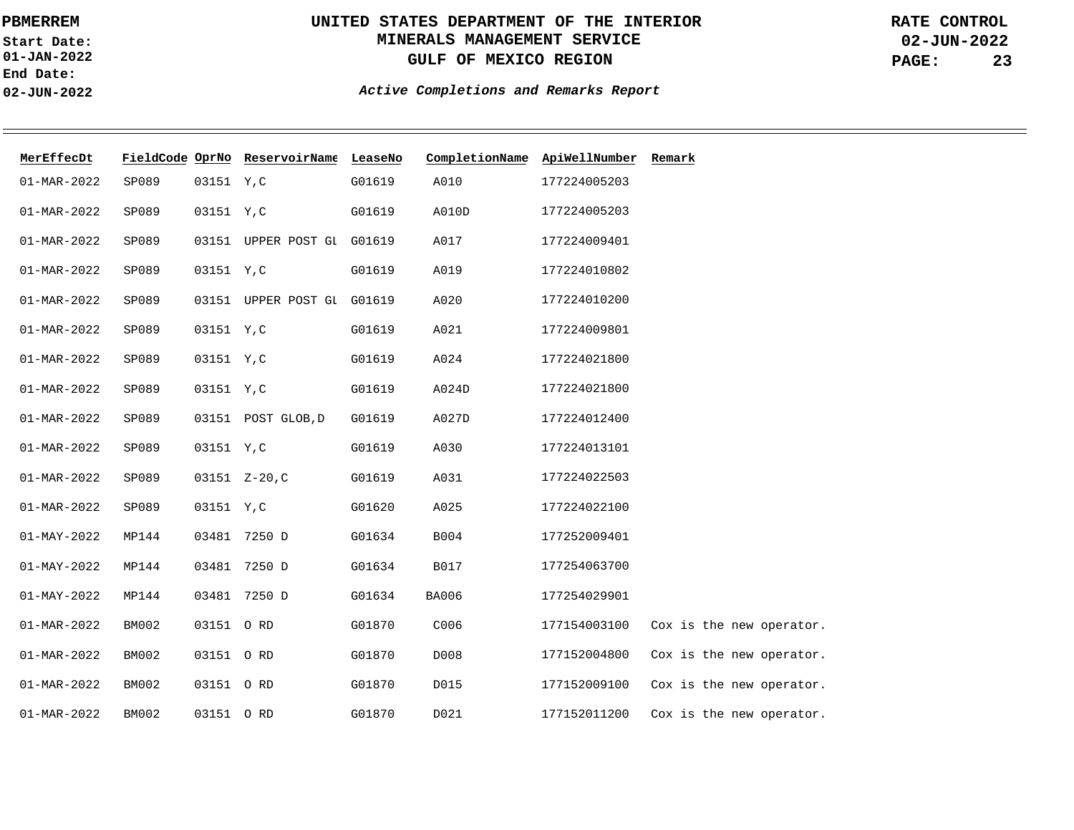**01-JAN-2022 Start Date: End Date: 02-JUN-2022**

# **UNITED STATES DEPARTMENT OF THE INTERIOR MINERALS MANAGEMENT SERVICE GULF OF MEXICO REGION**

**02-JUN-2022 PAGE: 23 RATE CONTROL**

| MerEffecDt        |              |            | FieldCode OprNo ReservoirName LeaseNo |        | CompletionName | ApiWellNumber | Remark                   |
|-------------------|--------------|------------|---------------------------------------|--------|----------------|---------------|--------------------------|
| $01 - MAR - 2022$ | SP089        | 03151 Y, C |                                       | G01619 | A010           | 177224005203  |                          |
| $01 - MAR - 2022$ | SP089        | 03151 Y, C |                                       | G01619 | A010D          | 177224005203  |                          |
| $01 - MAR - 2022$ | SP089        |            | 03151 UPPER POST GI G01619            |        | A017           | 177224009401  |                          |
| $01 - MAR - 2022$ | SP089        | 03151 Y, C |                                       | G01619 | A019           | 177224010802  |                          |
| $01 - MAR - 2022$ | SP089        |            | 03151 UPPER POST GI G01619            |        | A020           | 177224010200  |                          |
| $01 - MAR - 2022$ | SP089        | 03151 Y, C |                                       | G01619 | A021           | 177224009801  |                          |
| $01 - MAR - 2022$ | SP089        | 03151 Y, C |                                       | G01619 | A024           | 177224021800  |                          |
| $01 - MAR - 2022$ | SP089        | 03151 Y, C |                                       | G01619 | A024D          | 177224021800  |                          |
| $01 - MAR - 2022$ | SP089        |            | 03151 POST GLOB, D                    | G01619 | A027D          | 177224012400  |                          |
| $01 - MAR - 2022$ | SP089        | 03151 Y, C |                                       | G01619 | A030           | 177224013101  |                          |
| $01 - MAR - 2022$ | SP089        |            | 03151 Z-20, C                         | G01619 | A031           | 177224022503  |                          |
| $01 - MAR - 2022$ | SP089        | 03151 Y, C |                                       | G01620 | A025           | 177224022100  |                          |
| $01 - MAY - 2022$ | MP144        |            | 03481 7250 D                          | G01634 | B004           | 177252009401  |                          |
| $01 - MAY - 2022$ | MP144        |            | 03481 7250 D                          | G01634 | B017           | 177254063700  |                          |
| $01 - MAY - 2022$ | MP144        |            | 03481 7250 D                          | G01634 | <b>BA006</b>   | 177254029901  |                          |
| $01 - MAR - 2022$ | BM002        | 03151 ORD  |                                       | G01870 | C006           | 177154003100  | Cox is the new operator. |
| $01 - MAR - 2022$ | <b>BM002</b> | 03151 ORD  |                                       | G01870 | D008           | 177152004800  | Cox is the new operator. |
| $01 - MAR - 2022$ | BM002        | 03151 ORD  |                                       | G01870 | D015           | 177152009100  | Cox is the new operator. |
| $01 - MAR - 2022$ | BM002        | 03151 O RD |                                       | G01870 | D021           | 177152011200  | Cox is the new operator. |
|                   |              |            |                                       |        |                |               |                          |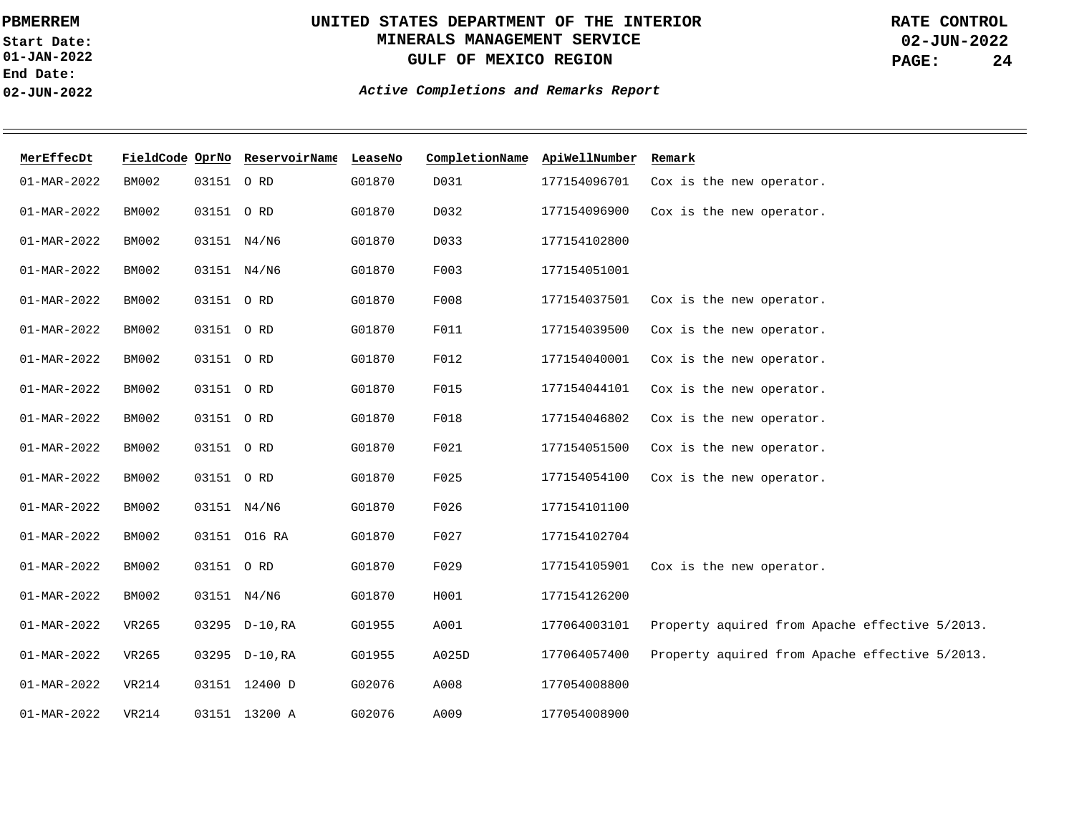**01-JAN-2022 Start Date: End Date: 02-JUN-2022**

## **UNITED STATES DEPARTMENT OF THE INTERIOR MINERALS MANAGEMENT SERVICE GULF OF MEXICO REGION**

**02-JUN-2022 PAGE: 24 RATE CONTROL**

| MerEffecDt        |              |           | FieldCode OprNo ReservoirName LeaseNo |        | CompletionName ApiWellNumber |              | Remark                                         |
|-------------------|--------------|-----------|---------------------------------------|--------|------------------------------|--------------|------------------------------------------------|
| $01 - MAR - 2022$ | BM002        | 03151 ORD |                                       | G01870 | D031                         | 177154096701 | Cox is the new operator.                       |
| $01 - MAR - 2022$ | <b>BM002</b> | 03151 ORD |                                       | G01870 | D032                         | 177154096900 | Cox is the new operator.                       |
| $01 - MAR - 2022$ | BM002        |           | 03151 N4/N6                           | G01870 | D033                         | 177154102800 |                                                |
| $01 - MAR - 2022$ | BM002        |           | 03151 N4/N6                           | G01870 | F003                         | 177154051001 |                                                |
| 01-MAR-2022       | <b>BM002</b> | 03151 ORD |                                       | G01870 | F008                         | 177154037501 | Cox is the new operator.                       |
| $01 - MAR - 2022$ | BM002        | 03151 ORD |                                       | G01870 | F011                         | 177154039500 | Cox is the new operator.                       |
| $01 - MAR - 2022$ | BM002        | 03151 ORD |                                       | G01870 | F012                         | 177154040001 | Cox is the new operator.                       |
| $01 - MAR - 2022$ | <b>BM002</b> | 03151 ORD |                                       | G01870 | F015                         | 177154044101 | Cox is the new operator.                       |
| $01 - MAR - 2022$ | <b>BM002</b> | 03151 ORD |                                       | G01870 | F018                         | 177154046802 | Cox is the new operator.                       |
| $01 - MAR - 2022$ | BM002        | 03151 ORD |                                       | G01870 | F021                         | 177154051500 | Cox is the new operator.                       |
| $01 - MAR - 2022$ | BM002        | 03151 ORD |                                       | G01870 | F025                         | 177154054100 | Cox is the new operator.                       |
| $01 - MAR - 2022$ | <b>BM002</b> |           | 03151 N4/N6                           | G01870 | F026                         | 177154101100 |                                                |
| $01 - MAR - 2022$ | <b>BM002</b> |           | 03151 016 RA                          | G01870 | F027                         | 177154102704 |                                                |
| $01 - MAR - 2022$ | <b>BM002</b> | 03151 ORD |                                       | G01870 | F029                         | 177154105901 | Cox is the new operator.                       |
| $01 - MAR - 2022$ | BM002        |           | 03151 N4/N6                           | G01870 | H001                         | 177154126200 |                                                |
| $01 - MAR - 2022$ | VR265        |           | 03295 D-10, RA                        | G01955 | A001                         | 177064003101 | Property aquired from Apache effective 5/2013. |
| $01 - MAR - 2022$ | VR265        |           | 03295 D-10, RA                        | G01955 | A025D                        | 177064057400 | Property aquired from Apache effective 5/2013. |
| $01 - MAR - 2022$ | <b>VR214</b> |           | 03151 12400 D                         | G02076 | A008                         | 177054008800 |                                                |
| $01 - MAR - 2022$ | <b>VR214</b> |           | 03151 13200 A                         | G02076 | A009                         | 177054008900 |                                                |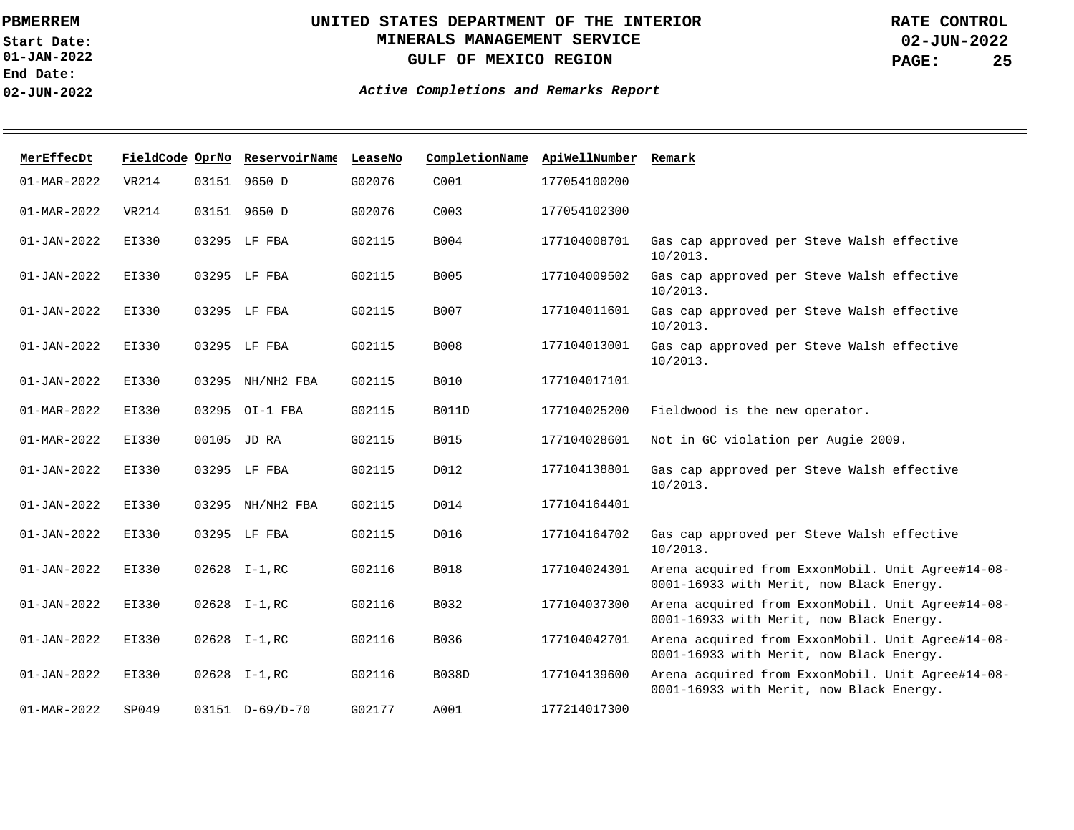**01-JAN-2022 Start Date: End Date: 02-JUN-2022**

# **UNITED STATES DEPARTMENT OF THE INTERIOR MINERALS MANAGEMENT SERVICE GULF OF MEXICO REGION**

**02-JUN-2022 PAGE: 25 RATE CONTROL**

| MerEffecDt               |              | FieldCode OprNo ReservoirName LeaseNo |        | CompletionName   | ApiWellNumber | Remark                                                                                        |
|--------------------------|--------------|---------------------------------------|--------|------------------|---------------|-----------------------------------------------------------------------------------------------|
| $01 - \text{MAR} - 2022$ | VR214        | 03151 9650 D                          | G02076 | C001             | 177054100200  |                                                                                               |
| $01 - MAR - 2022$        | <b>VR214</b> | 03151 9650 D                          | G02076 | C <sub>003</sub> | 177054102300  |                                                                                               |
| $01 - JAN - 2022$        | EI330        | 03295 LF FBA                          | G02115 | B004             | 177104008701  | Gas cap approved per Steve Walsh effective<br>$10/2013$ .                                     |
| $01 - JAN - 2022$        | EI330        | 03295 LF FBA                          | G02115 | B005             | 177104009502  | Gas cap approved per Steve Walsh effective<br>$10/2013$ .                                     |
| $01 - JAN - 2022$        | EI330        | 03295 LF FBA                          | G02115 | B007             | 177104011601  | Gas cap approved per Steve Walsh effective<br>$10/2013$ .                                     |
| $01 - JAN - 2022$        | EI330        | 03295 LF FBA                          | G02115 | B008             | 177104013001  | Gas cap approved per Steve Walsh effective<br>$10/2013$ .                                     |
| $01 - JAN - 2022$        | EI330        | 03295 NH/NH2 FBA                      | G02115 | <b>B010</b>      | 177104017101  |                                                                                               |
| $01 - MAR - 2022$        | EI330        | 03295 OI-1 FBA                        | G02115 | <b>B011D</b>     | 177104025200  | Fieldwood is the new operator.                                                                |
| $01 - MAR - 2022$        | EI330        | 00105 JD RA                           | G02115 | <b>B015</b>      | 177104028601  | Not in GC violation per Augie 2009.                                                           |
| $01 - JAN - 2022$        | EI330        | 03295 LF FBA                          | G02115 | D012             | 177104138801  | Gas cap approved per Steve Walsh effective<br>$10/2013$ .                                     |
| $01 - JAN - 2022$        | EI330        | 03295 NH/NH2 FBA                      | G02115 | D014             | 177104164401  |                                                                                               |
| $01 - JAN - 2022$        | EI330        | 03295 LF FBA                          | G02115 | D016             | 177104164702  | Gas cap approved per Steve Walsh effective<br>$10/2013$ .                                     |
| $01 - JAN - 2022$        | EI330        | $02628$ I-1, RC                       | G02116 | <b>B018</b>      | 177104024301  | Arena acquired from ExxonMobil. Unit Agree#14-08-<br>0001-16933 with Merit, now Black Energy. |
| $01 - JAN - 2022$        | EI330        | $02628$ I-1, RC                       | G02116 | B032             | 177104037300  | Arena acquired from ExxonMobil. Unit Agree#14-08-<br>0001-16933 with Merit, now Black Energy. |
| $01 - JAN - 2022$        | EI330        | $02628$ I-1, RC                       | G02116 | B036             | 177104042701  | Arena acquired from ExxonMobil. Unit Agree#14-08-<br>0001-16933 with Merit, now Black Energy. |
| $01 - JAN - 2022$        | EI330        | $02628$ I-1, RC                       | G02116 | <b>B038D</b>     | 177104139600  | Arena acquired from ExxonMobil. Unit Agree#14-08-<br>0001-16933 with Merit, now Black Energy. |
| $01 - MAR - 2022$        | SP049        | $03151$ D-69/D-70                     | G02177 | A001             | 177214017300  |                                                                                               |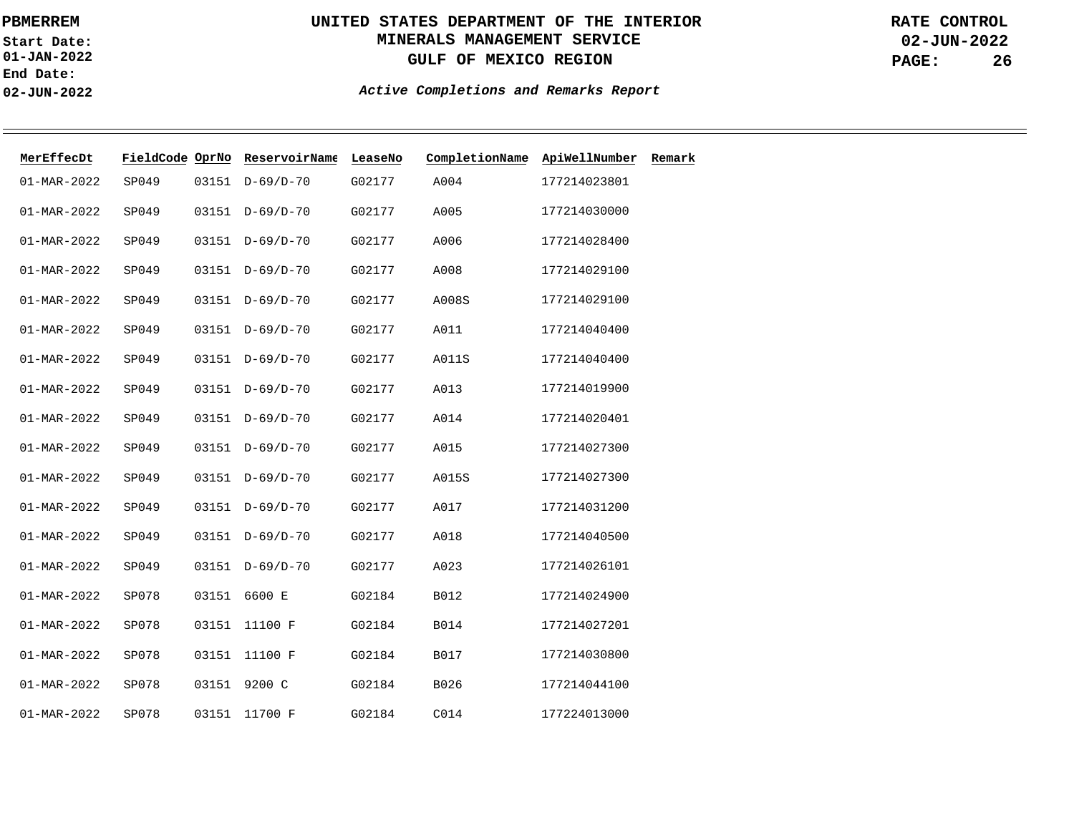**01-JAN-2022 Start Date: End Date: 02-JUN-2022**

# **UNITED STATES DEPARTMENT OF THE INTERIOR MINERALS MANAGEMENT SERVICE GULF OF MEXICO REGION**

**02-JUN-2022 PAGE: 26 RATE CONTROL**

| MerEffecDt        | FieldCode OprNo |       | ReservoirName   | LeaseNo | CompletionName | ApiWellNumber | Remark |
|-------------------|-----------------|-------|-----------------|---------|----------------|---------------|--------|
| 01-MAR-2022       | SP049           | 03151 | $D-69/D-70$     | G02177  | A004           | 177214023801  |        |
| $01 - MAR - 2022$ | SP049           | 03151 | $D-69/D-70$     | G02177  | A005           | 177214030000  |        |
| $01 - MAR - 2022$ | SP049           |       | 03151 D-69/D-70 | G02177  | A006           | 177214028400  |        |
| $01 - MAR - 2022$ | SP049           |       | 03151 D-69/D-70 | G02177  | A008           | 177214029100  |        |
| $01 - MAR - 2022$ | SP049           |       | 03151 D-69/D-70 | G02177  | A008S          | 177214029100  |        |
| 01-MAR-2022       | SP049           |       | 03151 D-69/D-70 | G02177  | A011           | 177214040400  |        |
| $01 - MAR - 2022$ | SP049           |       | 03151 D-69/D-70 | G02177  | A011S          | 177214040400  |        |
| $01 - MAR - 2022$ | SP049           |       | 03151 D-69/D-70 | G02177  | A013           | 177214019900  |        |
| $01 - MAR - 2022$ | SP049           |       | 03151 D-69/D-70 | G02177  | A014           | 177214020401  |        |
| $01 - MAR - 2022$ | SP049           | 03151 | $D-69/D-70$     | G02177  | A015           | 177214027300  |        |
| $01 - MAR - 2022$ | SP049           | 03151 | $D-69/D-70$     | G02177  | A015S          | 177214027300  |        |
| $01 - MAR - 2022$ | SP049           |       | 03151 D-69/D-70 | G02177  | A017           | 177214031200  |        |
| $01 - MAR - 2022$ | SP049           |       | 03151 D-69/D-70 | G02177  | A018           | 177214040500  |        |
| $01 - MAR - 2022$ | SP049           | 03151 | $D-69/D-70$     | G02177  | A023           | 177214026101  |        |
| $01 - MAR - 2022$ | SP078           | 03151 | 6600 E          | G02184  | B012           | 177214024900  |        |
| $01 - MAR - 2022$ | SP078           | 03151 | 11100 F         | G02184  | <b>B014</b>    | 177214027201  |        |
| $01 - MAR - 2022$ | SP078           | 03151 | 11100 F         | G02184  | B017           | 177214030800  |        |
| $01 - MAR - 2022$ | SP078           | 03151 | 9200 C          | G02184  | B026           | 177214044100  |        |
| $01 - MAR - 2022$ | SP078           | 03151 | 11700 F         | G02184  | C014           | 177224013000  |        |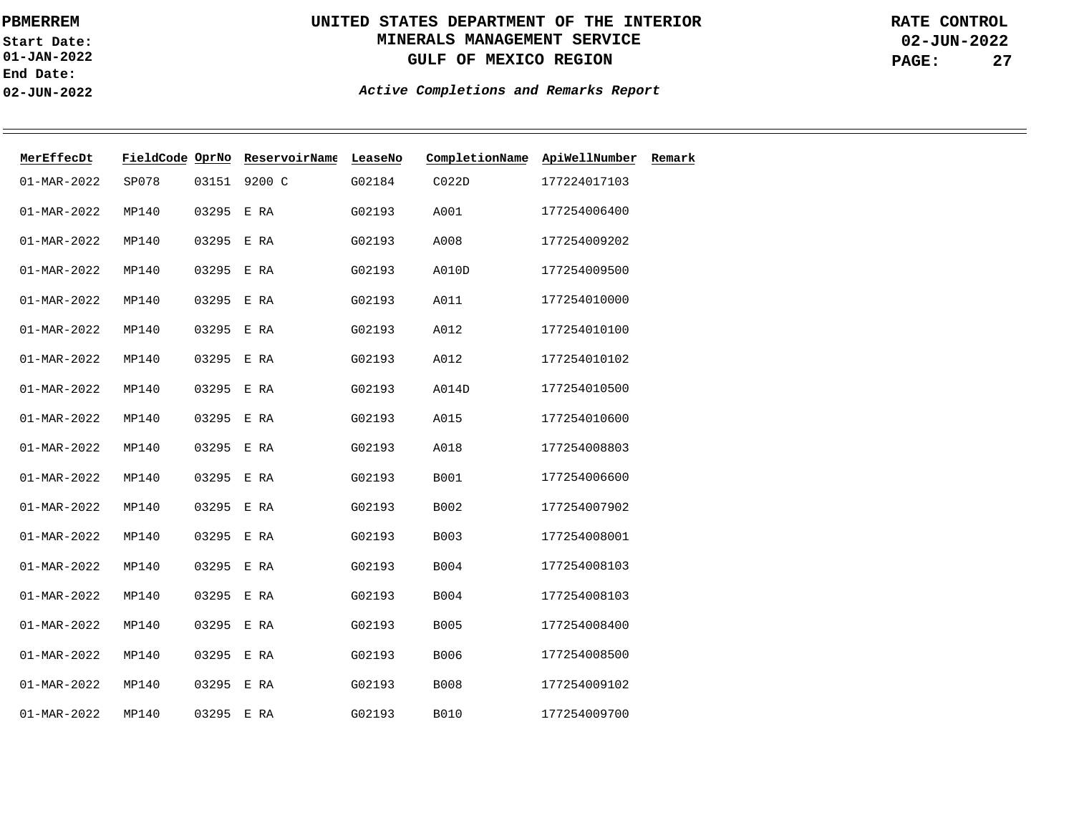**01-JAN-2022 Start Date: End Date: 02-JUN-2022**

# **UNITED STATES DEPARTMENT OF THE INTERIOR MINERALS MANAGEMENT SERVICE GULF OF MEXICO REGION**

**02-JUN-2022 PAGE: 27 RATE CONTROL**

| MerEffecDt        | FieldCode OprNo |            | ReservoirName | LeaseNo | CompletionName    | ApiWellNumber | Remark |
|-------------------|-----------------|------------|---------------|---------|-------------------|---------------|--------|
| $01 - MAR - 2022$ | SP078           | 03151      | 9200 C        | G02184  | CO <sub>22D</sub> | 177224017103  |        |
| $01 - MAR - 2022$ | MP140           | 03295      | E RA          | G02193  | A001              | 177254006400  |        |
| $01 - MAR - 2022$ | MP140           | 03295 E RA |               | G02193  | A008              | 177254009202  |        |
| $01 - MAR - 2022$ | MP140           | 03295      | E RA          | G02193  | A010D             | 177254009500  |        |
| $01 - MAR - 2022$ | MP140           | 03295 E RA |               | G02193  | A011              | 177254010000  |        |
| $01 - MAR - 2022$ | MP140           | 03295 E RA |               | G02193  | A012              | 177254010100  |        |
| $01 - MAR - 2022$ | MP140           | 03295 E RA |               | G02193  | A012              | 177254010102  |        |
| $01 - MAR - 2022$ | MP140           | 03295      | E RA          | G02193  | A014D             | 177254010500  |        |
| $01 - MAR - 2022$ | MP140           | 03295      | E RA          | G02193  | A015              | 177254010600  |        |
| $01 - MAR - 2022$ | MP140           | 03295      | E RA          | G02193  | A018              | 177254008803  |        |
| $01 - MAR - 2022$ | MP140           | 03295      | E RA          | G02193  | B001              | 177254006600  |        |
| $01 - MAR - 2022$ | MP140           | 03295      | E RA          | G02193  | B002              | 177254007902  |        |
| $01 - MAR - 2022$ | MP140           | 03295      | E RA          | G02193  | B003              | 177254008001  |        |
| $01 - MAR - 2022$ | MP140           | 03295      | E RA          | G02193  | B004              | 177254008103  |        |
| $01 - MAR - 2022$ | MP140           | 03295      | E RA          | G02193  | B004              | 177254008103  |        |
| $01 - MAR - 2022$ | MP140           | 03295      | E RA          | G02193  | <b>B005</b>       | 177254008400  |        |
| $01 - MAR - 2022$ | MP140           | 03295      | E RA          | G02193  | B006              | 177254008500  |        |
| $01 - MAR - 2022$ | MP140           | 03295      | E RA          | G02193  | <b>B008</b>       | 177254009102  |        |
| $01 - MAR - 2022$ | MP140           | 03295 E RA |               | G02193  | <b>B010</b>       | 177254009700  |        |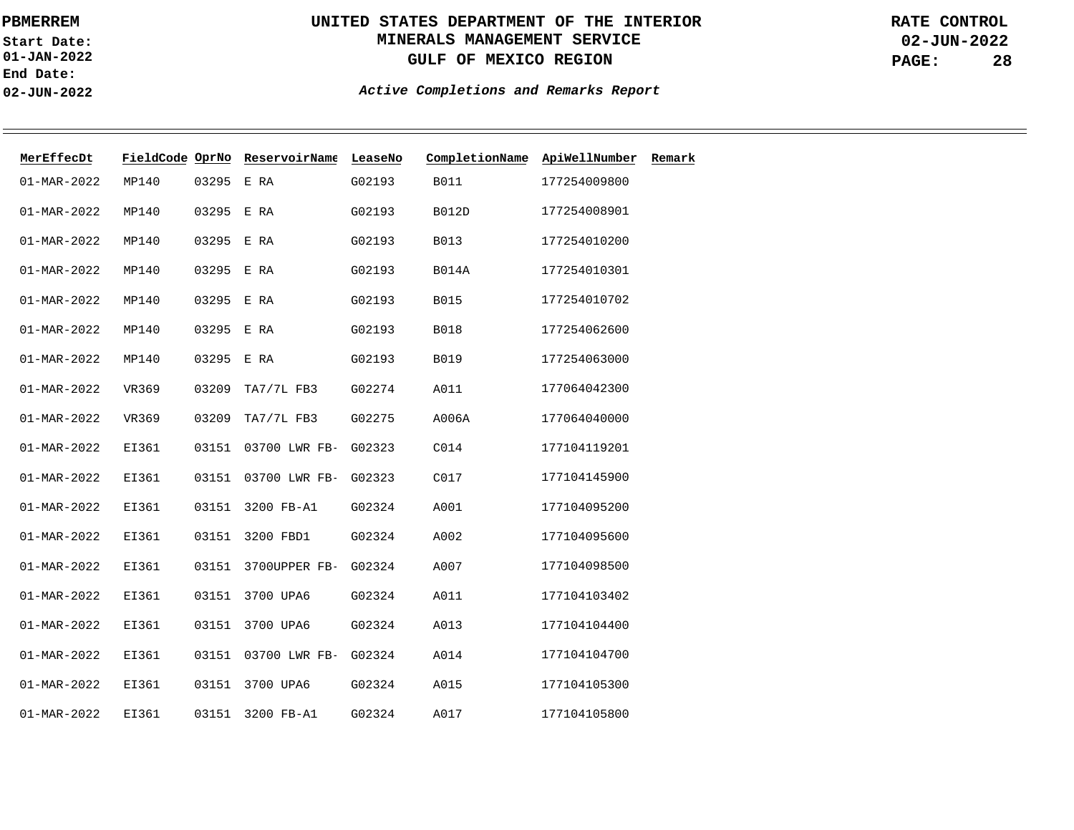**01-JAN-2022 Start Date: End Date: 02-JUN-2022**

# **UNITED STATES DEPARTMENT OF THE INTERIOR MINERALS MANAGEMENT SERVICE GULF OF MEXICO REGION**

**02-JUN-2022 PAGE: 28 RATE CONTROL**

| MerEffecDt        | FieldCode OprNo |       | ReservoirName | LeaseNo | CompletionName | ApiWellNumber | Remark |
|-------------------|-----------------|-------|---------------|---------|----------------|---------------|--------|
| $01 - MAR - 2022$ | MP140           | 03295 | E RA          | G02193  | <b>B011</b>    | 177254009800  |        |
| 01-MAR-2022       | MP140           | 03295 | E RA          | G02193  | <b>B012D</b>   | 177254008901  |        |
| $01 - MAR - 2022$ | MP140           | 03295 | E RA          | G02193  | B013           | 177254010200  |        |
| $01 - MAR - 2022$ | MP140           | 03295 | E RA          | G02193  | <b>B014A</b>   | 177254010301  |        |
| $01 - MAR - 2022$ | MP140           | 03295 | E RA          | G02193  | <b>B015</b>    | 177254010702  |        |
| $01 - MAR - 2022$ | MP140           | 03295 | E RA          | G02193  | <b>B018</b>    | 177254062600  |        |
| $01 - MAR - 2022$ | MP140           | 03295 | E RA          | G02193  | <b>B019</b>    | 177254063000  |        |
| $01 - MAR - 2022$ | VR369           | 03209 | TA7/7L FB3    | G02274  | A011           | 177064042300  |        |
| 01-MAR-2022       | VR369           | 03209 | TA7/7L FB3    | G02275  | A006A          | 177064040000  |        |
| $01 - MAR - 2022$ | EI361           | 03151 | 03700 LWR FB- | G02323  | C014           | 177104119201  |        |
| $01 - MAR - 2022$ | EI361           | 03151 | 03700 LWR FB- | G02323  | C017           | 177104145900  |        |
| $01 - MAR - 2022$ | EI361           | 03151 | 3200 FB-A1    | G02324  | A001           | 177104095200  |        |
| $01 - MAR - 2022$ | EI361           | 03151 | 3200 FBD1     | G02324  | A002           | 177104095600  |        |
| $01 - MAR - 2022$ | EI361           | 03151 | 3700UPPER FB- | G02324  | A007           | 177104098500  |        |
| $01 - MAR - 2022$ | EI361           | 03151 | 3700 UPA6     | G02324  | A011           | 177104103402  |        |
| $01 - MAR - 2022$ | EI361           | 03151 | 3700 UPA6     | G02324  | A013           | 177104104400  |        |
| $01 - MAR - 2022$ | EI361           | 03151 | 03700 LWR FB- | G02324  | A014           | 177104104700  |        |
| $01 - MAR - 2022$ | EI361           | 03151 | 3700 UPA6     | G02324  | A015           | 177104105300  |        |
| $01 - MAR - 2022$ | EI361           | 03151 | 3200 FB-A1    | G02324  | A017           | 177104105800  |        |
|                   |                 |       |               |         |                |               |        |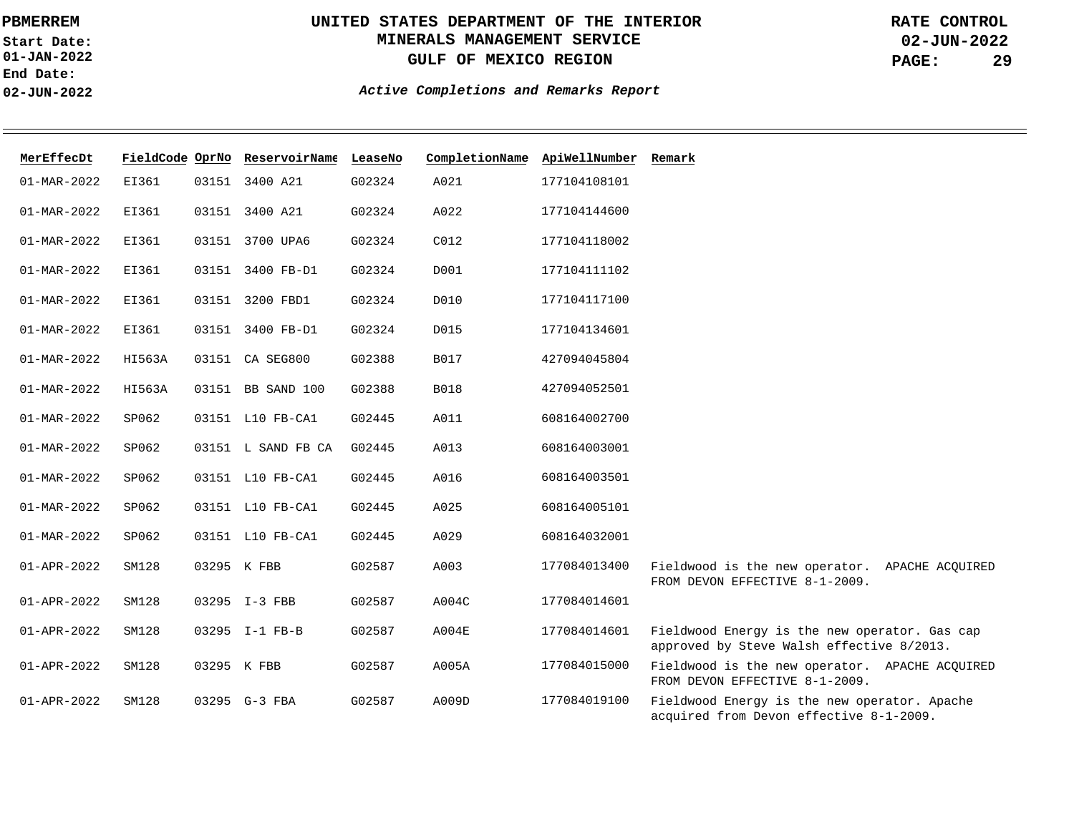**01-JAN-2022 Start Date: End Date: 02-JUN-2022**

# **UNITED STATES DEPARTMENT OF THE INTERIOR MINERALS MANAGEMENT SERVICE GULF OF MEXICO REGION**

**02-JUN-2022 PAGE: 29 RATE CONTROL**

| MerEffecDt               |        |       | FieldCode OprNo ReservoirName LeaseNo |        | CompletionName ApiWellNumber Remark |              |                                                                                            |
|--------------------------|--------|-------|---------------------------------------|--------|-------------------------------------|--------------|--------------------------------------------------------------------------------------------|
| $01 - \text{MAR} - 2022$ | EI361  |       | 03151 3400 A21                        | G02324 | A021                                | 177104108101 |                                                                                            |
| $01 - MAR - 2022$        | EI361  | 03151 | 3400 A21                              | G02324 | A022                                | 177104144600 |                                                                                            |
| $01 - MAR - 2022$        | EI361  |       | 03151 3700 UPA6                       | G02324 | C012                                | 177104118002 |                                                                                            |
| $01 - MAR - 2022$        | EI361  |       | 03151 3400 FB-D1                      | G02324 | D001                                | 177104111102 |                                                                                            |
| $01 - MAR - 2022$        | EI361  | 03151 | 3200 FBD1                             | G02324 | D010                                | 177104117100 |                                                                                            |
| $01 - MAR - 2022$        | EI361  |       | 03151 3400 FB-D1                      | G02324 | D015                                | 177104134601 |                                                                                            |
| 01-MAR-2022              | HI563A |       | 03151 CA SEG800                       | G02388 | <b>B017</b>                         | 427094045804 |                                                                                            |
| $01 - MAR - 2022$        | HI563A |       | 03151 BB SAND 100                     | G02388 | <b>B018</b>                         | 427094052501 |                                                                                            |
| $01 - MAR - 2022$        | SP062  |       | 03151 L10 FB-CA1                      | G02445 | A011                                | 608164002700 |                                                                                            |
| $01 - MAR - 2022$        | SP062  |       | 03151 L SAND FB CA                    | G02445 | A013                                | 608164003001 |                                                                                            |
| $01 - MAR - 2022$        | SP062  |       | 03151 L10 FB-CA1                      | G02445 | A016                                | 608164003501 |                                                                                            |
| $01 - MAR - 2022$        | SP062  |       | 03151 L10 FB-CA1                      | G02445 | A025                                | 608164005101 |                                                                                            |
| $01 - MAR - 2022$        | SP062  |       | 03151 L10 FB-CA1                      | G02445 | A029                                | 608164032001 |                                                                                            |
| $01 - APR - 2022$        | SM128  |       | 03295 K FBB                           | G02587 | A003                                | 177084013400 | Fieldwood is the new operator. APACHE ACQUIRED<br>FROM DEVON EFFECTIVE 8-1-2009.           |
| 01-APR-2022              | SM128  |       | 03295 I-3 FBB                         | G02587 | A004C                               | 177084014601 |                                                                                            |
| 01-APR-2022              | SM128  |       | 03295 I-1 FB-B                        | G02587 | A004E                               | 177084014601 | Fieldwood Energy is the new operator. Gas cap<br>approved by Steve Walsh effective 8/2013. |
| 01-APR-2022              | SM128  |       | 03295 K FBB                           | G02587 | A005A                               | 177084015000 | Fieldwood is the new operator. APACHE ACQUIRED<br>FROM DEVON EFFECTIVE 8-1-2009.           |
| $01 - APR - 2022$        | SM128  |       | 03295 G-3 FBA                         | G02587 | A009D                               | 177084019100 | Fieldwood Energy is the new operator. Apache<br>acquired from Devon effective 8-1-2009.    |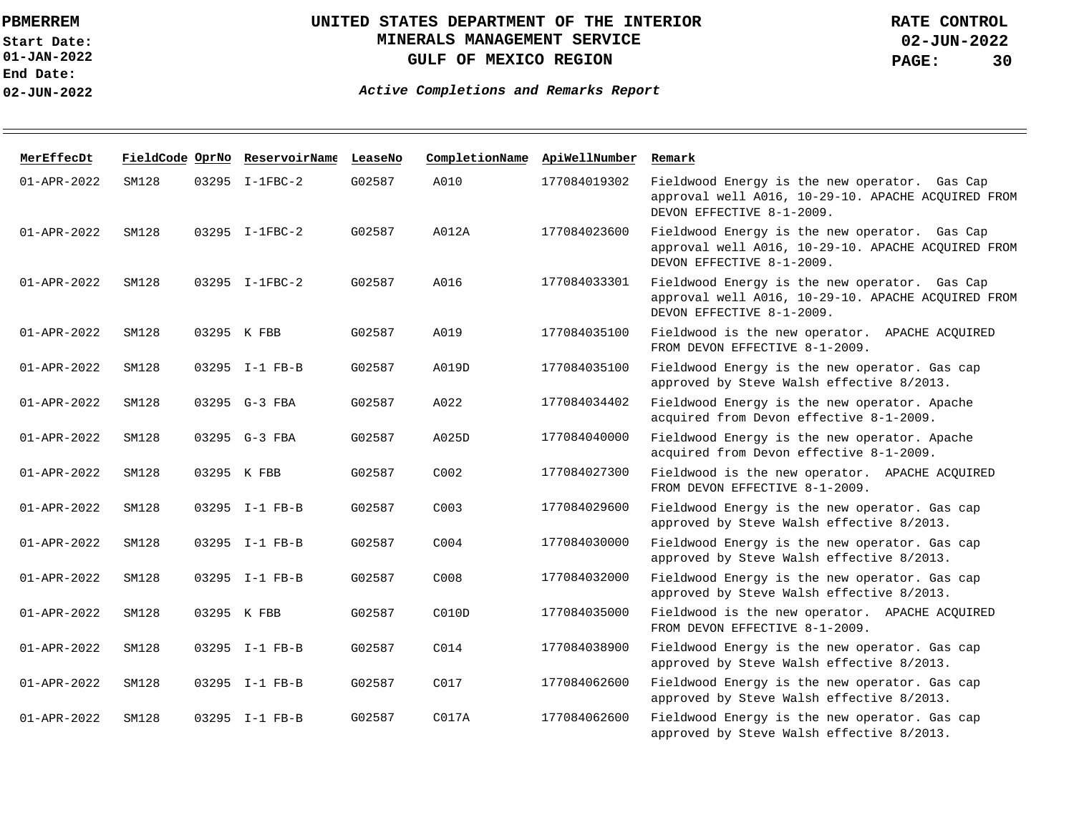**01-JAN-2022 Start Date: End Date: 02-JUN-2022**

## **UNITED STATES DEPARTMENT OF THE INTERIOR MINERALS MANAGEMENT SERVICE GULF OF MEXICO REGION**

**02-JUN-2022 PAGE: 30 RATE CONTROL**

| MerEffecDt        |       | FieldCode OprNo ReservoirName LeaseNo |        |                  | CompletionName ApiWellNumber | Remark                                                                                                                           |
|-------------------|-------|---------------------------------------|--------|------------------|------------------------------|----------------------------------------------------------------------------------------------------------------------------------|
| $01 - APR - 2022$ | SM128 | 03295 I-1FBC-2                        | G02587 | A010             | 177084019302                 | Fieldwood Energy is the new operator. Gas Cap<br>approval well A016, 10-29-10. APACHE ACQUIRED FROM<br>DEVON EFFECTIVE 8-1-2009. |
| $01 - APR - 2022$ | SM128 | 03295 I-1FBC-2                        | G02587 | A012A            | 177084023600                 | Fieldwood Energy is the new operator. Gas Cap<br>approval well A016, 10-29-10. APACHE ACQUIRED FROM<br>DEVON EFFECTIVE 8-1-2009. |
| $01 - APR - 2022$ | SM128 | 03295 I-1FBC-2                        | G02587 | A016             | 177084033301                 | Fieldwood Energy is the new operator. Gas Cap<br>approval well A016, 10-29-10. APACHE ACQUIRED FROM<br>DEVON EFFECTIVE 8-1-2009. |
| $01 - APR - 2022$ | SM128 | 03295 K FBB                           | G02587 | A019             | 177084035100                 | Fieldwood is the new operator. APACHE ACQUIRED<br>FROM DEVON EFFECTIVE 8-1-2009.                                                 |
| $01 - APR - 2022$ | SM128 | 03295 I-1 FB-B                        | G02587 | A019D            | 177084035100                 | Fieldwood Energy is the new operator. Gas cap<br>approved by Steve Walsh effective 8/2013.                                       |
| $01 - APR - 2022$ | SM128 | 03295 G-3 FBA                         | G02587 | A022             | 177084034402                 | Fieldwood Energy is the new operator. Apache<br>acquired from Devon effective 8-1-2009.                                          |
| $01 - APR - 2022$ | SM128 | 03295 G-3 FBA                         | G02587 | A025D            | 177084040000                 | Fieldwood Energy is the new operator. Apache<br>acquired from Devon effective 8-1-2009.                                          |
| $01 - APR - 2022$ | SM128 | 03295 K FBB                           | G02587 | C <sub>002</sub> | 177084027300                 | Fieldwood is the new operator. APACHE ACOUIRED<br>FROM DEVON EFFECTIVE 8-1-2009.                                                 |
| $01 - APR - 2022$ | SM128 | 03295 I-1 FB-B                        | G02587 | C003             | 177084029600                 | Fieldwood Energy is the new operator. Gas cap<br>approved by Steve Walsh effective 8/2013.                                       |
| 01-APR-2022       | SM128 | 03295 I-1 FB-B                        | G02587 | C004             | 177084030000                 | Fieldwood Energy is the new operator. Gas cap<br>approved by Steve Walsh effective 8/2013.                                       |
| $01 - APR - 2022$ | SM128 | 03295 I-1 FB-B                        | G02587 | C008             | 177084032000                 | Fieldwood Energy is the new operator. Gas cap<br>approved by Steve Walsh effective 8/2013.                                       |
| $01 - APR - 2022$ | SM128 | 03295 K FBB                           | G02587 | C010D            | 177084035000                 | Fieldwood is the new operator. APACHE ACQUIRED<br>FROM DEVON EFFECTIVE 8-1-2009.                                                 |
| $01 - APR - 2022$ | SM128 | 03295 I-1 FB-B                        | G02587 | C014             | 177084038900                 | Fieldwood Energy is the new operator. Gas cap<br>approved by Steve Walsh effective 8/2013.                                       |
| $01 - APR - 2022$ | SM128 | 03295 I-1 FB-B                        | G02587 | C <sub>017</sub> | 177084062600                 | Fieldwood Energy is the new operator. Gas cap<br>approved by Steve Walsh effective 8/2013.                                       |
| $01 - APR - 2022$ | SM128 | 03295 I-1 FB-B                        | G02587 | CO17A            | 177084062600                 | Fieldwood Energy is the new operator. Gas cap<br>approved by Steve Walsh effective 8/2013.                                       |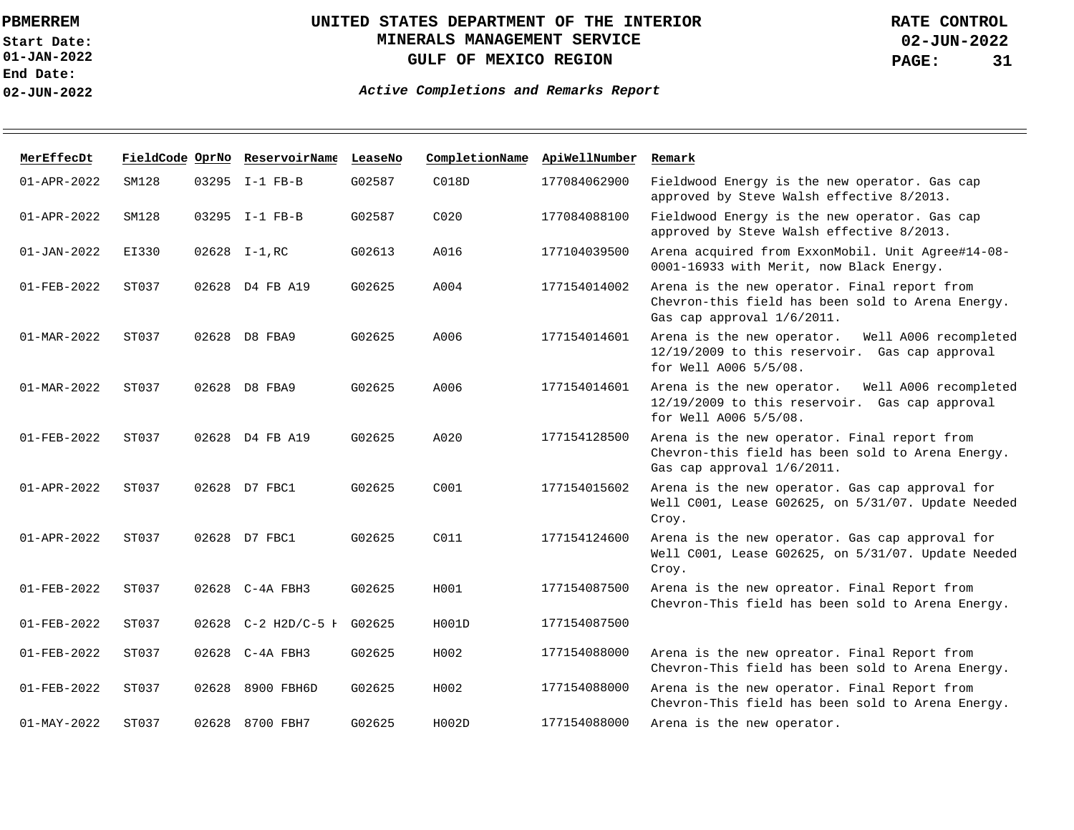**01-JAN-2022 Start Date: End Date: 02-JUN-2022**

## **UNITED STATES DEPARTMENT OF THE INTERIOR MINERALS MANAGEMENT SERVICE GULF OF MEXICO REGION**

**02-JUN-2022 PAGE: 31 RATE CONTROL**

| MerEffecDt               | FieldCode OprNo |       | ReservoirName LeaseNo |        | CompletionName   | ApiWellNumber | Remark                                                                                                                          |
|--------------------------|-----------------|-------|-----------------------|--------|------------------|---------------|---------------------------------------------------------------------------------------------------------------------------------|
| $01 - APR - 2022$        | SM128           |       | 03295 I-1 FB-B        | G02587 | C018D            | 177084062900  | Fieldwood Energy is the new operator. Gas cap<br>approved by Steve Walsh effective 8/2013.                                      |
| $01 - APR - 2022$        | SM128           |       | 03295 I-1 FB-B        | G02587 | C <sub>020</sub> | 177084088100  | Fieldwood Energy is the new operator. Gas cap<br>approved by Steve Walsh effective 8/2013.                                      |
| $01 - JAN - 2022$        | EI330           |       | 02628 I-1, RC         | G02613 | A016             | 177104039500  | Arena acquired from ExxonMobil. Unit Agree#14-08-<br>0001-16933 with Merit, now Black Energy.                                   |
| $01 - FEB - 2022$        | ST037           |       | 02628 D4 FB A19       | G02625 | A004             | 177154014002  | Arena is the new operator. Final report from<br>Chevron-this field has been sold to Arena Energy.<br>Gas cap approval 1/6/2011. |
| $01 - \text{MAR} - 2022$ | ST037           | 02628 | D8 FBA9               | G02625 | A006             | 177154014601  | Arena is the new operator.<br>Well A006 recompleted<br>12/19/2009 to this reservoir. Gas cap approval<br>for Well A006 5/5/08.  |
| $01 - \text{MAR} - 2022$ | ST037           | 02628 | D8 FBA9               | G02625 | A006             | 177154014601  | Well A006 recompleted<br>Arena is the new operator.<br>12/19/2009 to this reservoir. Gas cap approval<br>for Well A006 5/5/08.  |
| $01 - FEB - 2022$        | ST037           |       | 02628 D4 FB A19       | G02625 | A020             | 177154128500  | Arena is the new operator. Final report from<br>Chevron-this field has been sold to Arena Energy.<br>Gas cap approval 1/6/2011. |
| $01 - APR - 2022$        | ST037           |       | 02628 D7 FBC1         | G02625 | C001             | 177154015602  | Arena is the new operator. Gas cap approval for<br>Well C001, Lease G02625, on 5/31/07. Update Needed<br>Croy.                  |
| $01 - APR - 2022$        | ST037           |       | 02628 D7 FBC1         | G02625 | C011             | 177154124600  | Arena is the new operator. Gas cap approval for<br>Well C001, Lease G02625, on 5/31/07. Update Needed<br>Croy.                  |
| $01 - FEB - 2022$        | ST037           |       | 02628 C-4A FBH3       | G02625 | H001             | 177154087500  | Arena is the new opreator. Final Report from<br>Chevron-This field has been sold to Arena Energy.                               |
| $01 - FEB - 2022$        | ST037           |       | 02628 C-2 H2D/C-5 H   | G02625 | H001D            | 177154087500  |                                                                                                                                 |
| $01 - FEB - 2022$        | ST037           |       | 02628 C-4A FBH3       | G02625 | H002             | 177154088000  | Arena is the new opreator. Final Report from<br>Chevron-This field has been sold to Arena Energy.                               |
| $01 - FEB - 2022$        | ST037           | 02628 | 8900 FBH6D            | G02625 | H002             | 177154088000  | Arena is the new operator. Final Report from<br>Chevron-This field has been sold to Arena Energy.                               |
| $01 - MAX - 2022$        | ST037           |       | 02628 8700 FBH7       | G02625 | H002D            | 177154088000  | Arena is the new operator.                                                                                                      |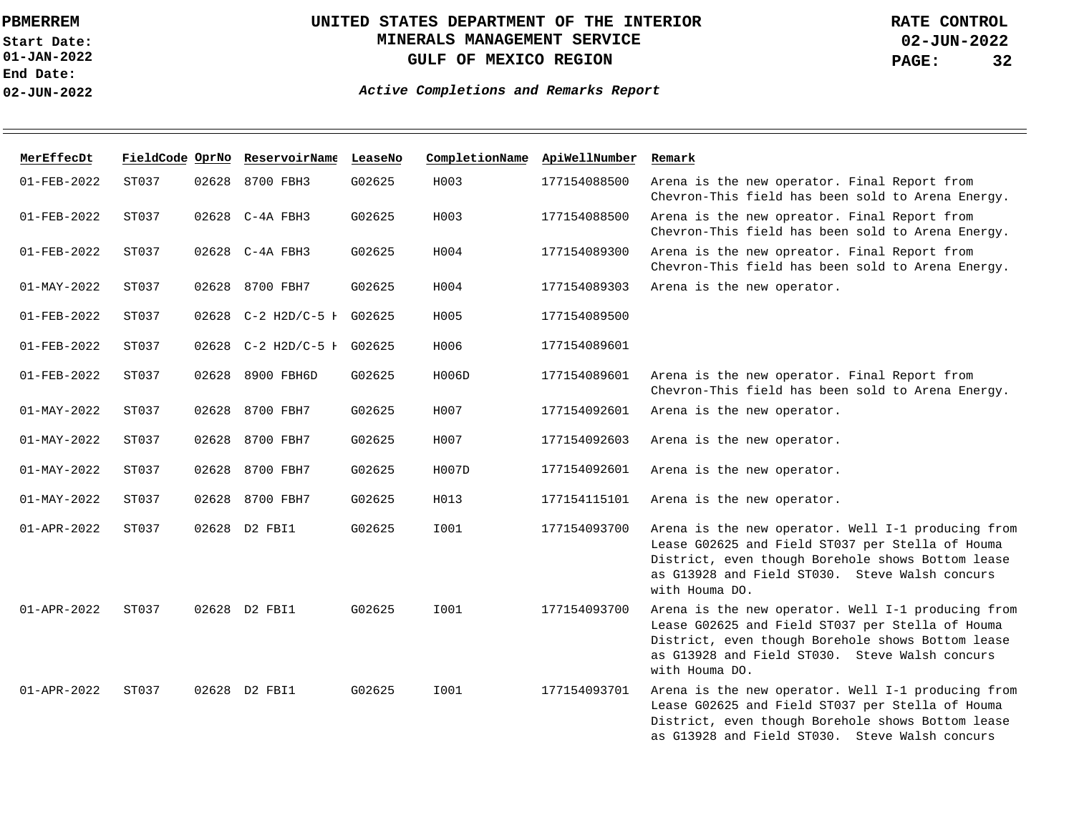**01-JAN-2022 Start Date: End Date: 02-JUN-2022**

## **UNITED STATES DEPARTMENT OF THE INTERIOR MINERALS MANAGEMENT SERVICE GULF OF MEXICO REGION**

**02-JUN-2022 PAGE: 32 RATE CONTROL**

| MerEffecDt        | FieldCode OprNo |       | ReservoirName LeaseNo      |        | CompletionName ApiWellNumber |              | Remark                                                                                                                                                                                                                          |
|-------------------|-----------------|-------|----------------------------|--------|------------------------------|--------------|---------------------------------------------------------------------------------------------------------------------------------------------------------------------------------------------------------------------------------|
| $01 - FEB - 2022$ | ST037           | 02628 | 8700 FBH3                  | G02625 | H003                         | 177154088500 | Arena is the new operator. Final Report from<br>Chevron-This field has been sold to Arena Energy.                                                                                                                               |
| $01 - FEB - 2022$ | ST037           |       | 02628 C-4A FBH3            | G02625 | H003                         | 177154088500 | Arena is the new opreator. Final Report from<br>Chevron-This field has been sold to Arena Energy.                                                                                                                               |
| $01 - FEB - 2022$ | ST037           |       | 02628 C-4A FBH3            | G02625 | H004                         | 177154089300 | Arena is the new opreator. Final Report from<br>Chevron-This field has been sold to Arena Energy.                                                                                                                               |
| $01 - MAX - 2022$ | ST037           | 02628 | 8700 FBH7                  | G02625 | H004                         | 177154089303 | Arena is the new operator.                                                                                                                                                                                                      |
| $01 - FEB - 2022$ | ST037           |       | 02628 C-2 H2D/C-5 I G02625 |        | H005                         | 177154089500 |                                                                                                                                                                                                                                 |
| $01 - FEB - 2022$ | ST037           |       | 02628 C-2 H2D/C-5 H G02625 |        | H006                         | 177154089601 |                                                                                                                                                                                                                                 |
| $01 - FEB - 2022$ | ST037           | 02628 | 8900 FBH6D                 | G02625 | H006D                        | 177154089601 | Arena is the new operator. Final Report from<br>Chevron-This field has been sold to Arena Energy.                                                                                                                               |
| $01 - MAX - 2022$ | ST037           | 02628 | 8700 FBH7                  | G02625 | H007                         | 177154092601 | Arena is the new operator.                                                                                                                                                                                                      |
| $01 - MAY - 2022$ | ST037           | 02628 | 8700 FBH7                  | G02625 | H007                         | 177154092603 | Arena is the new operator.                                                                                                                                                                                                      |
| $01 - MAX - 2022$ | ST037           | 02628 | 8700 FBH7                  | G02625 | H007D                        | 177154092601 | Arena is the new operator.                                                                                                                                                                                                      |
| $01 - MAX - 2022$ | ST037           | 02628 | 8700 FBH7                  | G02625 | H013                         | 177154115101 | Arena is the new operator.                                                                                                                                                                                                      |
| $01 - APR - 2022$ | ST037           |       | 02628 D2 FBI1              | G02625 | I001                         | 177154093700 | Arena is the new operator. Well I-1 producing from<br>Lease G02625 and Field ST037 per Stella of Houma<br>District, even though Borehole shows Bottom lease<br>as G13928 and Field ST030. Steve Walsh concurs<br>with Houma DO. |
| $01 - APR - 2022$ | ST037           |       | 02628 D2 FBI1              | G02625 | I001                         | 177154093700 | Arena is the new operator. Well I-1 producing from<br>Lease G02625 and Field ST037 per Stella of Houma<br>District, even though Borehole shows Bottom lease<br>as G13928 and Field ST030. Steve Walsh concurs<br>with Houma DO. |
| $01 - APR - 2022$ | ST037           |       | 02628 D2 FBI1              | G02625 | I001                         | 177154093701 | Arena is the new operator. Well I-1 producing from<br>Lease G02625 and Field ST037 per Stella of Houma<br>District, even though Borehole shows Bottom lease<br>as G13928 and Field ST030. Steve Walsh concurs                   |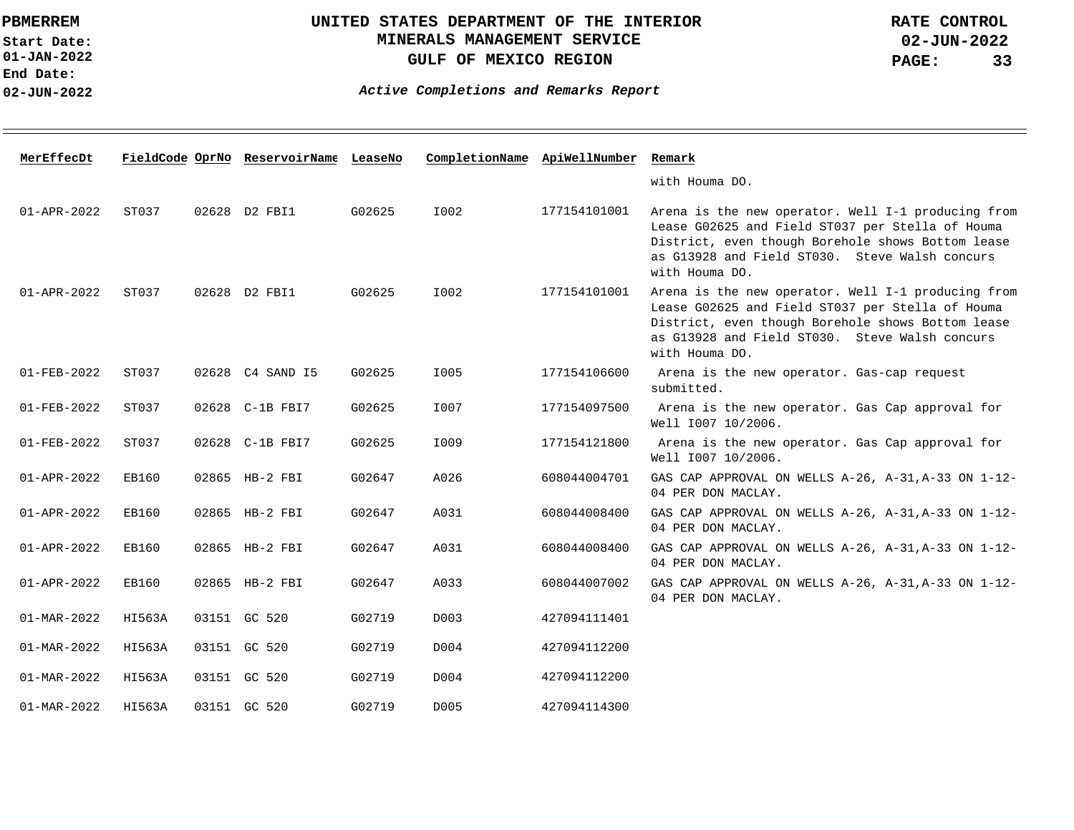**01-JAN-2022 Start Date: End Date: 02-JUN-2022**

## **UNITED STATES DEPARTMENT OF THE INTERIOR MINERALS MANAGEMENT SERVICE GULF OF MEXICO REGION**

**02-JUN-2022 PAGE: 33 RATE CONTROL**

| MerEffecDt        |        | FieldCode OprNo ReservoirName LeaseNo |        | CompletionName ApiWellNumber |              | Remark                                                                                                                                                                                                                          |
|-------------------|--------|---------------------------------------|--------|------------------------------|--------------|---------------------------------------------------------------------------------------------------------------------------------------------------------------------------------------------------------------------------------|
|                   |        |                                       |        |                              |              | with Houma DO.                                                                                                                                                                                                                  |
| 01-APR-2022       | ST037  | 02628 D2 FBI1                         | G02625 | I002                         | 177154101001 | Arena is the new operator. Well I-1 producing from<br>Lease G02625 and Field ST037 per Stella of Houma<br>District, even though Borehole shows Bottom lease<br>as G13928 and Field ST030. Steve Walsh concurs<br>with Houma DO. |
| $01 - APR - 2022$ | ST037  | 02628 D2 FBI1                         | G02625 | I002                         | 177154101001 | Arena is the new operator. Well I-1 producing from<br>Lease G02625 and Field ST037 per Stella of Houma<br>District, even though Borehole shows Bottom lease<br>as G13928 and Field ST030. Steve Walsh concurs<br>with Houma DO. |
| 01-FEB-2022       | ST037  | 02628 C4 SAND 15                      | G02625 | I005                         | 177154106600 | Arena is the new operator. Gas-cap request<br>submitted.                                                                                                                                                                        |
| 01-FEB-2022       | ST037  | 02628 C-1B FBI7                       | G02625 | I007                         | 177154097500 | Arena is the new operator. Gas Cap approval for<br>Well 1007 10/2006.                                                                                                                                                           |
| 01-FEB-2022       | ST037  | 02628 C-1B FBI7                       | G02625 | I009                         | 177154121800 | Arena is the new operator. Gas Cap approval for<br>Well 1007 10/2006.                                                                                                                                                           |
| 01-APR-2022       | EB160  | 02865 HB-2 FBI                        | G02647 | A026                         | 608044004701 | GAS CAP APPROVAL ON WELLS A-26, A-31, A-33 ON 1-12-<br>04 PER DON MACLAY.                                                                                                                                                       |
| 01-APR-2022       | EB160  | 02865 HB-2 FBI                        | G02647 | A031                         | 608044008400 | GAS CAP APPROVAL ON WELLS A-26, A-31, A-33 ON 1-12-<br>04 PER DON MACLAY.                                                                                                                                                       |
| 01-APR-2022       | EB160  | 02865 HB-2 FBI                        | G02647 | A031                         | 608044008400 | GAS CAP APPROVAL ON WELLS A-26, A-31, A-33 ON 1-12-<br>04 PER DON MACLAY.                                                                                                                                                       |
| 01-APR-2022       | EB160  | 02865 HB-2 FBI                        | G02647 | A033                         | 608044007002 | GAS CAP APPROVAL ON WELLS A-26, A-31, A-33 ON 1-12-<br>04 PER DON MACLAY.                                                                                                                                                       |
| 01-MAR-2022       | HI563A | 03151 GC 520                          | G02719 | D003                         | 427094111401 |                                                                                                                                                                                                                                 |
| 01-MAR-2022       | HI563A | 03151 GC 520                          | G02719 | D004                         | 427094112200 |                                                                                                                                                                                                                                 |
| 01-MAR-2022       | HI563A | 03151 GC 520                          | G02719 | D004                         | 427094112200 |                                                                                                                                                                                                                                 |
| $01 - MAR - 2022$ | HI563A | 03151 GC 520                          | G02719 | D005                         | 427094114300 |                                                                                                                                                                                                                                 |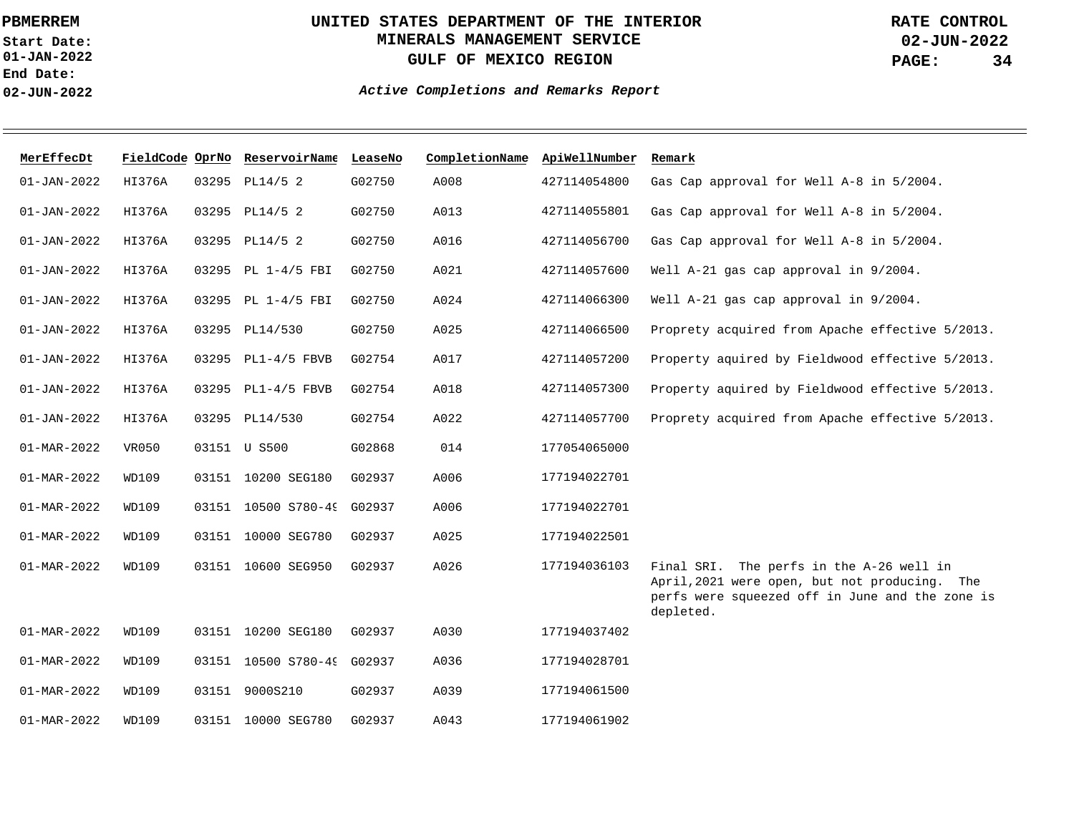**01-JAN-2022 Start Date: End Date: 02-JUN-2022**

## **UNITED STATES DEPARTMENT OF THE INTERIOR MINERALS MANAGEMENT SERVICE GULF OF MEXICO REGION**

**02-JUN-2022 PAGE: 34 RATE CONTROL**

| MerEffecDt               |        | FieldCode OprNo ReservoirName LeaseNo |        | CompletionName ApiWellNumber |              | Remark                                                                                                                                                    |
|--------------------------|--------|---------------------------------------|--------|------------------------------|--------------|-----------------------------------------------------------------------------------------------------------------------------------------------------------|
| $01 - JAN - 2022$        | HI376A | 03295 PL14/5 2                        | G02750 | A008                         | 427114054800 | Gas Cap approval for Well A-8 in 5/2004.                                                                                                                  |
| $01 - JAN - 2022$        | HI376A | 03295 PL14/5 2                        | G02750 | A013                         | 427114055801 | Gas Cap approval for Well A-8 in 5/2004.                                                                                                                  |
| $01 - JAN - 2022$        | HI376A | 03295 PL14/5 2                        | G02750 | A016                         | 427114056700 | Gas Cap approval for Well A-8 in 5/2004.                                                                                                                  |
| $01 - JAN - 2022$        | HI376A | 03295 PL 1-4/5 FBI                    | G02750 | A021                         | 427114057600 | Well A-21 gas cap approval in 9/2004.                                                                                                                     |
| $01 - JAN - 2022$        | HI376A | 03295 PL 1-4/5 FBI                    | G02750 | A024                         | 427114066300 | Well A-21 gas cap approval in 9/2004.                                                                                                                     |
| $01 - JAN - 2022$        | HI376A | 03295 PL14/530                        | G02750 | A025                         | 427114066500 | Proprety acquired from Apache effective 5/2013.                                                                                                           |
| $01 - JAN - 2022$        | HI376A | 03295 PL1-4/5 FBVB                    | G02754 | A017                         | 427114057200 | Property aquired by Fieldwood effective 5/2013.                                                                                                           |
| $01 - JAN - 2022$        | HI376A | 03295 PL1-4/5 FBVB                    | G02754 | A018                         | 427114057300 | Property aquired by Fieldwood effective 5/2013.                                                                                                           |
| $01 - JAN - 2022$        | HI376A | 03295 PL14/530                        | G02754 | A022                         | 427114057700 | Proprety acquired from Apache effective 5/2013.                                                                                                           |
| 01-MAR-2022              | VR050  | 03151 U S500                          | G02868 | 014                          | 177054065000 |                                                                                                                                                           |
| 01-MAR-2022              | WD109  | 03151 10200 SEG180                    | G02937 | A006                         | 177194022701 |                                                                                                                                                           |
| 01-MAR-2022              | WD109  | 03151 10500 S780-49 G02937            |        | A006                         | 177194022701 |                                                                                                                                                           |
| $01 - MAR - 2022$        | WD109  | 03151 10000 SEG780                    | G02937 | A025                         | 177194022501 |                                                                                                                                                           |
| 01-MAR-2022              | WD109  | 03151 10600 SEG950                    | G02937 | A026                         | 177194036103 | Final SRI. The perfs in the A-26 well in<br>April, 2021 were open, but not producing. The<br>perfs were squeezed off in June and the zone is<br>depleted. |
| 01-MAR-2022              | WD109  | 03151 10200 SEG180                    | G02937 | A030                         | 177194037402 |                                                                                                                                                           |
| $01 - MAR - 2022$        | WD109  | 03151 10500 S780-49 G02937            |        | A036                         | 177194028701 |                                                                                                                                                           |
| $01 - MAR - 2022$        | WD109  | 03151 9000S210                        | G02937 | A039                         | 177194061500 |                                                                                                                                                           |
| $01 - \text{MAR} - 2022$ | WD109  | 03151 10000 SEG780                    | G02937 | A043                         | 177194061902 |                                                                                                                                                           |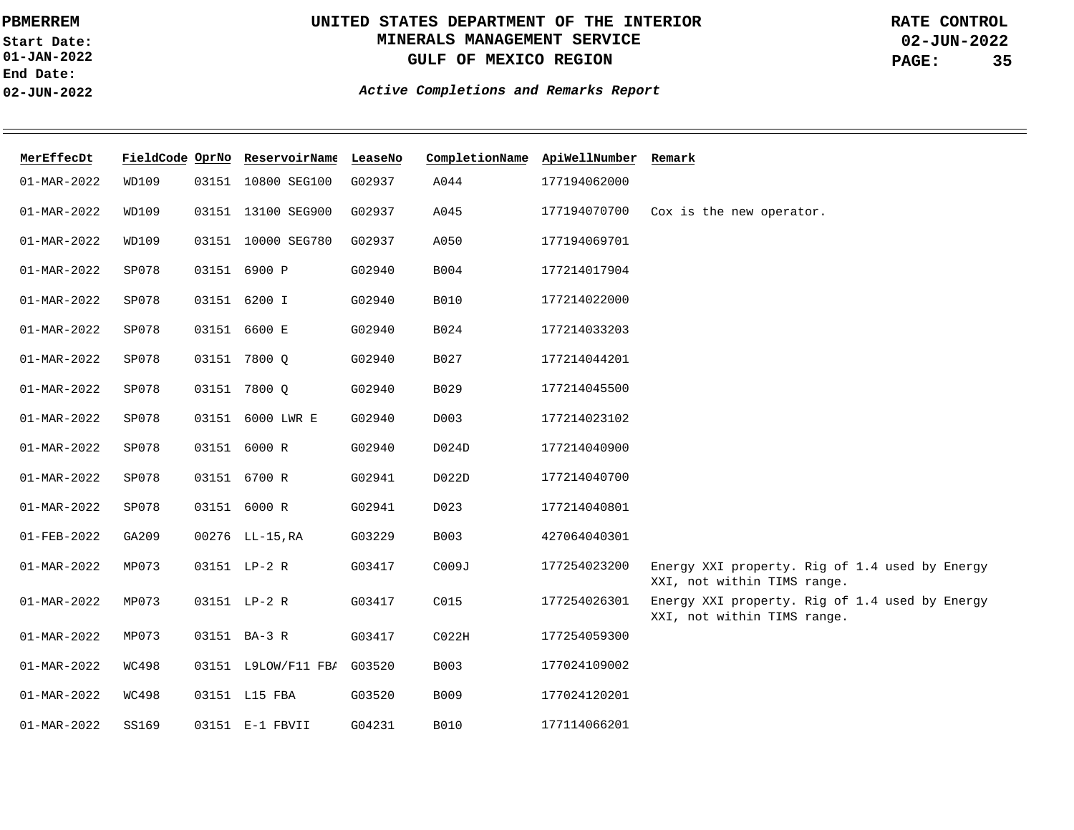**01-JAN-2022 Start Date: End Date: 02-JUN-2022**

# **UNITED STATES DEPARTMENT OF THE INTERIOR MINERALS MANAGEMENT SERVICE GULF OF MEXICO REGION**

**02-JUN-2022 PAGE: 35 RATE CONTROL**

| MerEffecDt        |              | FieldCode OprNo ReservoirName LeaseNo |        | CompletionName ApiWellNumber Remark |              |                                                                               |
|-------------------|--------------|---------------------------------------|--------|-------------------------------------|--------------|-------------------------------------------------------------------------------|
| $01 - MAR - 2022$ | WD109        | 03151 10800 SEG100                    | G02937 | A044                                | 177194062000 |                                                                               |
| $01 - MAR - 2022$ | WD109        | 03151 13100 SEG900                    | G02937 | A045                                | 177194070700 | Cox is the new operator.                                                      |
| $01 - MAR - 2022$ | WD109        | 03151 10000 SEG780                    | G02937 | A050                                | 177194069701 |                                                                               |
| $01 - MAR - 2022$ | SP078        | 03151 6900 P                          | G02940 | B004                                | 177214017904 |                                                                               |
| $01 - MAR - 2022$ | SP078        | 03151 6200 I                          | G02940 | <b>B010</b>                         | 177214022000 |                                                                               |
| $01 - MAR - 2022$ | SP078        | 03151 6600 E                          | G02940 | B024                                | 177214033203 |                                                                               |
| $01 - MAR - 2022$ | SP078        | 03151 7800 O                          | G02940 | B027                                | 177214044201 |                                                                               |
| $01 - MAR - 2022$ | SP078        | 03151 7800 O                          | G02940 | B029                                | 177214045500 |                                                                               |
| 01-MAR-2022       | SP078        | 03151 6000 LWR E                      | G02940 | D003                                | 177214023102 |                                                                               |
| 01-MAR-2022       | SP078        | 03151 6000 R                          | G02940 | D024D                               | 177214040900 |                                                                               |
| $01 - MAR - 2022$ | SP078        | 03151 6700 R                          | G02941 | D022D                               | 177214040700 |                                                                               |
| $01 - MAR - 2022$ | SP078        | 03151 6000 R                          | G02941 | D023                                | 177214040801 |                                                                               |
| 01-FEB-2022       | GA209        | 00276 LL-15, RA                       | G03229 | B003                                | 427064040301 |                                                                               |
| $01 - MAR - 2022$ | MP073        | 03151 LP-2 R                          | G03417 | C009J                               | 177254023200 | Energy XXI property. Rig of 1.4 used by Energy<br>XXI, not within TIMS range. |
| $01 - MAR - 2022$ | MP073        | 03151 LP-2 R                          | G03417 | C015                                | 177254026301 | Energy XXI property. Rig of 1.4 used by Energy<br>XXI, not within TIMS range. |
| $01 - MAR - 2022$ | MP073        | 03151 BA-3 R                          | G03417 | CO <sub>22H</sub>                   | 177254059300 |                                                                               |
| $01 - MAR - 2022$ | WC498        | 03151 L9LOW/F11 FBI G03520            |        | B003                                | 177024109002 |                                                                               |
| $01 - MAR - 2022$ | <b>WC498</b> | 03151 L15 FBA                         | G03520 | B009                                | 177024120201 |                                                                               |
| $01 - MAR - 2022$ | SS169        | 03151 E-1 FBVII                       | G04231 | <b>B010</b>                         | 177114066201 |                                                                               |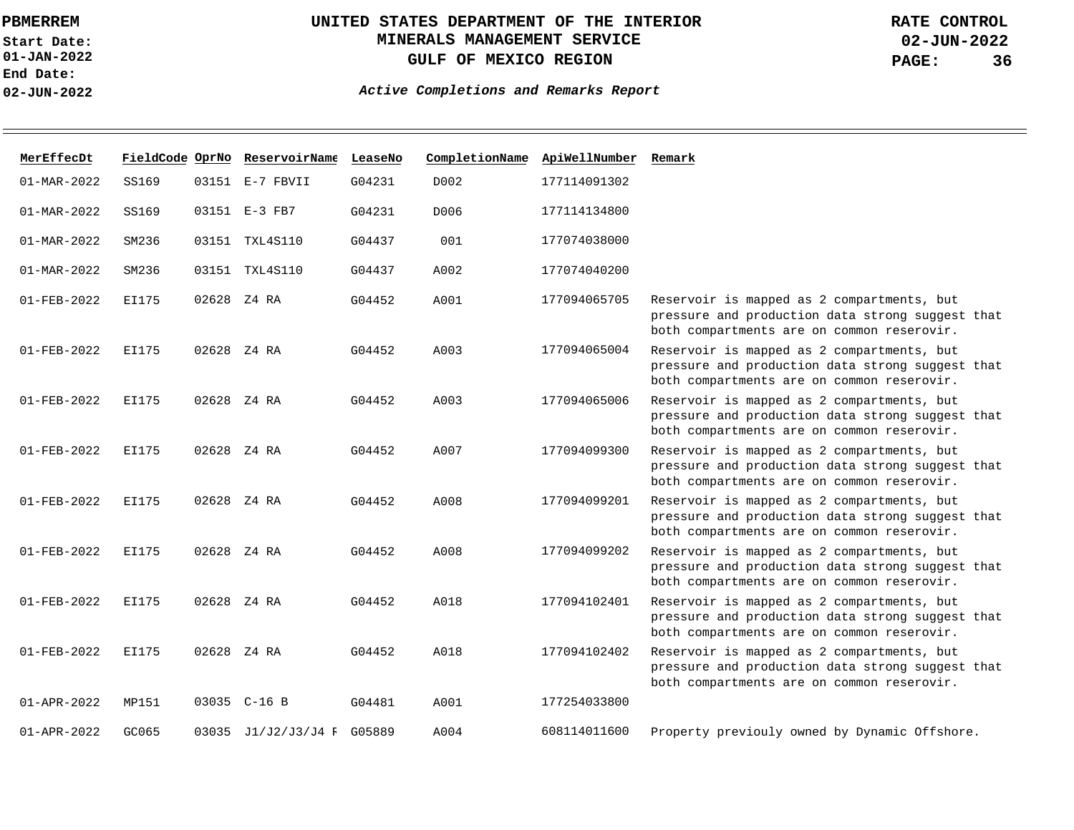**01-JAN-2022 Start Date: End Date: 02-JUN-2022**

# **UNITED STATES DEPARTMENT OF THE INTERIOR MINERALS MANAGEMENT SERVICE GULF OF MEXICO REGION**

**02-JUN-2022 PAGE: 36 RATE CONTROL**

| MerEffecDt        |              | FieldCode OprNo ReservoirName LeaseNo |        | CompletionName | ApiWellNumber | Remark                                                                                                                                       |
|-------------------|--------------|---------------------------------------|--------|----------------|---------------|----------------------------------------------------------------------------------------------------------------------------------------------|
| $01 - MAR - 2022$ | SS169        | 03151 E-7 FBVII                       | G04231 | D002           | 177114091302  |                                                                                                                                              |
| $01 - MAR - 2022$ | SS169        | 03151 E-3 FB7                         | G04231 | D006           | 177114134800  |                                                                                                                                              |
| $01 - MAR - 2022$ | SM236        | 03151 TXL4S110                        | G04437 | 001            | 177074038000  |                                                                                                                                              |
| $01 - MAR - 2022$ | SM236        | 03151 TXL4S110                        | G04437 | A002           | 177074040200  |                                                                                                                                              |
| 01-FEB-2022       | EI175        | 02628 Z4 RA                           | G04452 | A001           | 177094065705  | Reservoir is mapped as 2 compartments, but<br>pressure and production data strong suggest that<br>both compartments are on common reserovir. |
| $01 - FEB - 2022$ | EI175        | 02628 Z4 RA                           | G04452 | A003           | 177094065004  | Reservoir is mapped as 2 compartments, but<br>pressure and production data strong suggest that<br>both compartments are on common reserovir. |
| $01 - FEB - 2022$ | EI175        | 02628 Z4 RA                           | G04452 | A003           | 177094065006  | Reservoir is mapped as 2 compartments, but<br>pressure and production data strong suggest that<br>both compartments are on common reserovir. |
| $01 - FEB - 2022$ | EI175        | 02628 Z4 RA                           | G04452 | A007           | 177094099300  | Reservoir is mapped as 2 compartments, but<br>pressure and production data strong suggest that<br>both compartments are on common reserovir. |
| $01 - FEB - 2022$ | <b>EI175</b> | 02628 Z4 RA                           | G04452 | A008           | 177094099201  | Reservoir is mapped as 2 compartments, but<br>pressure and production data strong suggest that<br>both compartments are on common reserovir. |
| $01 - FEB - 2022$ | <b>EI175</b> | 02628 Z4 RA                           | G04452 | A008           | 177094099202  | Reservoir is mapped as 2 compartments, but<br>pressure and production data strong suggest that<br>both compartments are on common reserovir. |
| $01 - FEB - 2022$ | EI175        | 02628 Z4 RA                           | G04452 | A018           | 177094102401  | Reservoir is mapped as 2 compartments, but<br>pressure and production data strong suggest that<br>both compartments are on common reserovir. |
| 01-FEB-2022       | EI175        | 02628 Z4 RA                           | G04452 | A018           | 177094102402  | Reservoir is mapped as 2 compartments, but<br>pressure and production data strong suggest that<br>both compartments are on common reserovir. |
| $01 - APR - 2022$ | MP151        | 03035 C-16 B                          | G04481 | A001           | 177254033800  |                                                                                                                                              |
| 01-APR-2022       | GC065        | 03035 J1/J2/J3/J4 F G05889            |        | A004           | 608114011600  | Property previouly owned by Dynamic Offshore.                                                                                                |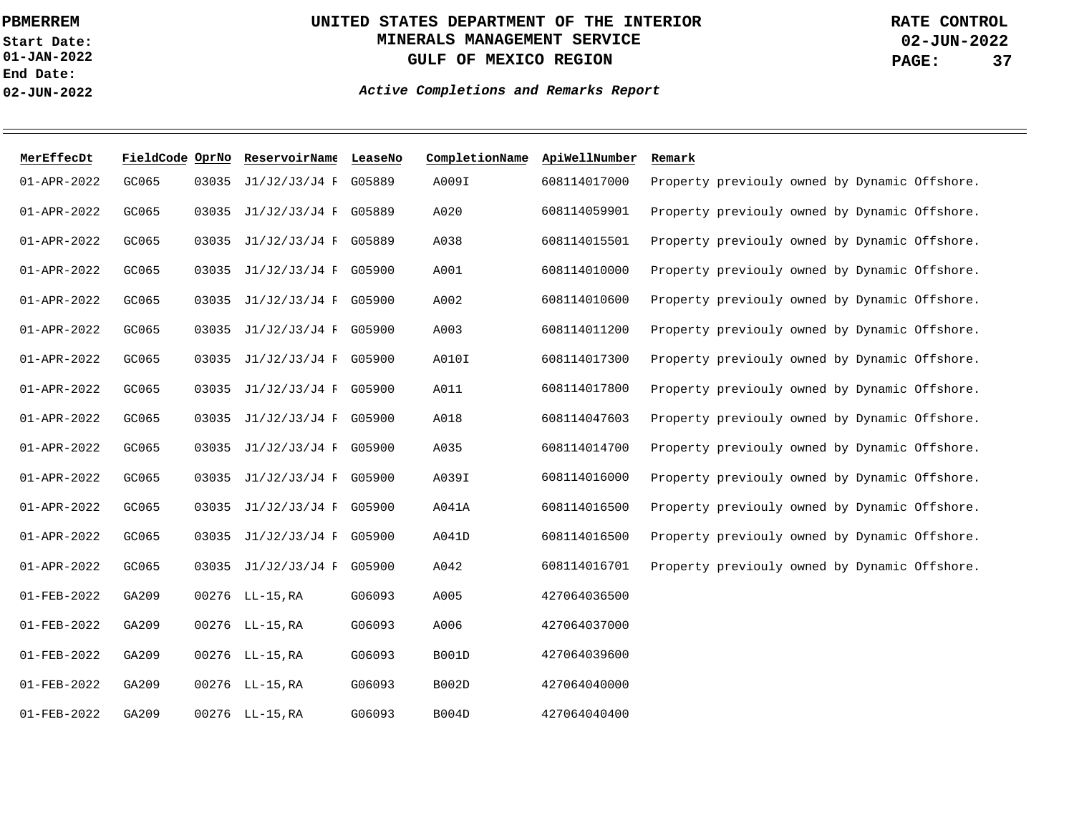**01-JAN-2022 Start Date: End Date: 02-JUN-2022**

## **UNITED STATES DEPARTMENT OF THE INTERIOR MINERALS MANAGEMENT SERVICE GULF OF MEXICO REGION**

**02-JUN-2022 PAGE: 37 RATE CONTROL**

| MerEffecDt  | FieldCode OprNo |       | ReservoirName LeaseNo      |        | CompletionName | ApiWellNumber | Remark                                        |
|-------------|-----------------|-------|----------------------------|--------|----------------|---------------|-----------------------------------------------|
| 01-APR-2022 | GC065           | 03035 | J1/J2/J3/J4 F G05889       |        | A009I          | 608114017000  | Property previouly owned by Dynamic Offshore. |
| 01-APR-2022 | GC065           |       | 03035 J1/J2/J3/J4 F G05889 |        | A020           | 608114059901  | Property previouly owned by Dynamic Offshore. |
| 01-APR-2022 | GC065           |       | 03035 J1/J2/J3/J4 F G05889 |        | A038           | 608114015501  | Property previouly owned by Dynamic Offshore. |
| 01-APR-2022 | GC065           |       | 03035 J1/J2/J3/J4 F G05900 |        | A001           | 608114010000  | Property previouly owned by Dynamic Offshore. |
| 01-APR-2022 | GC065           |       | 03035 J1/J2/J3/J4 F G05900 |        | A002           | 608114010600  | Property previouly owned by Dynamic Offshore. |
| 01-APR-2022 | GC065           |       | 03035 J1/J2/J3/J4 F G05900 |        | A003           | 608114011200  | Property previouly owned by Dynamic Offshore. |
| 01-APR-2022 | GC065           |       | 03035 J1/J2/J3/J4 F G05900 |        | A010I          | 608114017300  | Property previouly owned by Dynamic Offshore. |
| 01-APR-2022 | GC065           |       | 03035 J1/J2/J3/J4 F G05900 |        | A011           | 608114017800  | Property previouly owned by Dynamic Offshore. |
| 01-APR-2022 | GC065           |       | 03035 J1/J2/J3/J4 F G05900 |        | A018           | 608114047603  | Property previouly owned by Dynamic Offshore. |
| 01-APR-2022 | GC065           | 03035 | J1/J2/J3/J4 F G05900       |        | A035           | 608114014700  | Property previouly owned by Dynamic Offshore. |
| 01-APR-2022 | GC065           |       | 03035 J1/J2/J3/J4 F G05900 |        | A039I          | 608114016000  | Property previouly owned by Dynamic Offshore. |
| 01-APR-2022 | GC065           | 03035 | J1/J2/J3/J4 F G05900       |        | A041A          | 608114016500  | Property previouly owned by Dynamic Offshore. |
| 01-APR-2022 | GC065           | 03035 | J1/J2/J3/J4 F G05900       |        | A041D          | 608114016500  | Property previouly owned by Dynamic Offshore. |
| 01-APR-2022 | GC065           |       | 03035 J1/J2/J3/J4 F G05900 |        | A042           | 608114016701  | Property previouly owned by Dynamic Offshore. |
| 01-FEB-2022 | GA209           |       | 00276 LL-15, RA            | G06093 | A005           | 427064036500  |                                               |
| 01-FEB-2022 | GA209           |       | 00276 LL-15, RA            | G06093 | A006           | 427064037000  |                                               |
| 01-FEB-2022 | GA209           |       | 00276 LL-15, RA            | G06093 | <b>B001D</b>   | 427064039600  |                                               |
| 01-FEB-2022 | GA209           |       | 00276 LL-15, RA            | G06093 | <b>B002D</b>   | 427064040000  |                                               |
| 01-FEB-2022 | GA209           |       | 00276 LL-15, RA            | G06093 | B004D          | 427064040400  |                                               |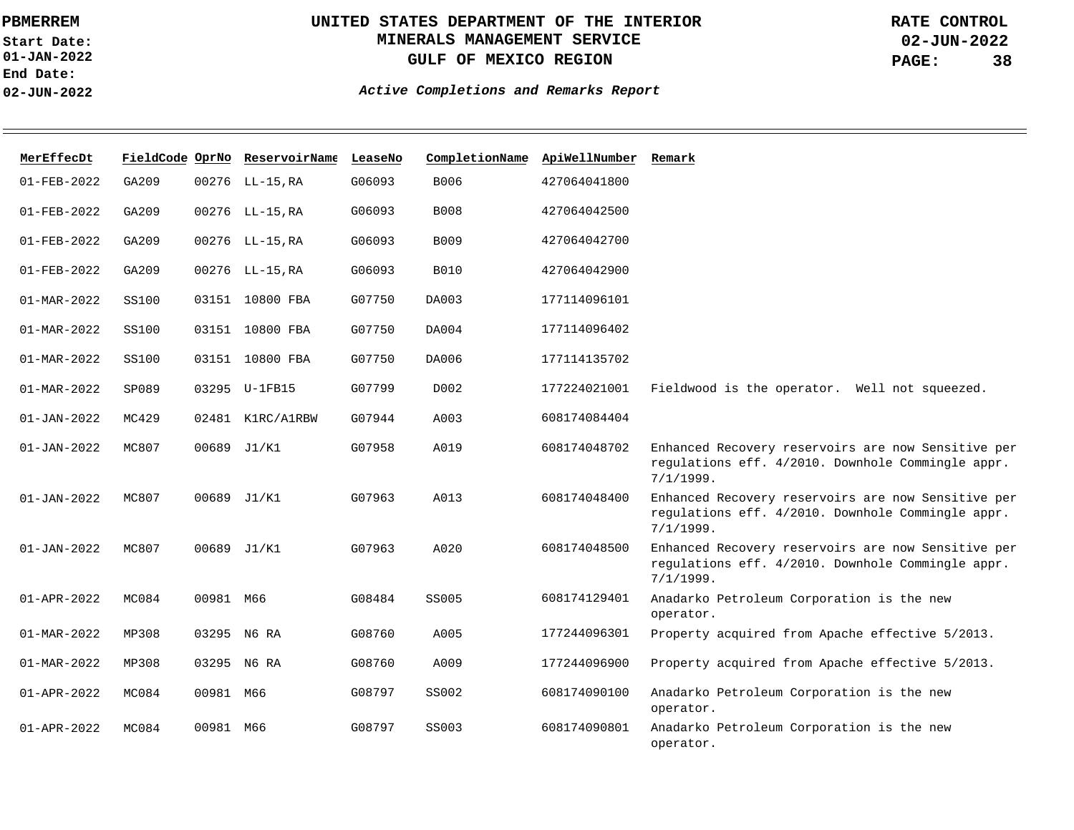**01-JAN-2022 Start Date: End Date: 02-JUN-2022**

# **UNITED STATES DEPARTMENT OF THE INTERIOR MINERALS MANAGEMENT SERVICE GULF OF MEXICO REGION**

**02-JUN-2022 PAGE: 38 RATE CONTROL**

| MerEffecDt        |       |           | FieldCode OprNo ReservoirName | LeaseNo | CompletionName | ApiWellNumber | Remark                                                                                                               |
|-------------------|-------|-----------|-------------------------------|---------|----------------|---------------|----------------------------------------------------------------------------------------------------------------------|
| $01 - FEB - 2022$ | GA209 |           | 00276 LL-15, RA               | G06093  | B006           | 427064041800  |                                                                                                                      |
| $01 - FEB - 2022$ | GA209 |           | 00276 LL-15, RA               | G06093  | <b>B008</b>    | 427064042500  |                                                                                                                      |
| $01 - FEB - 2022$ | GA209 |           | 00276 LL-15, RA               | G06093  | B009           | 427064042700  |                                                                                                                      |
| $01 - FEB - 2022$ | GA209 |           | 00276 LL-15, RA               | G06093  | <b>B010</b>    | 427064042900  |                                                                                                                      |
| 01-MAR-2022       | SS100 |           | 03151 10800 FBA               | G07750  | DA003          | 177114096101  |                                                                                                                      |
| $01 - MAR - 2022$ | SS100 |           | 03151 10800 FBA               | G07750  | DA004          | 177114096402  |                                                                                                                      |
| $01 - MAR - 2022$ | SS100 |           | 03151 10800 FBA               | G07750  | DA006          | 177114135702  |                                                                                                                      |
| 01-MAR-2022       | SP089 |           | 03295 U-1FB15                 | G07799  | D002           | 177224021001  | Fieldwood is the operator. Well not squeezed.                                                                        |
| $01 - JAN - 2022$ | MC429 |           | 02481 K1RC/A1RBW              | G07944  | A003           | 608174084404  |                                                                                                                      |
| $01 - JAN - 2022$ | MC807 |           | 00689 J1/K1                   | G07958  | A019           | 608174048702  | Enhanced Recovery reservoirs are now Sensitive per<br>regulations eff. 4/2010. Downhole Commingle appr.<br>7/1/1999. |
| $01 - JAN - 2022$ | MC807 |           | 00689 J1/K1                   | G07963  | A013           | 608174048400  | Enhanced Recovery reservoirs are now Sensitive per<br>regulations eff. 4/2010. Downhole Commingle appr.<br>7/1/1999. |
| $01 - JAN - 2022$ | MC807 |           | 00689 J1/K1                   | G07963  | A020           | 608174048500  | Enhanced Recovery reservoirs are now Sensitive per<br>regulations eff. 4/2010. Downhole Commingle appr.<br>7/1/1999. |
| $01 - APR - 2022$ | MC084 | 00981 M66 |                               | G08484  | SS005          | 608174129401  | Anadarko Petroleum Corporation is the new<br>operator.                                                               |
| $01 - MAR - 2022$ | MP308 |           | 03295 N6 RA                   | G08760  | A005           | 177244096301  | Property acquired from Apache effective 5/2013.                                                                      |
| $01 - MAR - 2022$ | MP308 |           | 03295 N6 RA                   | G08760  | A009           | 177244096900  | Property acquired from Apache effective 5/2013.                                                                      |
| $01 - APR - 2022$ | MC084 | 00981 M66 |                               | G08797  | SS002          | 608174090100  | Anadarko Petroleum Corporation is the new<br>operator.                                                               |
| $01 - APR - 2022$ | MC084 | 00981 M66 |                               | G08797  | SS003          | 608174090801  | Anadarko Petroleum Corporation is the new<br>operator.                                                               |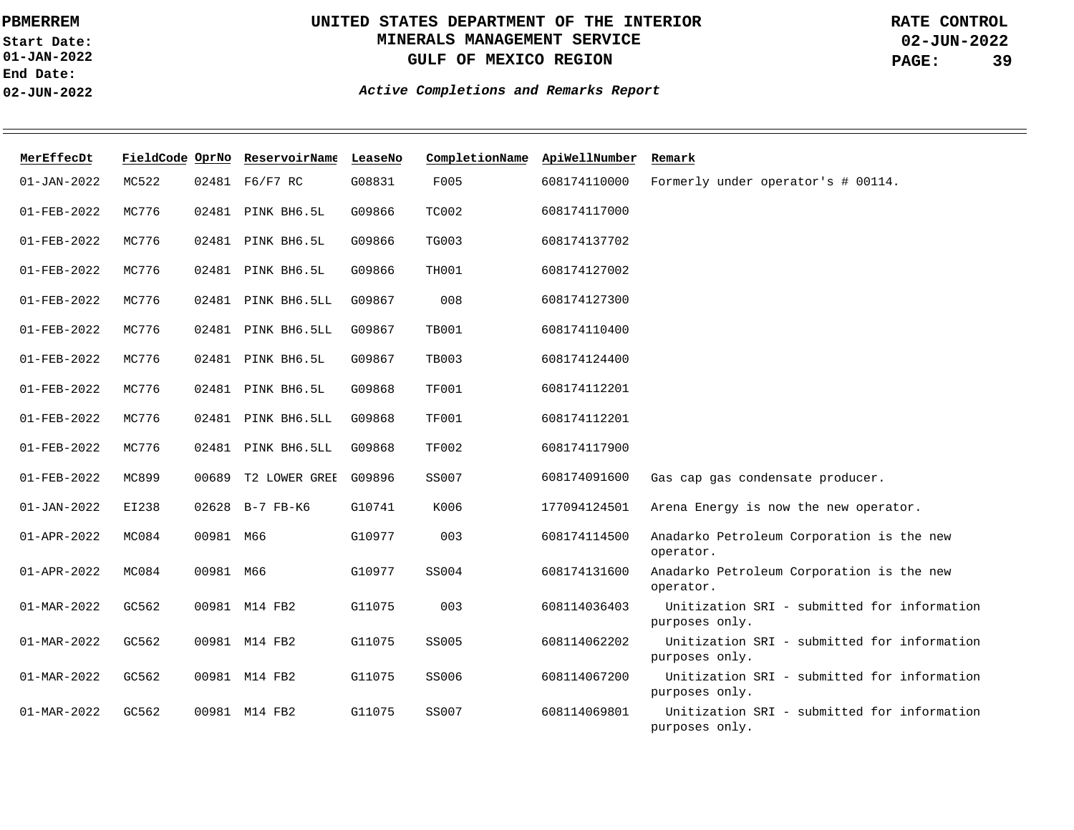**01-JAN-2022 Start Date: End Date: 02-JUN-2022**

## **UNITED STATES DEPARTMENT OF THE INTERIOR MINERALS MANAGEMENT SERVICE GULF OF MEXICO REGION**

**02-JUN-2022 PAGE: 39 RATE CONTROL**

| MerEffecDt        |       |           | FieldCode OprNo ReservoirName LeaseNo |        | CompletionName ApiWellNumber |              | Remark                                                        |
|-------------------|-------|-----------|---------------------------------------|--------|------------------------------|--------------|---------------------------------------------------------------|
| $01 - JAN - 2022$ | MC522 |           | 02481 F6/F7 RC                        | G08831 | F005                         | 608174110000 | Formerly under operator's # 00114.                            |
| $01 - FEB - 2022$ | MC776 |           | 02481 PINK BH6.5L                     | G09866 | TC002                        | 608174117000 |                                                               |
| $01 - FEB - 2022$ | MC776 |           | 02481 PINK BH6.5L                     | G09866 | <b>TG003</b>                 | 608174137702 |                                                               |
| $01 - FEB - 2022$ | MC776 |           | 02481 PINK BH6.5L                     | G09866 | TH001                        | 608174127002 |                                                               |
| $01 - FEB - 2022$ | MC776 | 02481     | PINK BH6.5LL                          | G09867 | 008                          | 608174127300 |                                                               |
| $01 - FEB - 2022$ | MC776 |           | 02481 PINK BH6.5LL                    | G09867 | <b>TB001</b>                 | 608174110400 |                                                               |
| $01 - FEB - 2022$ | MC776 |           | 02481 PINK BH6.5L                     | G09867 | <b>TB003</b>                 | 608174124400 |                                                               |
| 01-FEB-2022       | MC776 |           | 02481 PINK BH6.5L                     | G09868 | <b>TF001</b>                 | 608174112201 |                                                               |
| $01 - FEB - 2022$ | MC776 | 02481     | PINK BH6.5LL                          | G09868 | <b>TF001</b>                 | 608174112201 |                                                               |
| $01 - FEB - 2022$ | MC776 |           | 02481 PINK BH6.5LL                    | G09868 | <b>TF002</b>                 | 608174117900 |                                                               |
| $01 - FEB - 2022$ | MC899 | 00689     | T2 LOWER GREE                         | G09896 | SS007                        | 608174091600 | Gas cap gas condensate producer.                              |
| $01 - JAN - 2022$ | EI238 |           | 02628 B-7 FB-K6                       | G10741 | K006                         | 177094124501 | Arena Energy is now the new operator.                         |
| 01-APR-2022       | MC084 | 00981 M66 |                                       | G10977 | 003                          | 608174114500 | Anadarko Petroleum Corporation is the new<br>operator.        |
| $01 - APR - 2022$ | MC084 | 00981 M66 |                                       | G10977 | SS004                        | 608174131600 | Anadarko Petroleum Corporation is the new<br>operator.        |
| $01 - MAR - 2022$ | GC562 |           | 00981 M14 FB2                         | G11075 | 003                          | 608114036403 | Unitization SRI - submitted for information<br>purposes only. |
| 01-MAR-2022       | GC562 |           | 00981 M14 FB2                         | G11075 | SS005                        | 608114062202 | Unitization SRI - submitted for information<br>purposes only. |
| 01-MAR-2022       | GC562 |           | 00981 M14 FB2                         | G11075 | SS006                        | 608114067200 | Unitization SRI - submitted for information<br>purposes only. |
| $01 - MAR - 2022$ | GC562 |           | 00981 M14 FB2                         | G11075 | <b>SS007</b>                 | 608114069801 | Unitization SRI - submitted for information<br>purposes only. |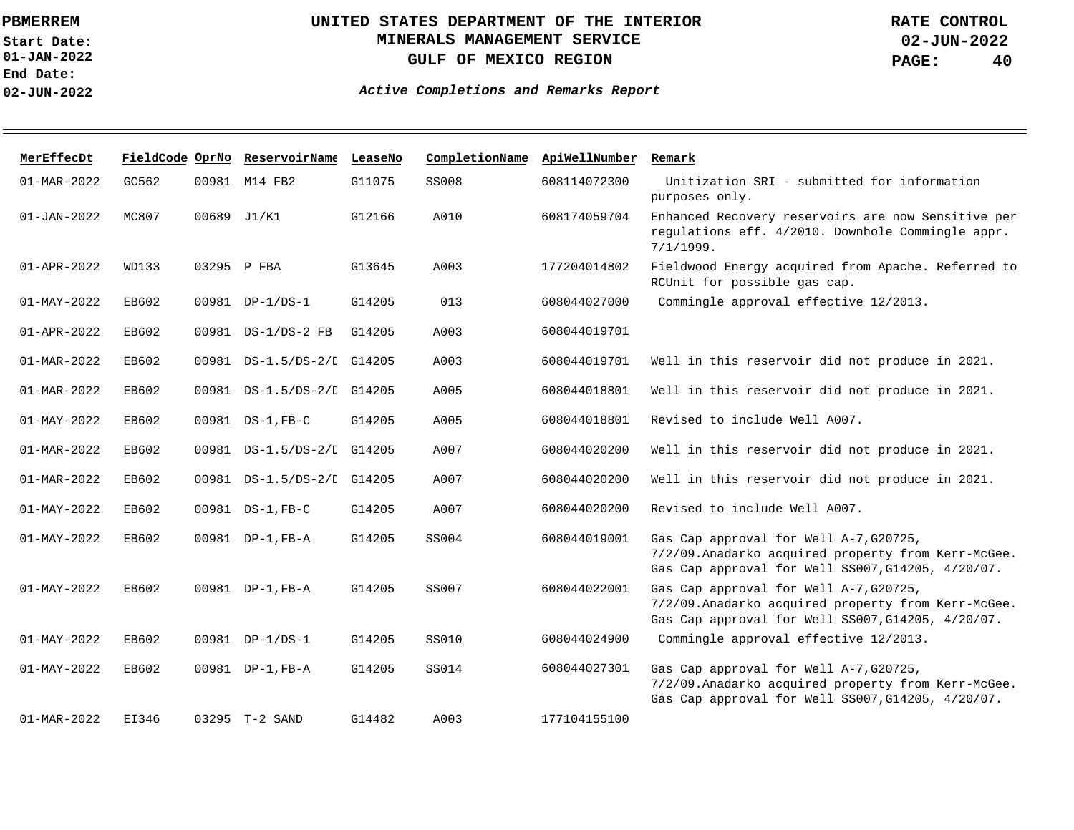**01-JAN-2022 Start Date: End Date: 02-JUN-2022**

## **UNITED STATES DEPARTMENT OF THE INTERIOR MINERALS MANAGEMENT SERVICE GULF OF MEXICO REGION**

| MerEffecDt               |       |       | FieldCode OprNo ReservoirName LeaseNo |        | CompletionName | ApiWellNumber | Remark                                                                                                                                             |
|--------------------------|-------|-------|---------------------------------------|--------|----------------|---------------|----------------------------------------------------------------------------------------------------------------------------------------------------|
| $01 - MAR - 2022$        | GC562 |       | 00981 M14 FB2                         | G11075 | <b>SS008</b>   | 608114072300  | Unitization SRI - submitted for information<br>purposes only.                                                                                      |
| $01 - JAN - 2022$        | MC807 |       | 00689 J1/K1                           | G12166 | A010           | 608174059704  | Enhanced Recovery reservoirs are now Sensitive per<br>regulations eff. 4/2010. Downhole Commingle appr.<br>7/1/1999.                               |
| $01 - APR - 2022$        | WD133 |       | 03295 P FBA                           | G13645 | A003           | 177204014802  | Fieldwood Energy acquired from Apache. Referred to<br>RCUnit for possible gas cap.                                                                 |
| $01 - MAX - 2022$        | EB602 |       | 00981 DP-1/DS-1                       | G14205 | 013            | 608044027000  | Commingle approval effective 12/2013.                                                                                                              |
| $01 - APR - 2022$        | EB602 |       | 00981 DS-1/DS-2 FB                    | G14205 | A003           | 608044019701  |                                                                                                                                                    |
| 01-MAR-2022              | EB602 | 00981 | DS-1.5/DS-2/I G14205                  |        | A003           | 608044019701  | Well in this reservoir did not produce in 2021.                                                                                                    |
| 01-MAR-2022              | EB602 |       | 00981 DS-1.5/DS-2/I G14205            |        | A005           | 608044018801  | Well in this reservoir did not produce in 2021.                                                                                                    |
| $01 - MAY - 2022$        | EB602 |       | 00981 DS-1, FB-C                      | G14205 | A005           | 608044018801  | Revised to include Well A007.                                                                                                                      |
| $01 - \text{MAR} - 2022$ | EB602 |       | 00981 DS-1.5/DS-2/I G14205            |        | A007           | 608044020200  | Well in this reservoir did not produce in 2021.                                                                                                    |
| $01 - MAR - 2022$        | EB602 | 00981 | DS-1.5/DS-2/I G14205                  |        | A007           | 608044020200  | Well in this reservoir did not produce in 2021.                                                                                                    |
| $01 - MAY - 2022$        | EB602 |       | 00981 DS-1, FB-C                      | G14205 | A007           | 608044020200  | Revised to include Well A007.                                                                                                                      |
| $01 - MAX - 2022$        | EB602 | 00981 | DP-1,FB-A                             | G14205 | SS004          | 608044019001  | Gas Cap approval for Well A-7, G20725,<br>7/2/09. Anadarko acquired property from Kerr-McGee.<br>Gas Cap approval for Well SS007, G14205, 4/20/07. |
| $01 - MAX - 2022$        | EB602 |       | 00981 DP-1, FB-A                      | G14205 | SS007          | 608044022001  | Gas Cap approval for Well A-7, G20725,<br>7/2/09. Anadarko acquired property from Kerr-McGee.<br>Gas Cap approval for Well SS007, G14205, 4/20/07. |
| $01 - MAY - 2022$        | EB602 |       | 00981 DP-1/DS-1                       | G14205 | <b>SS010</b>   | 608044024900  | Commingle approval effective 12/2013.                                                                                                              |
| $01 - MAX - 2022$        | EB602 |       | 00981 DP-1, FB-A                      | G14205 | SS014          | 608044027301  | Gas Cap approval for Well A-7, G20725,<br>7/2/09. Anadarko acquired property from Kerr-McGee.<br>Gas Cap approval for Well SS007, G14205, 4/20/07. |
| $01 - \text{MAR} - 2022$ | EI346 |       | 03295 T-2 SAND                        | G14482 | A003           | 177104155100  |                                                                                                                                                    |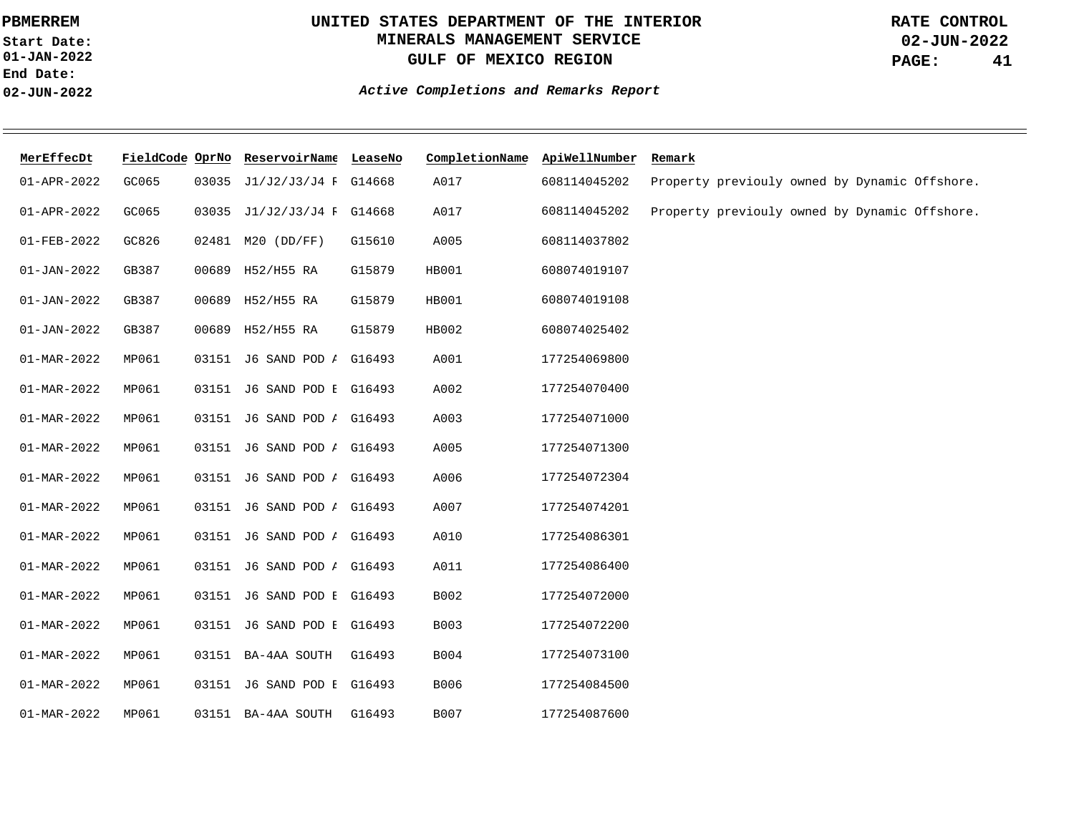**01-JAN-2022 Start Date: End Date: 02-JUN-2022**

## **UNITED STATES DEPARTMENT OF THE INTERIOR MINERALS MANAGEMENT SERVICE GULF OF MEXICO REGION**

**02-JUN-2022 PAGE: 41 RATE CONTROL**

| MerEffecDt        | FieldCode OprNo |       | ReservoirName LeaseNo             |        | CompletionName ApiWellNumber |              | Remark                                        |
|-------------------|-----------------|-------|-----------------------------------|--------|------------------------------|--------------|-----------------------------------------------|
| 01-APR-2022       | GC065           | 03035 | J1/J2/J3/J4 F G14668              |        | A017                         | 608114045202 | Property previouly owned by Dynamic Offshore. |
| 01-APR-2022       | GC065           |       | 03035 J1/J2/J3/J4 F G14668        |        | A017                         | 608114045202 | Property previouly owned by Dynamic Offshore. |
| 01-FEB-2022       | GC826           |       | 02481 M20 (DD/FF)                 | G15610 | A005                         | 608114037802 |                                               |
| $01 - JAN - 2022$ | GB387           |       | 00689 H52/H55 RA                  | G15879 | HB001                        | 608074019107 |                                               |
| $01 - JAN - 2022$ | GB387           |       | 00689 H52/H55 RA                  | G15879 | HB001                        | 608074019108 |                                               |
| $01 - JAN - 2022$ | GB387           |       | 00689 H52/H55 RA                  | G15879 | HB002                        | 608074025402 |                                               |
| 01-MAR-2022       | MP061           |       | 03151 J6 SAND POD <i>I</i> G16493 |        | A001                         | 177254069800 |                                               |
| 01-MAR-2022       | MP061           |       | 03151 J6 SAND POD I G16493        |        | A002                         | 177254070400 |                                               |
| $01 - MAR - 2022$ | MP061           |       | 03151 J6 SAND POD <i>1</i> G16493 |        | A003                         | 177254071000 |                                               |
| $01 - MAR - 2022$ | MP061           |       | 03151 J6 SAND POD <i>I</i> G16493 |        | A005                         | 177254071300 |                                               |
| $01 - MAR - 2022$ | MP061           |       | 03151 J6 SAND POD <i>I</i> G16493 |        | A006                         | 177254072304 |                                               |
| $01 - MAR - 2022$ | MP061           |       | 03151 J6 SAND POD <i>I</i> G16493 |        | A007                         | 177254074201 |                                               |
| $01 - MAR - 2022$ | MP061           |       | 03151 J6 SAND POD <i>I</i> G16493 |        | A010                         | 177254086301 |                                               |
| $01 - MAR - 2022$ | MP061           |       | 03151 J6 SAND POD <i>I</i> G16493 |        | A011                         | 177254086400 |                                               |
| $01 - MAR - 2022$ | MP061           |       | 03151 J6 SAND POD E G16493        |        | B002                         | 177254072000 |                                               |
| $01 - MAR - 2022$ | MP061           |       | 03151 J6 SAND POD E G16493        |        | <b>B003</b>                  | 177254072200 |                                               |
| $01 - MAR - 2022$ | MP061           |       | 03151 BA-4AA SOUTH G16493         |        | <b>B004</b>                  | 177254073100 |                                               |
| $01 - MAR - 2022$ | MP061           |       | 03151 J6 SAND POD E G16493        |        | <b>B006</b>                  | 177254084500 |                                               |
| $01 - MAR - 2022$ | MP061           |       | 03151 BA-4AA SOUTH                | G16493 | B007                         | 177254087600 |                                               |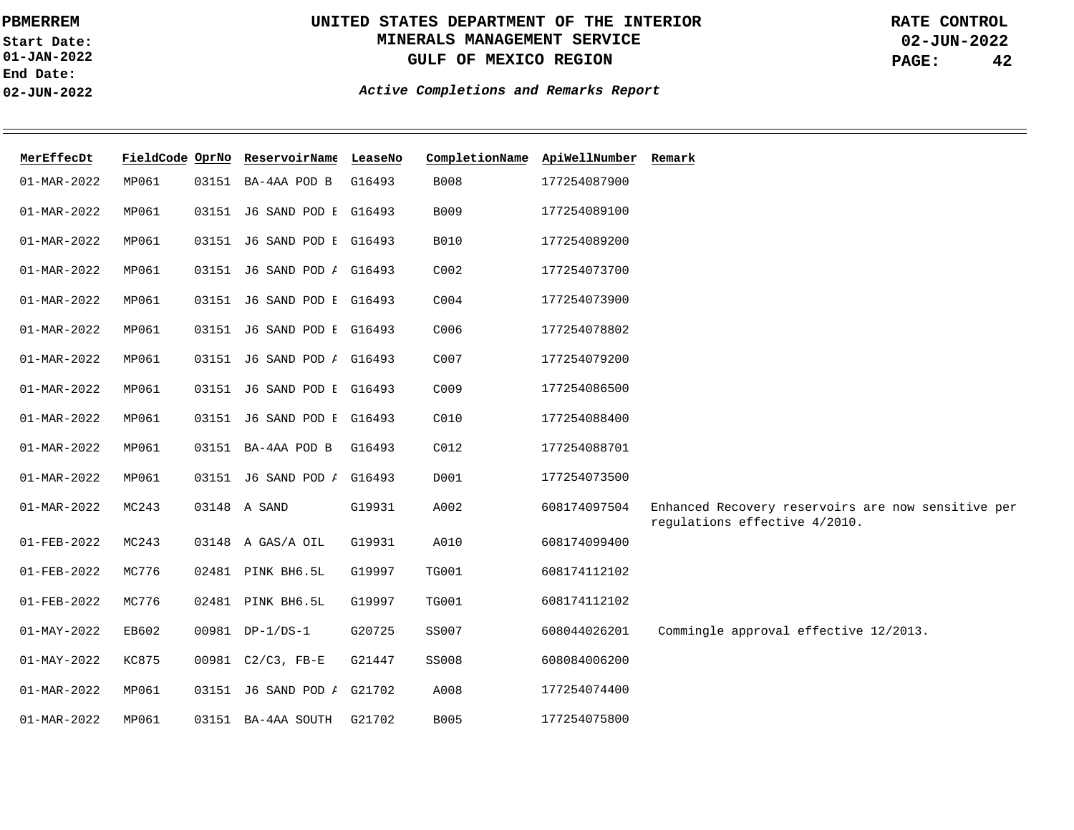**01-JAN-2022 Start Date: End Date: 02-JUN-2022**

# **UNITED STATES DEPARTMENT OF THE INTERIOR MINERALS MANAGEMENT SERVICE GULF OF MEXICO REGION**

**02-JUN-2022 PAGE: 42 RATE CONTROL**

| MerEffecDt               |              | FieldCode OprNo ReservoirName LeaseNo |        | CompletionName   | ApiWellNumber | Remark                                                                              |
|--------------------------|--------------|---------------------------------------|--------|------------------|---------------|-------------------------------------------------------------------------------------|
| $01 - MAR - 2022$        | MP061        | 03151 BA-4AA POD B                    | G16493 | B008             | 177254087900  |                                                                                     |
| $01 - MAR - 2022$        | MP061        | 03151 J6 SAND POD E G16493            |        | B009             | 177254089100  |                                                                                     |
| $01 - MAR - 2022$        | MP061        | 03151 J6 SAND POD E G16493            |        | <b>B010</b>      | 177254089200  |                                                                                     |
| 01-MAR-2022              | MP061        | 03151 J6 SAND POD <i>I</i> G16493     |        | C002             | 177254073700  |                                                                                     |
| 01-MAR-2022              | MP061        | 03151 J6 SAND POD E G16493            |        | C004             | 177254073900  |                                                                                     |
| 01-MAR-2022              | MP061        | 03151 J6 SAND POD E G16493            |        | C006             | 177254078802  |                                                                                     |
| 01-MAR-2022              | MP061        | 03151 J6 SAND POD <i>I</i> G16493     |        | C007             | 177254079200  |                                                                                     |
| 01-MAR-2022              | MP061        | 03151 J6 SAND POD E G16493            |        | C009             | 177254086500  |                                                                                     |
| 01-MAR-2022              | MP061        | 03151 J6 SAND POD E G16493            |        | C010             | 177254088400  |                                                                                     |
| $01 - MAR - 2022$        | MP061        | 03151 BA-4AA POD B                    | G16493 | C <sub>012</sub> | 177254088701  |                                                                                     |
| $01 - MAR - 2022$        | MP061        | 03151 J6 SAND POD <i>I</i> G16493     |        | D001             | 177254073500  |                                                                                     |
| $01 - MAR - 2022$        | MC243        | 03148 A SAND                          | G19931 | A002             | 608174097504  | Enhanced Recovery reservoirs are now sensitive per<br>regulations effective 4/2010. |
| 01-FEB-2022              | MC243        | 03148 A GAS/A OIL                     | G19931 | A010             | 608174099400  |                                                                                     |
| $01 - FEB - 2022$        | MC776        | 02481 PINK BH6.5L                     | G19997 | <b>TG001</b>     | 608174112102  |                                                                                     |
| 01-FEB-2022              | MC776        | 02481 PINK BH6.5L                     | G19997 | <b>TG001</b>     | 608174112102  |                                                                                     |
| $01 - \text{MAX} - 2022$ | EB602        | 00981 DP-1/DS-1                       | G20725 | <b>SS007</b>     | 608044026201  | Commingle approval effective 12/2013.                                               |
| $01 - MAY - 2022$        | <b>KC875</b> | 00981 C2/C3, FB-E                     | G21447 | SS008            | 608084006200  |                                                                                     |
| 01-MAR-2022              | MP061        | 03151 J6 SAND POD <i>I</i> G21702     |        | A008             | 177254074400  |                                                                                     |
| 01-MAR-2022              | MP061        | 03151 BA-4AA SOUTH                    | G21702 | <b>B005</b>      | 177254075800  |                                                                                     |